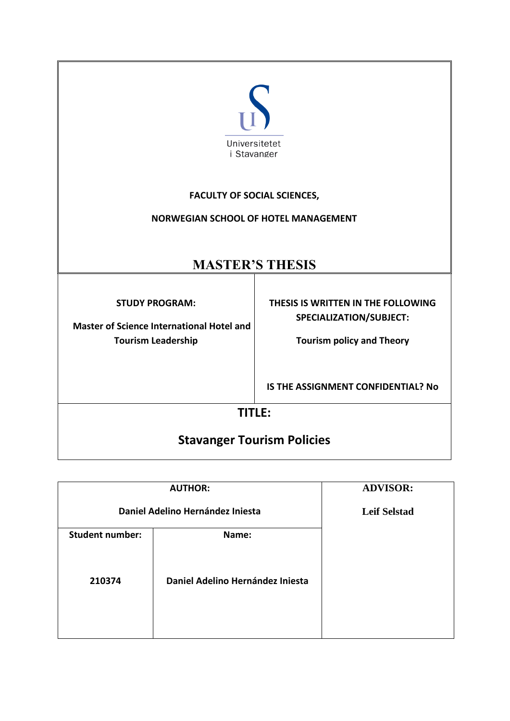

# **FACULTY OF SOCIAL SCIENCES,**

# **NORWEGIAN SCHOOL OF HOTEL MANAGEMENT**

# **MASTER'S THESIS**

**STUDY PROGRAM:** 

 **Master of Science International Hotel and Tourism Leadership**

**THESIS IS WRITTEN IN THE FOLLOWING SPECIALIZATION/SUBJECT:** 

**Tourism policy and Theory**

**IS THE ASSIGNMENT CONFIDENTIAL? No**

# **TITLE:**

# **Stavanger Tourism Policies**

| <b>AUTHOR:</b>                   |                                  | <b>ADVISOR:</b>     |
|----------------------------------|----------------------------------|---------------------|
|                                  |                                  |                     |
| Daniel Adelino Hernández Iniesta |                                  | <b>Leif Selstad</b> |
|                                  |                                  |                     |
| <b>Student number:</b>           | Name:                            |                     |
|                                  |                                  |                     |
|                                  |                                  |                     |
|                                  |                                  |                     |
| 210374                           | Daniel Adelino Hernández Iniesta |                     |
|                                  |                                  |                     |
|                                  |                                  |                     |
|                                  |                                  |                     |
|                                  |                                  |                     |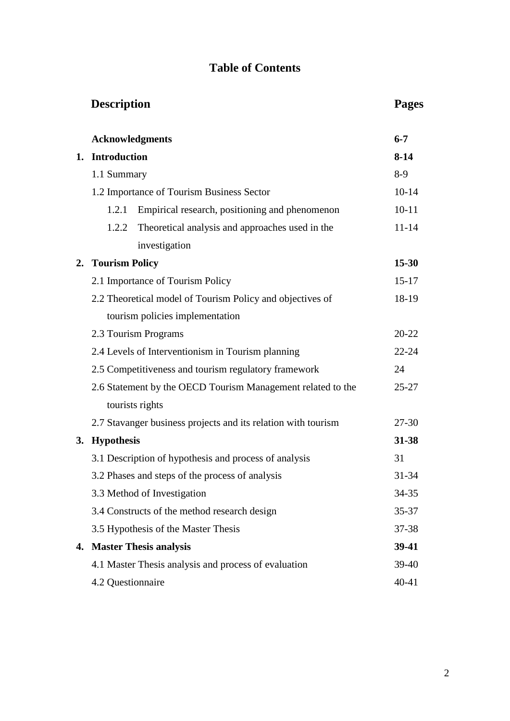# **Table of Contents**

|    | <b>Description</b>            |                                                               | <b>Pages</b> |
|----|-------------------------------|---------------------------------------------------------------|--------------|
|    | <b>Acknowledgments</b>        |                                                               | $6 - 7$      |
|    | 1. Introduction               |                                                               | $8 - 14$     |
|    | 1.1 Summary                   |                                                               | $8-9$        |
|    |                               | 1.2 Importance of Tourism Business Sector                     | $10 - 14$    |
|    | 1.2.1                         | Empirical research, positioning and phenomenon                | $10 - 11$    |
|    | 1.2.2                         | Theoretical analysis and approaches used in the               | $11 - 14$    |
|    |                               | investigation                                                 |              |
|    | 2. Tourism Policy             |                                                               | 15-30        |
|    |                               | 2.1 Importance of Tourism Policy                              | $15 - 17$    |
|    |                               | 2.2 Theoretical model of Tourism Policy and objectives of     | 18-19        |
|    |                               | tourism policies implementation                               |              |
|    | 2.3 Tourism Programs          |                                                               | 20-22        |
|    |                               | 2.4 Levels of Interventionism in Tourism planning             | $22 - 24$    |
|    |                               | 2.5 Competitiveness and tourism regulatory framework          | 24           |
|    |                               | 2.6 Statement by the OECD Tourism Management related to the   | $25 - 27$    |
|    | tourists rights               |                                                               |              |
|    |                               | 2.7 Stavanger business projects and its relation with tourism | 27-30        |
| 3. | <b>Hypothesis</b>             |                                                               | 31-38        |
|    |                               | 3.1 Description of hypothesis and process of analysis         | 31           |
|    |                               | 3.2 Phases and steps of the process of analysis               | 31-34        |
|    | 3.3 Method of Investigation   |                                                               | 34-35        |
|    |                               | 3.4 Constructs of the method research design                  | 35-37        |
|    |                               | 3.5 Hypothesis of the Master Thesis                           | 37-38        |
| 4. | <b>Master Thesis analysis</b> |                                                               | 39-41        |
|    |                               | 4.1 Master Thesis analysis and process of evaluation          | 39-40        |
|    | 4.2 Questionnaire             |                                                               | $40 - 41$    |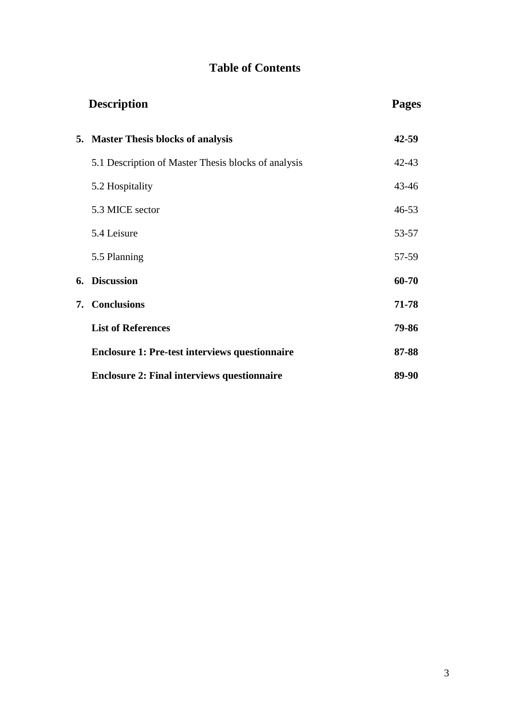# **Table of Contents**

|    | <b>Description</b>                                    | <b>Pages</b> |
|----|-------------------------------------------------------|--------------|
|    | 5. Master Thesis blocks of analysis                   | $42 - 59$    |
|    | 5.1 Description of Master Thesis blocks of analysis   | $42 - 43$    |
|    | 5.2 Hospitality                                       | $43 - 46$    |
|    | 5.3 MICE sector                                       | $46 - 53$    |
|    | 5.4 Leisure                                           | 53-57        |
|    | 5.5 Planning                                          | 57-59        |
| 6. | <b>Discussion</b>                                     | 60-70        |
| 7. | <b>Conclusions</b>                                    | 71-78        |
|    | <b>List of References</b>                             | 79-86        |
|    | <b>Enclosure 1: Pre-test interviews questionnaire</b> | 87-88        |
|    | <b>Enclosure 2: Final interviews questionnaire</b>    | 89-90        |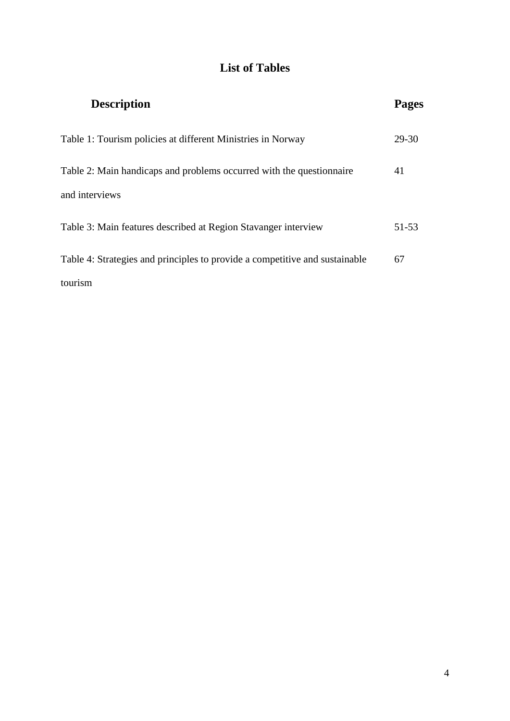# **List of Tables**

| <b>Description</b>                                                          | Pages |
|-----------------------------------------------------------------------------|-------|
| Table 1: Tourism policies at different Ministries in Norway                 | 29-30 |
| Table 2: Main handicaps and problems occurred with the questionnaire        | 41    |
| and interviews                                                              |       |
| Table 3: Main features described at Region Stavanger interview              | 51-53 |
| Table 4: Strategies and principles to provide a competitive and sustainable | 67    |
| tourism                                                                     |       |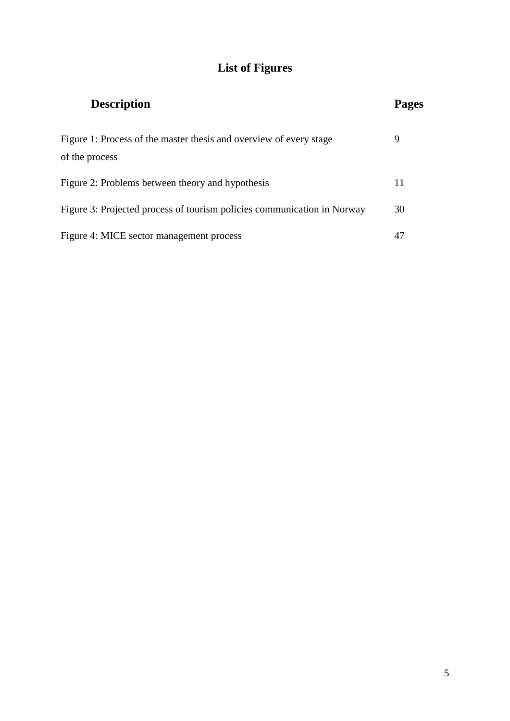# **List of Figures**

| <b>Description</b>                                                                   |    |
|--------------------------------------------------------------------------------------|----|
| Figure 1: Process of the master thesis and overview of every stage<br>of the process | 9  |
| Figure 2: Problems between theory and hypothesis                                     | 11 |
| Figure 3: Projected process of tourism policies communication in Norway              | 30 |
| Figure 4: MICE sector management process                                             | 47 |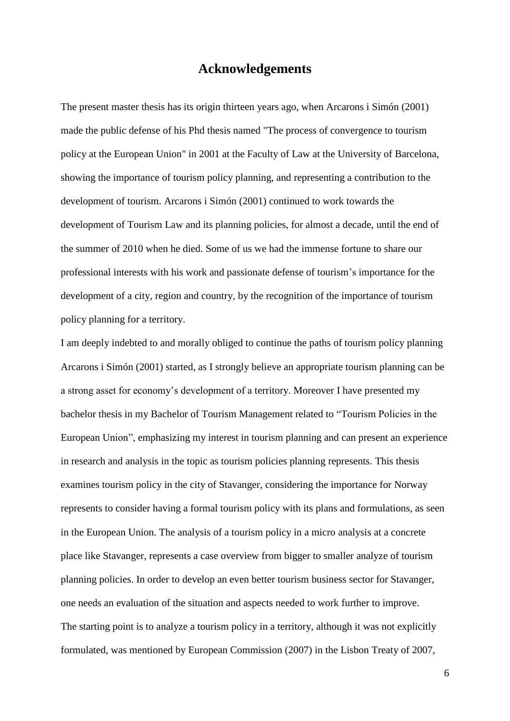# **Acknowledgements**

The present master thesis has its origin thirteen years ago, when Arcarons i Simón (2001) made the public defense of his Phd thesis named "The process of convergence to tourism policy at the European Union" in 2001 at the Faculty of Law at the University of Barcelona, showing the importance of tourism policy planning, and representing a contribution to the development of tourism. Arcarons i Simón (2001) continued to work towards the development of Tourism Law and its planning policies, for almost a decade, until the end of the summer of 2010 when he died. Some of us we had the immense fortune to share our professional interests with his work and passionate defense of tourism's importance for the development of a city, region and country, by the recognition of the importance of tourism policy planning for a territory.

I am deeply indebted to and morally obliged to continue the paths of tourism policy planning Arcarons i Simón (2001) started, as I strongly believe an appropriate tourism planning can be a strong asset for economy's development of a territory. Moreover I have presented my bachelor thesis in my Bachelor of Tourism Management related to "Tourism Policies in the European Union", emphasizing my interest in tourism planning and can present an experience in research and analysis in the topic as tourism policies planning represents. This thesis examines tourism policy in the city of Stavanger, considering the importance for Norway represents to consider having a formal tourism policy with its plans and formulations, as seen in the European Union. The analysis of a tourism policy in a micro analysis at a concrete place like Stavanger, represents a case overview from bigger to smaller analyze of tourism planning policies. In order to develop an even better tourism business sector for Stavanger, one needs an evaluation of the situation and aspects needed to work further to improve. The starting point is to analyze a tourism policy in a territory, although it was not explicitly formulated, was mentioned by European Commission (2007) in the Lisbon Treaty of 2007,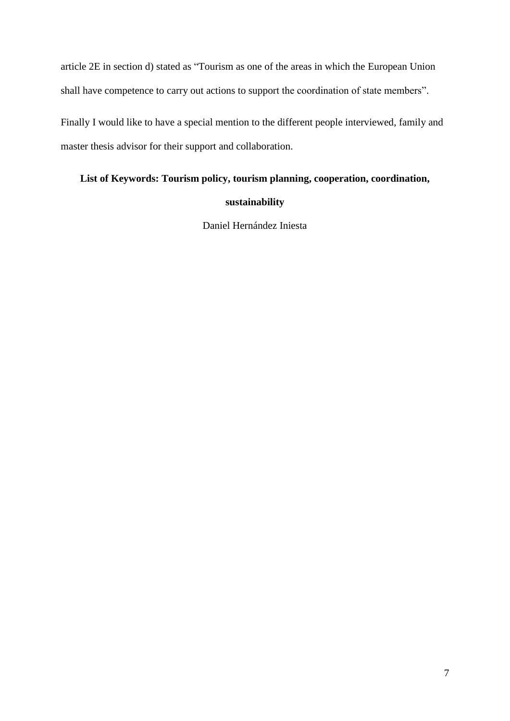article 2E in section d) stated as "Tourism as one of the areas in which the European Union shall have competence to carry out actions to support the coordination of state members".

Finally I would like to have a special mention to the different people interviewed, family and master thesis advisor for their support and collaboration.

# **List of Keywords: Tourism policy, tourism planning, cooperation, coordination,**

# **sustainability**

Daniel Hernández Iniesta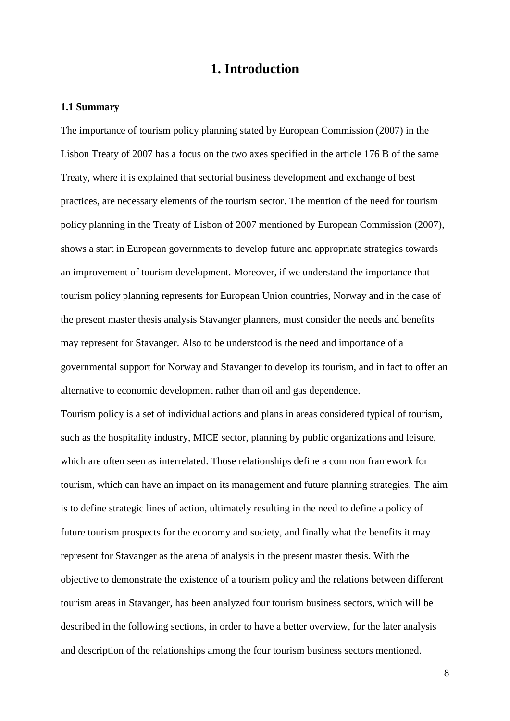# **1. Introduction**

#### **1.1 Summary**

The importance of tourism policy planning stated by European Commission (2007) in the Lisbon Treaty of 2007 has a focus on the two axes specified in the article 176 B of the same Treaty, where it is explained that sectorial business development and exchange of best practices, are necessary elements of the tourism sector. The mention of the need for tourism policy planning in the Treaty of Lisbon of 2007 mentioned by European Commission (2007), shows a start in European governments to develop future and appropriate strategies towards an improvement of tourism development. Moreover, if we understand the importance that tourism policy planning represents for European Union countries, Norway and in the case of the present master thesis analysis Stavanger planners, must consider the needs and benefits may represent for Stavanger. Also to be understood is the need and importance of a governmental support for Norway and Stavanger to develop its tourism, and in fact to offer an alternative to economic development rather than oil and gas dependence.

Tourism policy is a set of individual actions and plans in areas considered typical of tourism, such as the hospitality industry, MICE sector, planning by public organizations and leisure, which are often seen as interrelated. Those relationships define a common framework for tourism, which can have an impact on its management and future planning strategies. The aim is to define strategic lines of action, ultimately resulting in the need to define a policy of future tourism prospects for the economy and society, and finally what the benefits it may represent for Stavanger as the arena of analysis in the present master thesis. With the objective to demonstrate the existence of a tourism policy and the relations between different tourism areas in Stavanger, has been analyzed four tourism business sectors, which will be described in the following sections, in order to have a better overview, for the later analysis and description of the relationships among the four tourism business sectors mentioned.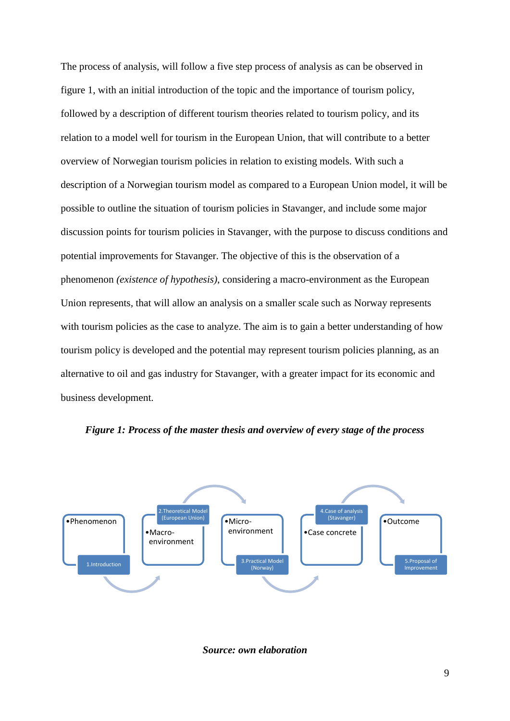The process of analysis, will follow a five step process of analysis as can be observed in figure 1, with an initial introduction of the topic and the importance of tourism policy, followed by a description of different tourism theories related to tourism policy, and its relation to a model well for tourism in the European Union, that will contribute to a better overview of Norwegian tourism policies in relation to existing models. With such a description of a Norwegian tourism model as compared to a European Union model, it will be possible to outline the situation of tourism policies in Stavanger, and include some major discussion points for tourism policies in Stavanger, with the purpose to discuss conditions and potential improvements for Stavanger. The objective of this is the observation of a phenomenon *(existence of hypothesis)*, considering a macro-environment as the European Union represents*,* that will allow an analysis on a smaller scale such as Norway represents with tourism policies as the case to analyze. The aim is to gain a better understanding of how tourism policy is developed and the potential may represent tourism policies planning, as an alternative to oil and gas industry for Stavanger, with a greater impact for its economic and business development.



*Figure 1: Process of the master thesis and overview of every stage of the process*

*Source: own elaboration*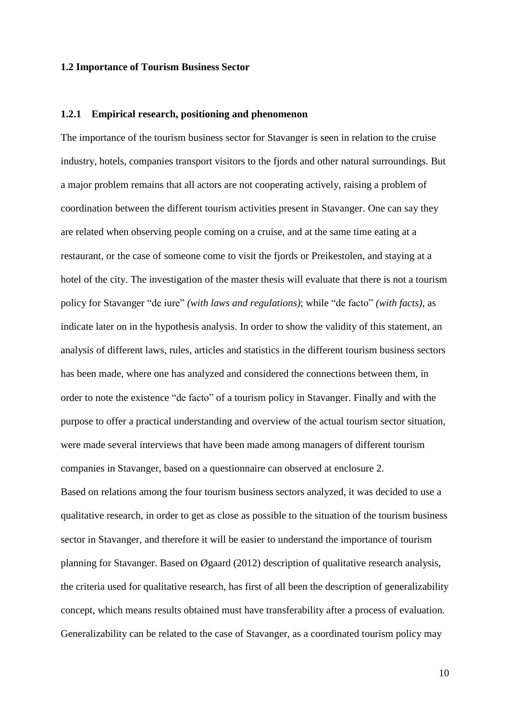#### **1.2 Importance of Tourism Business Sector**

## **1.2.1 Empirical research, positioning and phenomenon**

The importance of the tourism business sector for Stavanger is seen in relation to the cruise industry, hotels, companies transport visitors to the fjords and other natural surroundings. But a major problem remains that all actors are not cooperating actively, raising a problem of coordination between the different tourism activities present in Stavanger. One can say they are related when observing people coming on a cruise, and at the same time eating at a restaurant, or the case of someone come to visit the fjords or Preikestolen, and staying at a hotel of the city. The investigation of the master thesis will evaluate that there is not a tourism policy for Stavanger "de iure" *(with laws and regulations)*; while "de facto" *(with facts)*, as indicate later on in the hypothesis analysis. In order to show the validity of this statement, an analysis of different laws, rules, articles and statistics in the different tourism business sectors has been made, where one has analyzed and considered the connections between them, in order to note the existence "de facto" of a tourism policy in Stavanger. Finally and with the purpose to offer a practical understanding and overview of the actual tourism sector situation, were made several interviews that have been made among managers of different tourism companies in Stavanger, based on a questionnaire can observed at enclosure 2. Based on relations among the four tourism business sectors analyzed, it was decided to use a qualitative research, in order to get as close as possible to the situation of the tourism business sector in Stavanger, and therefore it will be easier to understand the importance of tourism planning for Stavanger. Based on [Øg](http://en.wikipedia.org/wiki/%C3%98)aard (2012) description of qualitative research analysis, the criteria used for qualitative research, has first of all been the description of generalizability concept, which means results obtained must have transferability after a process of evaluation. Generalizability can be related to the case of Stavanger, as a coordinated tourism policy may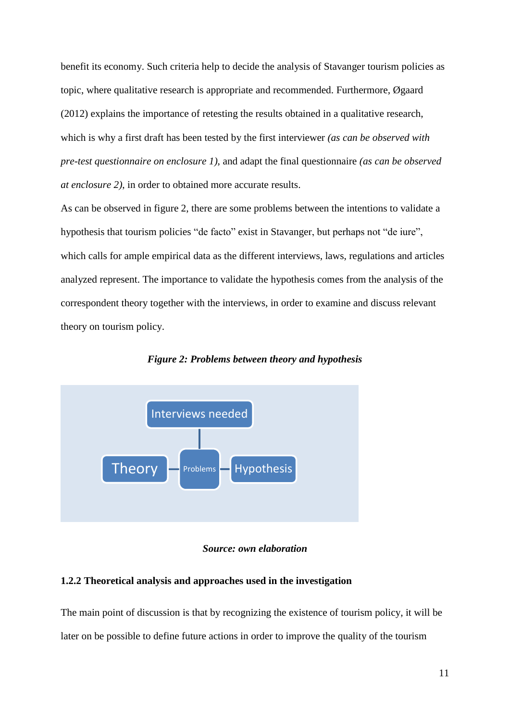benefit its economy. Such criteria help to decide the analysis of Stavanger tourism policies as topic, where qualitative research is appropriate and recommended. Furthermore, [Øg](http://en.wikipedia.org/wiki/%C3%98)aard (2012) explains the importance of retesting the results obtained in a qualitative research, which is why a first draft has been tested by the first interviewer *(as can be observed with pre-test questionnaire on enclosure 1)*, and adapt the final questionnaire *(as can be observed at enclosure 2)*, in order to obtained more accurate results.

As can be observed in figure 2, there are some problems between the intentions to validate a hypothesis that tourism policies "de facto" exist in Stavanger, but perhaps not "de iure", which calls for ample empirical data as the different interviews, laws, regulations and articles analyzed represent. The importance to validate the hypothesis comes from the analysis of the correspondent theory together with the interviews, in order to examine and discuss relevant theory on tourism policy.



*Figure 2: Problems between theory and hypothesis*

# *Source: own elaboration*

## **1.2.2 Theoretical analysis and approaches used in the investigation**

The main point of discussion is that by recognizing the existence of tourism policy, it will be later on be possible to define future actions in order to improve the quality of the tourism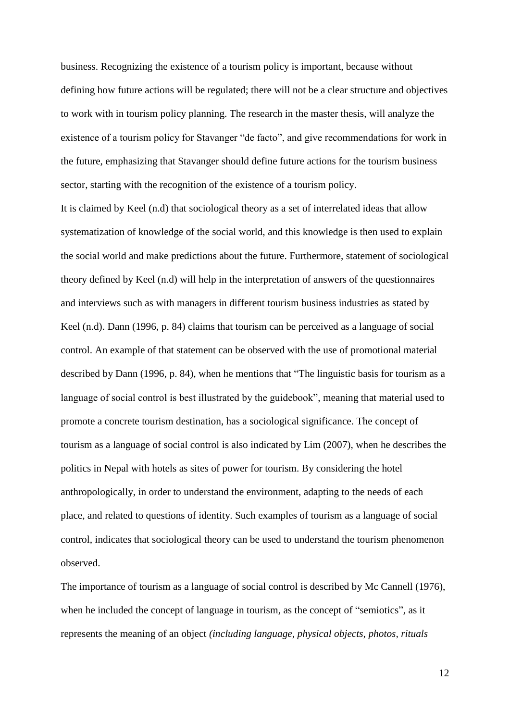business. Recognizing the existence of a tourism policy is important, because without defining how future actions will be regulated; there will not be a clear structure and objectives to work with in tourism policy planning. The research in the master thesis, will analyze the existence of a tourism policy for Stavanger "de facto", and give recommendations for work in the future, emphasizing that Stavanger should define future actions for the tourism business sector, starting with the recognition of the existence of a tourism policy.

It is claimed by Keel (n.d) that sociological theory as a set of interrelated ideas that allow systematization of knowledge of the social world, and this knowledge is then used to explain the social world and make predictions about the future. Furthermore, statement of sociological theory defined by Keel (n.d) will help in the interpretation of answers of the questionnaires and interviews such as with managers in different tourism business industries as stated by Keel (n.d). Dann (1996, p. 84) claims that tourism can be perceived as a language of social control. An example of that statement can be observed with the use of promotional material described by Dann (1996, p. 84), when he mentions that "The linguistic basis for tourism as a language of social control is best illustrated by the guidebook", meaning that material used to promote a concrete tourism destination, has a sociological significance. The concept of tourism as a language of social control is also indicated by Lim (2007), when he describes the politics in Nepal with hotels as sites of power for tourism. By considering the hotel anthropologically, in order to understand the environment, adapting to the needs of each place, and related to questions of identity. Such examples of tourism as a language of social control, indicates that sociological theory can be used to understand the tourism phenomenon observed.

The importance of tourism as a language of social control is described by Mc Cannell (1976), when he included the concept of language in tourism, as the concept of "semiotics"*,* as it represents the meaning of an object *(including language, physical objects, photos, rituals*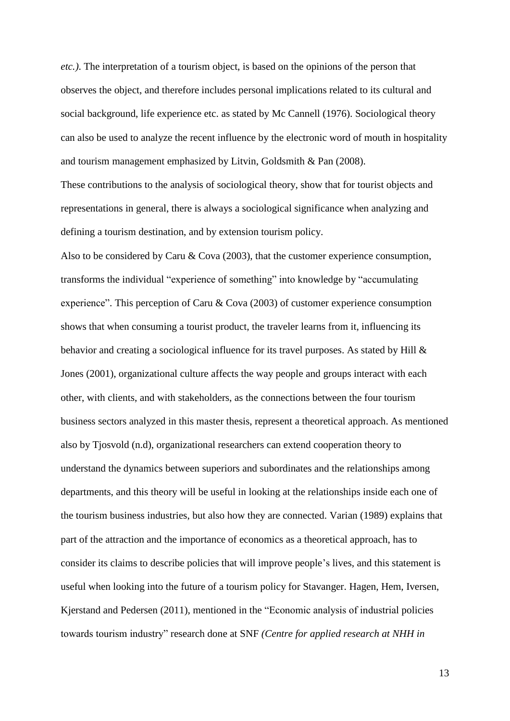*etc.)*. The interpretation of a tourism object, is based on the opinions of the person that observes the object, and therefore includes personal implications related to its cultural and social background, life experience etc. as stated by Mc Cannell (1976). Sociological theory can also be used to analyze the recent influence by the electronic word of mouth in hospitality and tourism management emphasized by Litvin, Goldsmith & Pan (2008).

These contributions to the analysis of sociological theory, show that for tourist objects and representations in general, there is always a sociological significance when analyzing and defining a tourism destination, and by extension tourism policy.

Also to be considered by Caru & Cova (2003), that the customer experience consumption, transforms the individual "experience of something" into knowledge by "accumulating experience". This perception of Caru & Cova (2003) of customer experience consumption shows that when consuming a tourist product, the traveler learns from it, influencing its behavior and creating a sociological influence for its travel purposes. As stated by Hill & Jones (2001), organizational culture affects the way people and groups interact with each other, with clients, and with stakeholders, as the connections between the four tourism business sectors analyzed in this master thesis, represent a theoretical approach. As mentioned also by Tjosvold (n.d), organizational researchers can extend cooperation theory to understand the dynamics between superiors and subordinates and the relationships among departments, and this theory will be useful in looking at the relationships inside each one of the tourism business industries, but also how they are connected. Varian (1989) explains that part of the attraction and the importance of economics as a theoretical approach, has to consider its claims to describe policies that will improve people's lives, and this statement is useful when looking into the future of a tourism policy for Stavanger. Hagen, Hem, Iversen, Kjerstand and Pedersen (2011), mentioned in the "Economic analysis of industrial policies towards tourism industry" research done at SNF *(Centre for applied research at NHH in*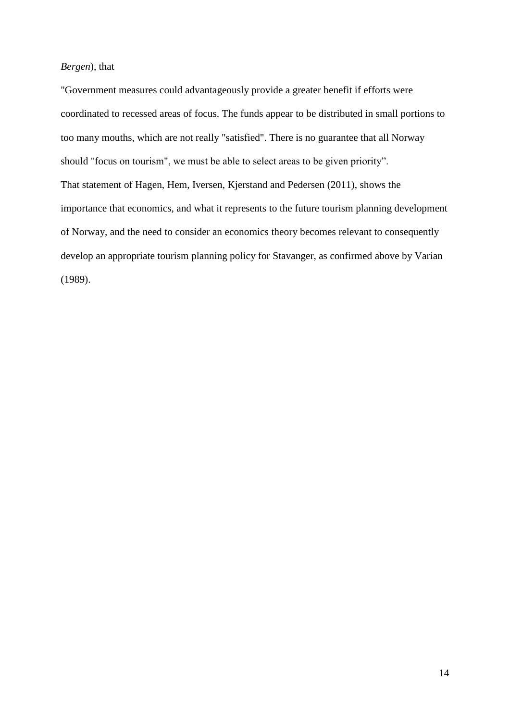# *Bergen*), that

"Government measures could advantageously provide a greater benefit if efforts were coordinated to recessed areas of focus. The funds appear to be distributed in small portions to too many mouths, which are not really "satisfied". There is no guarantee that all Norway should "focus on tourism", we must be able to select areas to be given priority". That statement of Hagen, Hem, Iversen, Kjerstand and Pedersen (2011), shows the importance that economics, and what it represents to the future tourism planning development of Norway, and the need to consider an economics theory becomes relevant to consequently develop an appropriate tourism planning policy for Stavanger, as confirmed above by Varian (1989).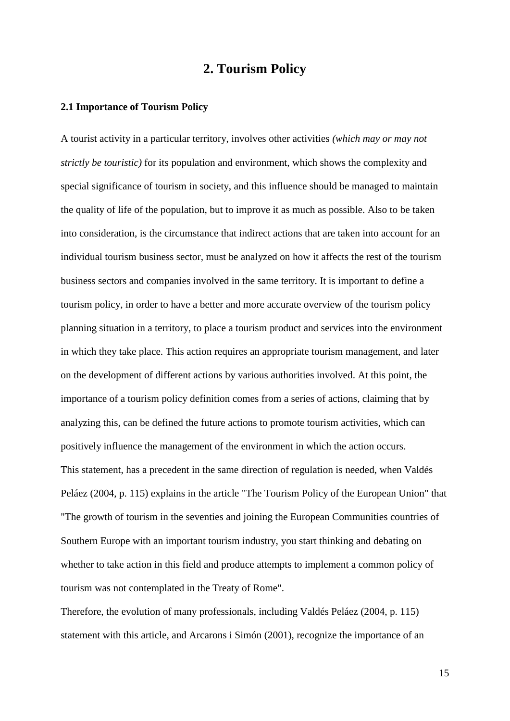# **2. Tourism Policy**

#### **2.1 Importance of Tourism Policy**

A tourist activity in a particular territory, involves other activities *(which may or may not strictly be touristic)* for its population and environment, which shows the complexity and special significance of tourism in society, and this influence should be managed to maintain the quality of life of the population, but to improve it as much as possible. Also to be taken into consideration, is the circumstance that indirect actions that are taken into account for an individual tourism business sector, must be analyzed on how it affects the rest of the tourism business sectors and companies involved in the same territory. It is important to define a tourism policy, in order to have a better and more accurate overview of the tourism policy planning situation in a territory, to place a tourism product and services into the environment in which they take place. This action requires an appropriate tourism management, and later on the development of different actions by various authorities involved. At this point, the importance of a tourism policy definition comes from a series of actions, claiming that by analyzing this, can be defined the future actions to promote tourism activities, which can positively influence the management of the environment in which the action occurs. This statement, has a precedent in the same direction of regulation is needed, when Valdés Peláez (2004, p. 115) explains in the article "The Tourism Policy of the European Union" that "The growth of tourism in the seventies and joining the European Communities countries of Southern Europe with an important tourism industry, you start thinking and debating on whether to take action in this field and produce attempts to implement a common policy of tourism was not contemplated in the Treaty of Rome".

Therefore, the evolution of many professionals, including Valdés Peláez (2004, p. 115) statement with this article, and Arcarons i Simón (2001), recognize the importance of an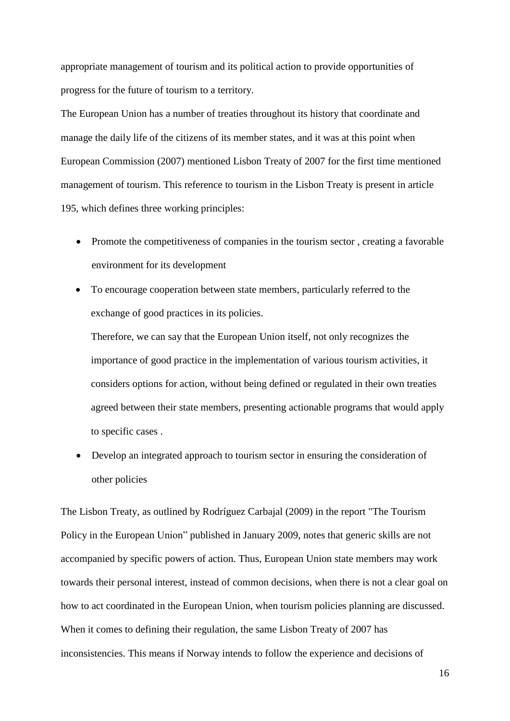appropriate management of tourism and its political action to provide opportunities of progress for the future of tourism to a territory.

The European Union has a number of treaties throughout its history that coordinate and manage the daily life of the citizens of its member states, and it was at this point when European Commission (2007) mentioned Lisbon Treaty of 2007 for the first time mentioned management of tourism. This reference to tourism in the Lisbon Treaty is present in article 195, which defines three working principles:

- Promote the competitiveness of companies in the tourism sector, creating a favorable environment for its development
- To encourage cooperation between state members, particularly referred to the exchange of good practices in its policies.

Therefore, we can say that the European Union itself, not only recognizes the importance of good practice in the implementation of various tourism activities, it considers options for action, without being defined or regulated in their own treaties agreed between their state members, presenting actionable programs that would apply to specific cases .

 Develop an integrated approach to tourism sector in ensuring the consideration of other policies

The Lisbon Treaty, as outlined by Rodríguez Carbajal (2009) in the report "The Tourism Policy in the European Union" published in January 2009, notes that generic skills are not accompanied by specific powers of action. Thus, European Union state members may work towards their personal interest, instead of common decisions, when there is not a clear goal on how to act coordinated in the European Union, when tourism policies planning are discussed. When it comes to defining their regulation, the same Lisbon Treaty of 2007 has inconsistencies. This means if Norway intends to follow the experience and decisions of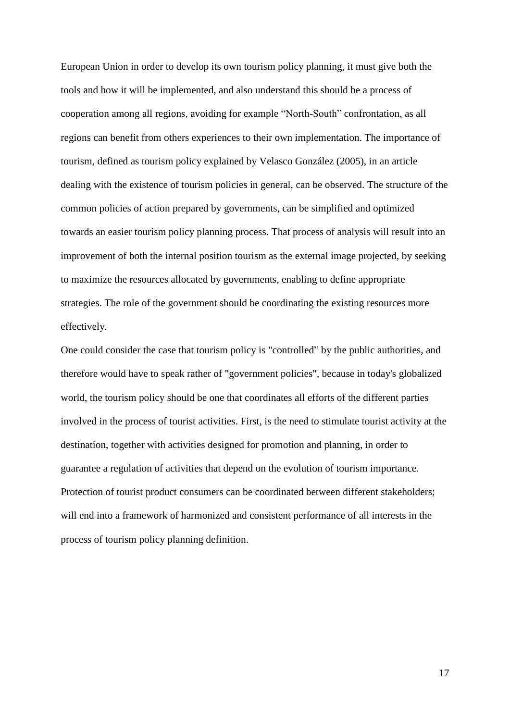European Union in order to develop its own tourism policy planning, it must give both the tools and how it will be implemented, and also understand this should be a process of cooperation among all regions, avoiding for example "North-South" confrontation, as all regions can benefit from others experiences to their own implementation. The importance of tourism, defined as tourism policy explained by Velasco González (2005), in an article dealing with the existence of tourism policies in general, can be observed. The structure of the common policies of action prepared by governments, can be simplified and optimized towards an easier tourism policy planning process. That process of analysis will result into an improvement of both the internal position tourism as the external image projected, by seeking to maximize the resources allocated by governments, enabling to define appropriate strategies. The role of the government should be coordinating the existing resources more effectively.

One could consider the case that tourism policy is "controlled" by the public authorities, and therefore would have to speak rather of "government policies", because in today's globalized world, the tourism policy should be one that coordinates all efforts of the different parties involved in the process of tourist activities. First, is the need to stimulate tourist activity at the destination, together with activities designed for promotion and planning, in order to guarantee a regulation of activities that depend on the evolution of tourism importance. Protection of tourist product consumers can be coordinated between different stakeholders; will end into a framework of harmonized and consistent performance of all interests in the process of tourism policy planning definition.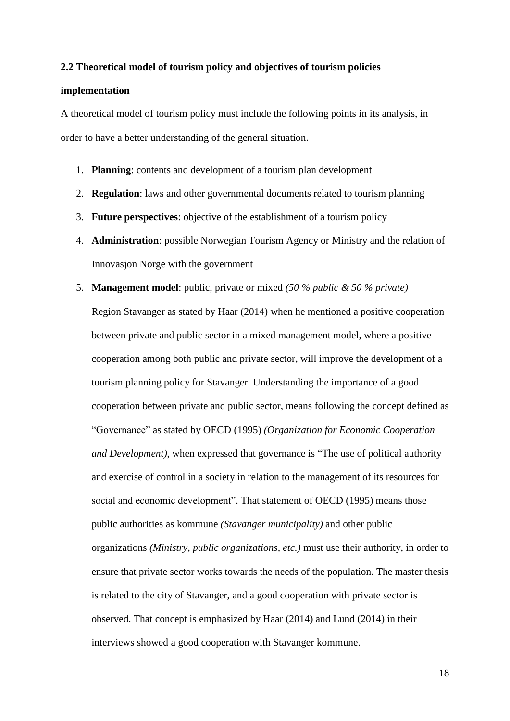#### **2.2 Theoretical model of tourism policy and objectives of tourism policies**

# **implementation**

A theoretical model of tourism policy must include the following points in its analysis, in order to have a better understanding of the general situation.

- 1. **Planning**: contents and development of a tourism plan development
- 2. **Regulation**: laws and other governmental documents related to tourism planning
- 3. **Future perspectives**: objective of the establishment of a tourism policy
- 4. **Administration**: possible Norwegian Tourism Agency or Ministry and the relation of Innovasjon Norge with the government
- 5. **Management model**: public, private or mixed *(50 % public & 50 % private)* Region Stavanger as stated by Haar (2014) when he mentioned a positive cooperation between private and public sector in a mixed management model, where a positive cooperation among both public and private sector, will improve the development of a tourism planning policy for Stavanger. Understanding the importance of a good cooperation between private and public sector, means following the concept defined as "Governance" as stated by OECD (1995) *(Organization for Economic Cooperation and Development)*, when expressed that governance is "The use of political authority and exercise of control in a society in relation to the management of its resources for social and economic development". That statement of OECD (1995) means those public authorities as kommune *(Stavanger municipality)* and other public organizations *(Ministry, public organizations, etc.)* must use their authority, in order to ensure that private sector works towards the needs of the population. The master thesis is related to the city of Stavanger, and a good cooperation with private sector is observed. That concept is emphasized by Haar (2014) and Lund (2014) in their interviews showed a good cooperation with Stavanger kommune.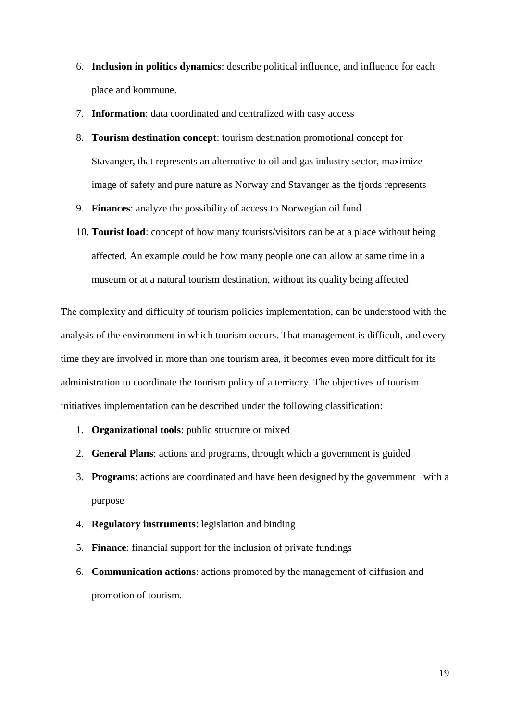- 6. **Inclusion in politics dynamics**: describe political influence, and influence for each place and kommune.
- 7. **Information**: data coordinated and centralized with easy access
- 8. **Tourism destination concept**: tourism destination promotional concept for Stavanger, that represents an alternative to oil and gas industry sector, maximize image of safety and pure nature as Norway and Stavanger as the fjords represents
- 9. **Finances**: analyze the possibility of access to Norwegian oil fund
- 10. **Tourist load**: concept of how many tourists/visitors can be at a place without being affected. An example could be how many people one can allow at same time in a museum or at a natural tourism destination, without its quality being affected

The complexity and difficulty of tourism policies implementation, can be understood with the analysis of the environment in which tourism occurs. That management is difficult, and every time they are involved in more than one tourism area, it becomes even more difficult for its administration to coordinate the tourism policy of a territory. The objectives of tourism initiatives implementation can be described under the following classification:

- 1. **Organizational tools**: public structure or mixed
- 2. **General Plans**: actions and programs, through which a government is guided
- 3. **Programs**: actions are coordinated and have been designed by the government with a purpose
- 4. **Regulatory instruments**: legislation and binding
- 5. **Finance**: financial support for the inclusion of private fundings
- 6. **Communication actions**: actions promoted by the management of diffusion and promotion of tourism.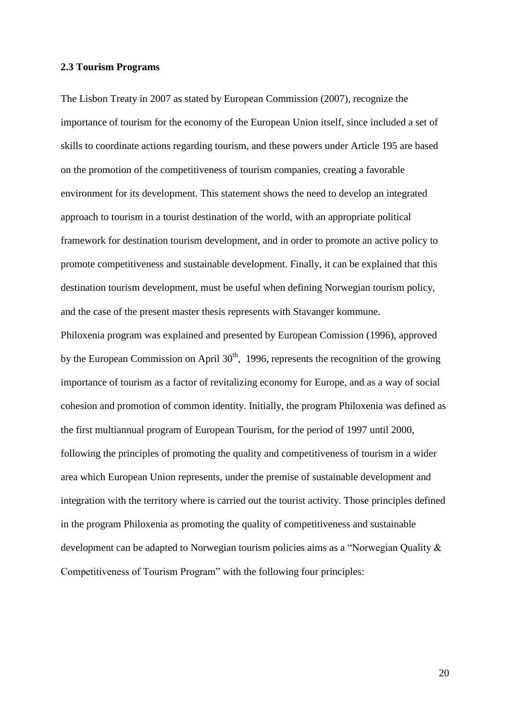## **2.3 Tourism Programs**

The Lisbon Treaty in 2007 as stated by European Commission (2007), recognize the importance of tourism for the economy of the European Union itself, since included a set of skills to coordinate actions regarding tourism, and these powers under Article 195 are based on the promotion of the competitiveness of tourism companies, creating a favorable environment for its development. This statement shows the need to develop an integrated approach to tourism in a tourist destination of the world, with an appropriate political framework for destination tourism development, and in order to promote an active policy to promote competitiveness and sustainable development. Finally, it can be explained that this destination tourism development, must be useful when defining Norwegian tourism policy, and the case of the present master thesis represents with Stavanger kommune.

Philoxenia program was explained and presented by European Comission (1996), approved by the European Commission on April  $30<sup>th</sup>$ , 1996, represents the recognition of the growing importance of tourism as a factor of revitalizing economy for Europe, and as a way of social cohesion and promotion of common identity. Initially, the program Philoxenia was defined as the first multiannual program of European Tourism, for the period of 1997 until 2000, following the principles of promoting the quality and competitiveness of tourism in a wider area which European Union represents, under the premise of sustainable development and integration with the territory where is carried out the tourist activity. Those principles defined in the program Philoxenia as promoting the quality of competitiveness and sustainable development can be adapted to Norwegian tourism policies aims as a "Norwegian Quality & Competitiveness of Tourism Program" with the following four principles: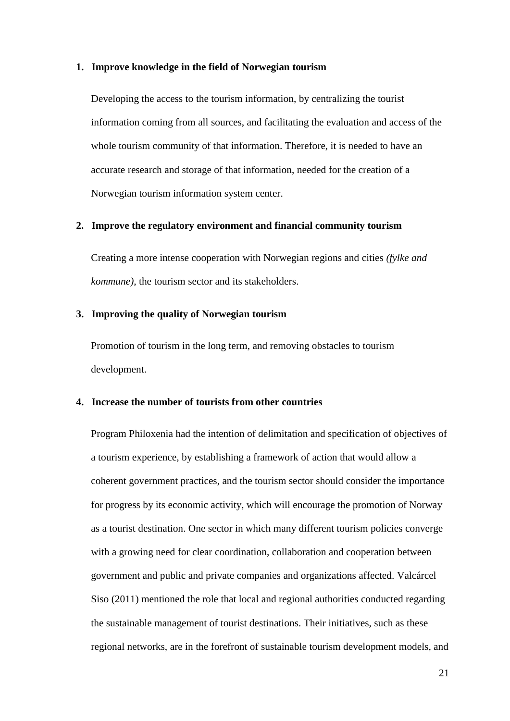#### **1. Improve knowledge in the field of Norwegian tourism**

Developing the access to the tourism information, by centralizing the tourist information coming from all sources, and facilitating the evaluation and access of the whole tourism community of that information. Therefore, it is needed to have an accurate research and storage of that information, needed for the creation of a Norwegian tourism information system center.

## **2. Improve the regulatory environment and financial community tourism**

Creating a more intense cooperation with Norwegian regions and cities *(fylke and kommune)*, the tourism sector and its stakeholders.

## **3. Improving the quality of Norwegian tourism**

Promotion of tourism in the long term, and removing obstacles to tourism development.

### **4. Increase the number of tourists from other countries**

Program Philoxenia had the intention of delimitation and specification of objectives of a tourism experience, by establishing a framework of action that would allow a coherent government practices, and the tourism sector should consider the importance for progress by its economic activity, which will encourage the promotion of Norway as a tourist destination. One sector in which many different tourism policies converge with a growing need for clear coordination, collaboration and cooperation between government and public and private companies and organizations affected. Valcárcel Siso (2011) mentioned the role that local and regional authorities conducted regarding the sustainable management of tourist destinations. Their initiatives, such as these regional networks, are in the forefront of sustainable tourism development models, and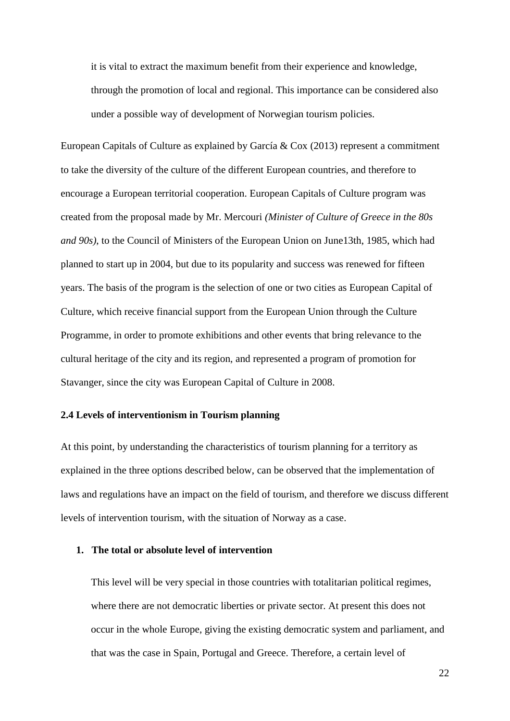it is vital to extract the maximum benefit from their experience and knowledge, through the promotion of local and regional. This importance can be considered also under a possible way of development of Norwegian tourism policies.

European Capitals of Culture as explained by García & Cox (2013) represent a commitment to take the diversity of the culture of the different European countries, and therefore to encourage a European territorial cooperation. European Capitals of Culture program was created from the proposal made by Mr. Mercouri *(Minister of Culture of Greece in the 80s and 90s)*, to the Council of Ministers of the European Union on June13th, 1985, which had planned to start up in 2004, but due to its popularity and success was renewed for fifteen years. The basis of the program is the selection of one or two cities as European Capital of Culture, which receive financial support from the European Union through the Culture Programme, in order to promote exhibitions and other events that bring relevance to the cultural heritage of the city and its region, and represented a program of promotion for Stavanger, since the city was European Capital of Culture in 2008.

# **2.4 Levels of interventionism in Tourism planning**

At this point, by understanding the characteristics of tourism planning for a territory as explained in the three options described below, can be observed that the implementation of laws and regulations have an impact on the field of tourism, and therefore we discuss different levels of intervention tourism, with the situation of Norway as a case.

#### **1. The total or absolute level of intervention**

This level will be very special in those countries with totalitarian political regimes, where there are not democratic liberties or private sector. At present this does not occur in the whole Europe, giving the existing democratic system and parliament, and that was the case in Spain, Portugal and Greece. Therefore, a certain level of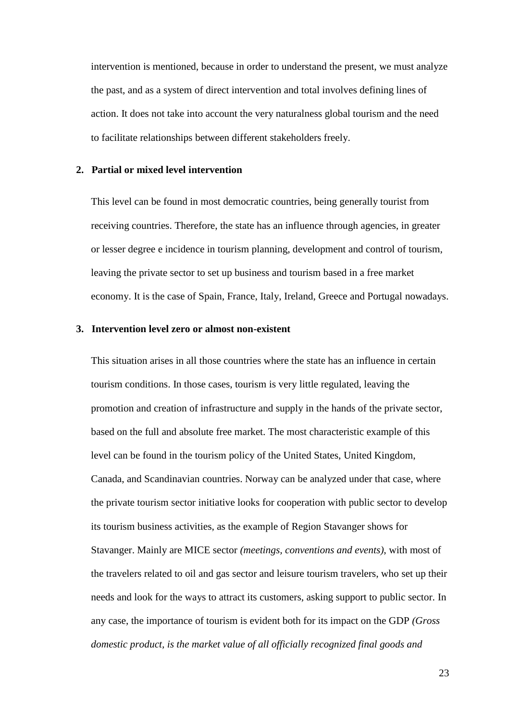intervention is mentioned, because in order to understand the present, we must analyze the past, and as a system of direct intervention and total involves defining lines of action. It does not take into account the very naturalness global tourism and the need to facilitate relationships between different stakeholders freely.

## **2. Partial or mixed level intervention**

This level can be found in most democratic countries, being generally tourist from receiving countries. Therefore, the state has an influence through agencies, in greater or lesser degree e incidence in tourism planning, development and control of tourism, leaving the private sector to set up business and tourism based in a free market economy. It is the case of Spain, France, Italy, Ireland, Greece and Portugal nowadays.

## **3. Intervention level zero or almost non-existent**

This situation arises in all those countries where the state has an influence in certain tourism conditions. In those cases, tourism is very little regulated, leaving the promotion and creation of infrastructure and supply in the hands of the private sector, based on the full and absolute free market. The most characteristic example of this level can be found in the tourism policy of the United States, United Kingdom, Canada, and Scandinavian countries. Norway can be analyzed under that case, where the private tourism sector initiative looks for cooperation with public sector to develop its tourism business activities, as the example of Region Stavanger shows for Stavanger. Mainly are MICE sector *(meetings, conventions and events)*, with most of the travelers related to oil and gas sector and leisure tourism travelers, who set up their needs and look for the ways to attract its customers, asking support to public sector. In any case, the importance of tourism is evident both for its impact on the GDP *(Gross domestic product, is the market value of all officially recognized final goods and*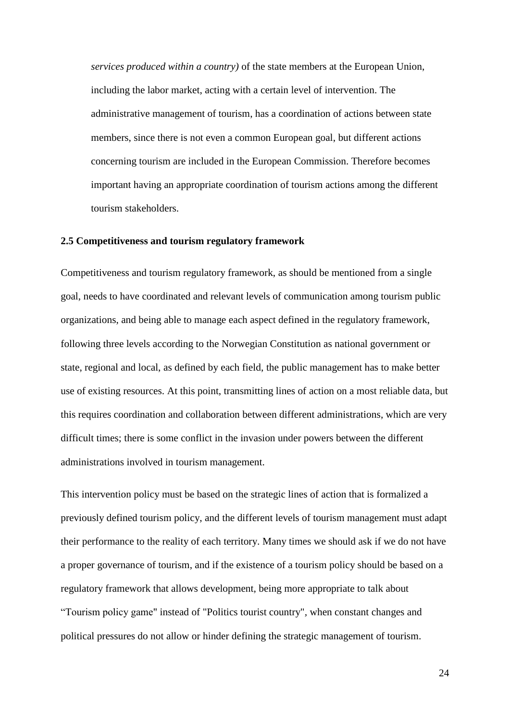*services produced within a country)* of the state members at the European Union, including the labor market, acting with a certain level of intervention. The administrative management of tourism, has a coordination of actions between state members, since there is not even a common European goal, but different actions concerning tourism are included in the European Commission. Therefore becomes important having an appropriate coordination of tourism actions among the different tourism stakeholders.

#### **2.5 Competitiveness and tourism regulatory framework**

Competitiveness and tourism regulatory framework, as should be mentioned from a single goal, needs to have coordinated and relevant levels of communication among tourism public organizations, and being able to manage each aspect defined in the regulatory framework, following three levels according to the Norwegian Constitution as national government or state, regional and local, as defined by each field, the public management has to make better use of existing resources. At this point, transmitting lines of action on a most reliable data, but this requires coordination and collaboration between different administrations, which are very difficult times; there is some conflict in the invasion under powers between the different administrations involved in tourism management.

This intervention policy must be based on the strategic lines of action that is formalized a previously defined tourism policy, and the different levels of tourism management must adapt their performance to the reality of each territory. Many times we should ask if we do not have a proper governance of tourism, and if the existence of a tourism policy should be based on a regulatory framework that allows development, being more appropriate to talk about "Tourism policy game" instead of "Politics tourist country"*,* when constant changes and political pressures do not allow or hinder defining the strategic management of tourism.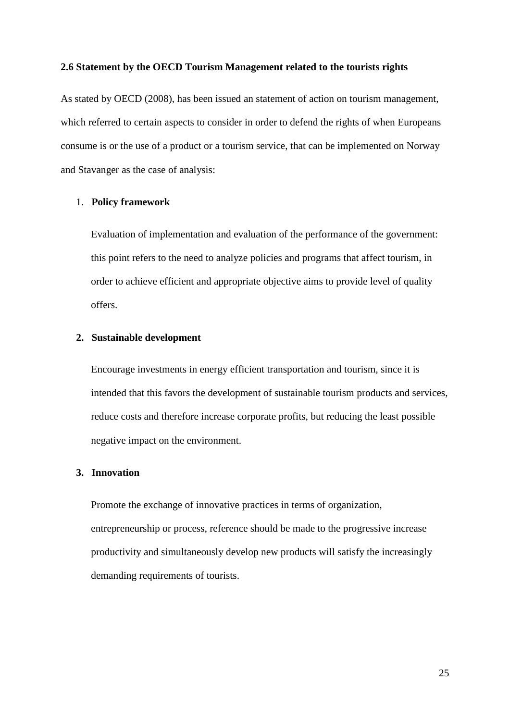## **2.6 Statement by the OECD Tourism Management related to the tourists rights**

As stated by OECD (2008), has been issued an statement of action on tourism management, which referred to certain aspects to consider in order to defend the rights of when Europeans consume is or the use of a product or a tourism service, that can be implemented on Norway and Stavanger as the case of analysis:

# 1. **Policy framework**

Evaluation of implementation and evaluation of the performance of the government: this point refers to the need to analyze policies and programs that affect tourism, in order to achieve efficient and appropriate objective aims to provide level of quality offers.

# **2. Sustainable development**

Encourage investments in energy efficient transportation and tourism, since it is intended that this favors the development of sustainable tourism products and services, reduce costs and therefore increase corporate profits, but reducing the least possible negative impact on the environment.

# **3. Innovation**

Promote the exchange of innovative practices in terms of organization, entrepreneurship or process, reference should be made to the progressive increase productivity and simultaneously develop new products will satisfy the increasingly demanding requirements of tourists.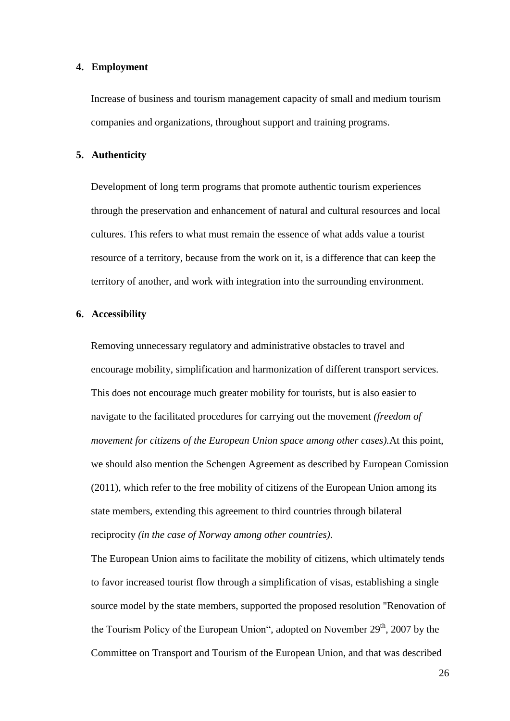## **4. Employment**

Increase of business and tourism management capacity of small and medium tourism companies and organizations, throughout support and training programs.

# **5. Authenticity**

Development of long term programs that promote authentic tourism experiences through the preservation and enhancement of natural and cultural resources and local cultures. This refers to what must remain the essence of what adds value a tourist resource of a territory, because from the work on it, is a difference that can keep the territory of another, and work with integration into the surrounding environment.

# **6. Accessibility**

Removing unnecessary regulatory and administrative obstacles to travel and encourage mobility, simplification and harmonization of different transport services. This does not encourage much greater mobility for tourists, but is also easier to navigate to the facilitated procedures for carrying out the movement *(freedom of movement for citizens of the European Union space among other cases).*At this point, we should also mention the Schengen Agreement as described by European Comission (2011), which refer to the free mobility of citizens of the European Union among its state members, extending this agreement to third countries through bilateral reciprocity *(in the case of Norway among other countries)*.

The European Union aims to facilitate the mobility of citizens, which ultimately tends to favor increased tourist flow through a simplification of visas, establishing a single source model by the state members, supported the proposed resolution "Renovation of the Tourism Policy of the European Union", adopted on November  $29<sup>th</sup>$ , 2007 by the Committee on Transport and Tourism of the European Union, and that was described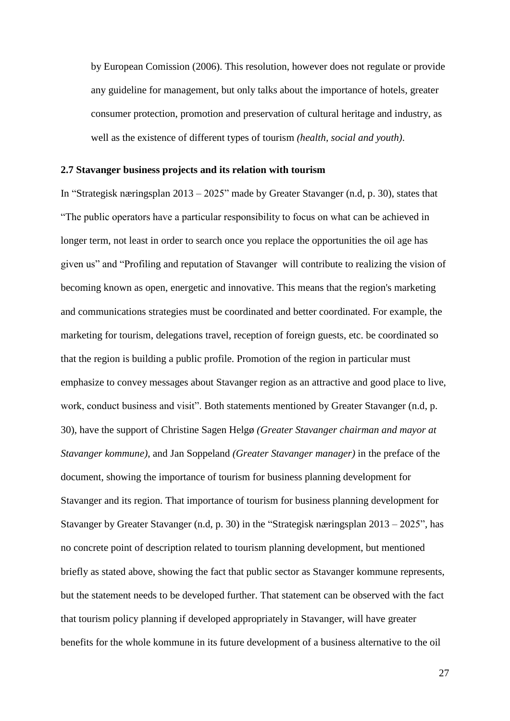by European Comission (2006). This resolution, however does not regulate or provide any guideline for management, but only talks about the importance of hotels, greater consumer protection, promotion and preservation of cultural heritage and industry, as well as the existence of different types of tourism *(health, social and youth)*.

# **2.7 Stavanger business projects and its relation with tourism**

In "Strategisk næringsplan 2013 – 2025" made by Greater Stavanger (n.d, p. 30), states that "The public operators have a particular responsibility to focus on what can be achieved in longer term, not least in order to search once you replace the opportunities the oil age has given us" and "Profiling and reputation of Stavanger will contribute to realizing the vision of becoming known as open, energetic and innovative. This means that the region's marketing and communications strategies must be coordinated and better coordinated. For example, the marketing for tourism, delegations travel, reception of foreign guests, etc. be coordinated so that the region is building a public profile. Promotion of the region in particular must emphasize to convey messages about Stavanger region as an attractive and good place to live, work, conduct business and visit". Both statements mentioned by Greater Stavanger (n.d, p. 30), have the support of Christine Sagen Helgø *(Greater Stavanger chairman and mayor at Stavanger kommune)*, and Jan Soppeland *(Greater Stavanger manager)* in the preface of the document, showing the importance of tourism for business planning development for Stavanger and its region. That importance of tourism for business planning development for Stavanger by Greater Stavanger (n.d, p. 30) in the "Strategisk næringsplan 2013 – 2025", has no concrete point of description related to tourism planning development, but mentioned briefly as stated above, showing the fact that public sector as Stavanger kommune represents, but the statement needs to be developed further. That statement can be observed with the fact that tourism policy planning if developed appropriately in Stavanger, will have greater benefits for the whole kommune in its future development of a business alternative to the oil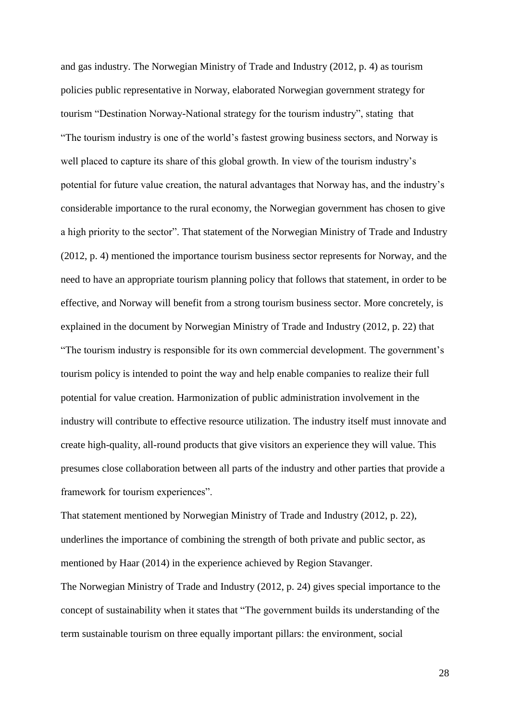and gas industry. The Norwegian Ministry of Trade and Industry (2012, p. 4) as tourism policies public representative in Norway, elaborated Norwegian government strategy for tourism "Destination Norway-National strategy for the tourism industry", stating that "The tourism industry is one of the world's fastest growing business sectors, and Norway is well placed to capture its share of this global growth. In view of the tourism industry's potential for future value creation, the natural advantages that Norway has, and the industry's considerable importance to the rural economy, the Norwegian government has chosen to give a high priority to the sector". That statement of the Norwegian Ministry of Trade and Industry (2012, p. 4) mentioned the importance tourism business sector represents for Norway, and the need to have an appropriate tourism planning policy that follows that statement, in order to be effective, and Norway will benefit from a strong tourism business sector. More concretely, is explained in the document by Norwegian Ministry of Trade and Industry (2012, p. 22) that "The tourism industry is responsible for its own commercial development. The government's tourism policy is intended to point the way and help enable companies to realize their full potential for value creation. Harmonization of public administration involvement in the industry will contribute to effective resource utilization. The industry itself must innovate and create high-quality, all-round products that give visitors an experience they will value. This presumes close collaboration between all parts of the industry and other parties that provide a framework for tourism experiences".

That statement mentioned by Norwegian Ministry of Trade and Industry (2012, p. 22), underlines the importance of combining the strength of both private and public sector, as mentioned by Haar (2014) in the experience achieved by Region Stavanger.

The Norwegian Ministry of Trade and Industry (2012, p. 24) gives special importance to the concept of sustainability when it states that "The government builds its understanding of the term sustainable tourism on three equally important pillars: the environment, social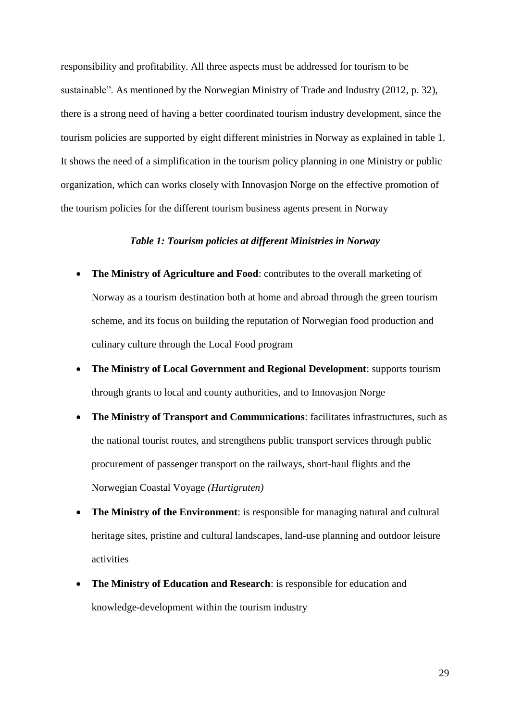responsibility and profitability. All three aspects must be addressed for tourism to be sustainable". As mentioned by the Norwegian Ministry of Trade and Industry (2012, p. 32), there is a strong need of having a better coordinated tourism industry development, since the tourism policies are supported by eight different ministries in Norway as explained in table 1. It shows the need of a simplification in the tourism policy planning in one Ministry or public organization, which can works closely with Innovasjon Norge on the effective promotion of the tourism policies for the different tourism business agents present in Norway

# *Table 1: Tourism policies at different Ministries in Norway*

- **The Ministry of Agriculture and Food**: contributes to the overall marketing of Norway as a tourism destination both at home and abroad through the green tourism scheme, and its focus on building the reputation of Norwegian food production and culinary culture through the Local Food program
- **The Ministry of Local Government and Regional Development**: supports tourism through grants to local and county authorities, and to Innovasjon Norge
- **The Ministry of Transport and Communications**: facilitates infrastructures, such as the national tourist routes, and strengthens public transport services through public procurement of passenger transport on the railways, short-haul flights and the Norwegian Coastal Voyage *(Hurtigruten)*
- **The Ministry of the Environment**: is responsible for managing natural and cultural heritage sites, pristine and cultural landscapes, land-use planning and outdoor leisure activities
- **The Ministry of Education and Research**: is responsible for education and knowledge-development within the tourism industry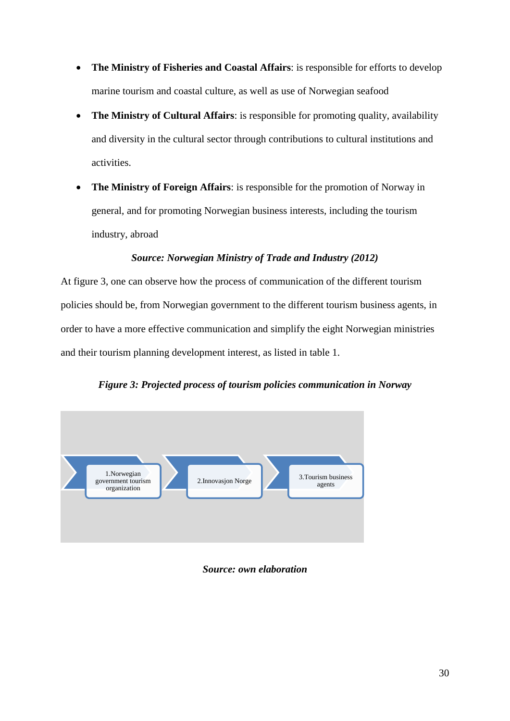- **The Ministry of Fisheries and Coastal Affairs**: is responsible for efforts to develop marine tourism and coastal culture, as well as use of Norwegian seafood
- **The Ministry of Cultural Affairs**: is responsible for promoting quality, availability and diversity in the cultural sector through contributions to cultural institutions and activities.
- **The Ministry of Foreign Affairs**: is responsible for the promotion of Norway in general, and for promoting Norwegian business interests, including the tourism industry, abroad

# *Source: Norwegian Ministry of Trade and Industry (2012)*

At figure 3, one can observe how the process of communication of the different tourism policies should be, from Norwegian government to the different tourism business agents, in order to have a more effective communication and simplify the eight Norwegian ministries and their tourism planning development interest, as listed in table 1.

# *Figure 3: Projected process of tourism policies communication in Norway*



# *Source: own elaboration*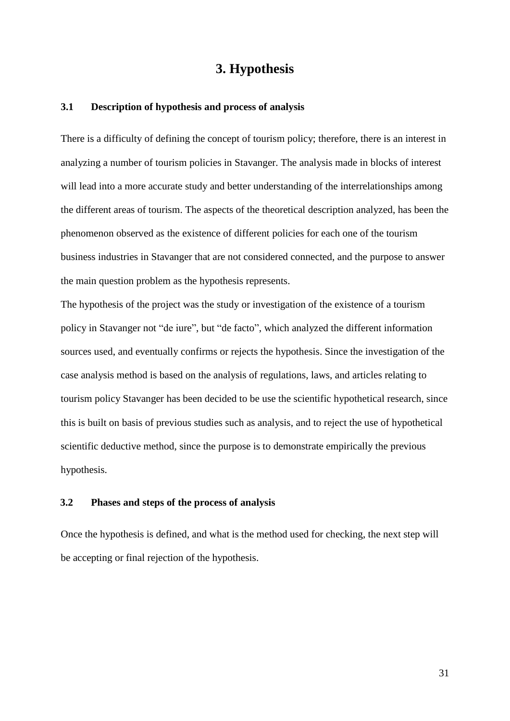# **3. Hypothesis**

### **3.1 Description of hypothesis and process of analysis**

There is a difficulty of defining the concept of tourism policy; therefore, there is an interest in analyzing a number of tourism policies in Stavanger. The analysis made in blocks of interest will lead into a more accurate study and better understanding of the interrelationships among the different areas of tourism. The aspects of the theoretical description analyzed, has been the phenomenon observed as the existence of different policies for each one of the tourism business industries in Stavanger that are not considered connected, and the purpose to answer the main question problem as the hypothesis represents.

The hypothesis of the project was the study or investigation of the existence of a tourism policy in Stavanger not "de iure", but "de facto", which analyzed the different information sources used, and eventually confirms or rejects the hypothesis. Since the investigation of the case analysis method is based on the analysis of regulations, laws, and articles relating to tourism policy Stavanger has been decided to be use the scientific hypothetical research, since this is built on basis of previous studies such as analysis, and to reject the use of hypothetical scientific deductive method, since the purpose is to demonstrate empirically the previous hypothesis.

# **3.2 Phases and steps of the process of analysis**

Once the hypothesis is defined, and what is the method used for checking, the next step will be accepting or final rejection of the hypothesis.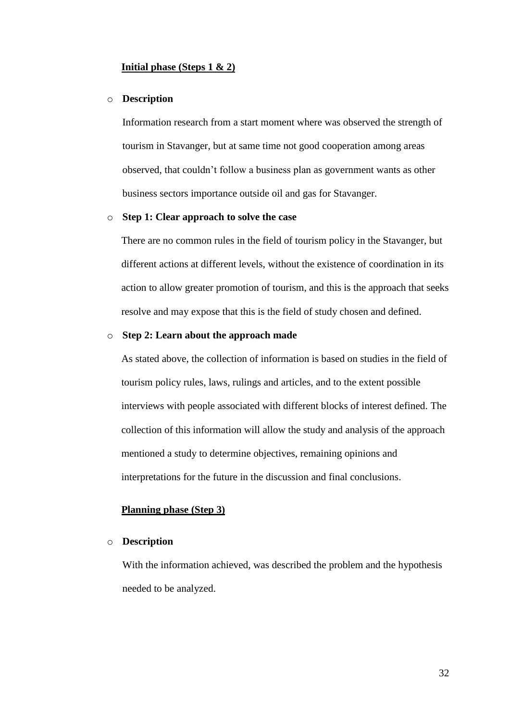## **Initial phase (Steps 1 & 2)**

#### o **Description**

Information research from a start moment where was observed the strength of tourism in Stavanger, but at same time not good cooperation among areas observed, that couldn't follow a business plan as government wants as other business sectors importance outside oil and gas for Stavanger.

## o **Step 1: Clear approach to solve the case**

There are no common rules in the field of tourism policy in the Stavanger, but different actions at different levels, without the existence of coordination in its action to allow greater promotion of tourism, and this is the approach that seeks resolve and may expose that this is the field of study chosen and defined.

# o **Step 2: Learn about the approach made**

As stated above, the collection of information is based on studies in the field of tourism policy rules, laws, rulings and articles, and to the extent possible interviews with people associated with different blocks of interest defined. The collection of this information will allow the study and analysis of the approach mentioned a study to determine objectives, remaining opinions and interpretations for the future in the discussion and final conclusions.

## **Planning phase (Step 3)**

# o **Description**

With the information achieved, was described the problem and the hypothesis needed to be analyzed.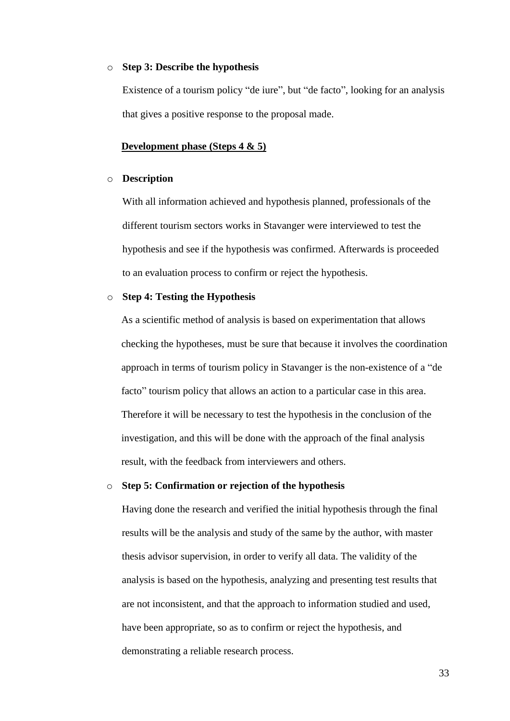#### o **Step 3: Describe the hypothesis**

Existence of a tourism policy "de iure", but "de facto", looking for an analysis that gives a positive response to the proposal made.

### **Development phase (Steps 4 & 5)**

# o **Description**

With all information achieved and hypothesis planned, professionals of the different tourism sectors works in Stavanger were interviewed to test the hypothesis and see if the hypothesis was confirmed. Afterwards is proceeded to an evaluation process to confirm or reject the hypothesis.

# o **Step 4: Testing the Hypothesis**

As a scientific method of analysis is based on experimentation that allows checking the hypotheses, must be sure that because it involves the coordination approach in terms of tourism policy in Stavanger is the non-existence of a "de facto" tourism policy that allows an action to a particular case in this area. Therefore it will be necessary to test the hypothesis in the conclusion of the investigation, and this will be done with the approach of the final analysis result, with the feedback from interviewers and others.

#### o **Step 5: Confirmation or rejection of the hypothesis**

Having done the research and verified the initial hypothesis through the final results will be the analysis and study of the same by the author, with master thesis advisor supervision, in order to verify all data. The validity of the analysis is based on the hypothesis, analyzing and presenting test results that are not inconsistent, and that the approach to information studied and used, have been appropriate, so as to confirm or reject the hypothesis, and demonstrating a reliable research process.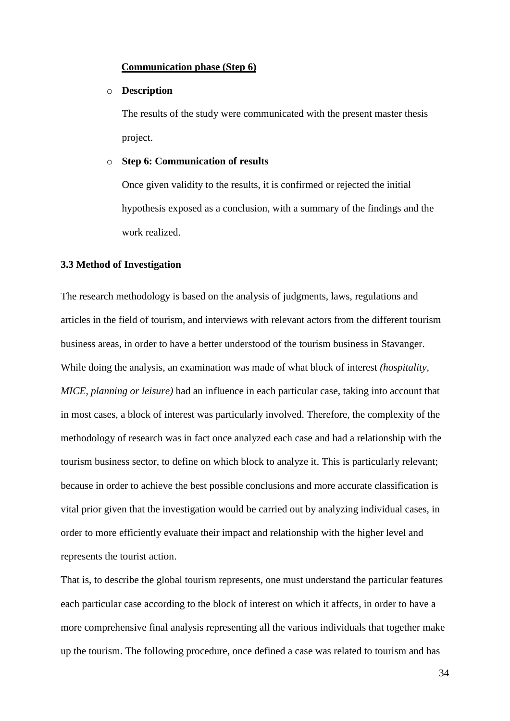# **Communication phase (Step 6)**

## o **Description**

The results of the study were communicated with the present master thesis project.

### o **Step 6: Communication of results**

Once given validity to the results, it is confirmed or rejected the initial hypothesis exposed as a conclusion, with a summary of the findings and the work realized.

#### **3.3 Method of Investigation**

The research methodology is based on the analysis of judgments, laws, regulations and articles in the field of tourism, and interviews with relevant actors from the different tourism business areas, in order to have a better understood of the tourism business in Stavanger. While doing the analysis, an examination was made of what block of interest *(hospitality, MICE, planning or leisure)* had an influence in each particular case, taking into account that in most cases, a block of interest was particularly involved. Therefore, the complexity of the methodology of research was in fact once analyzed each case and had a relationship with the tourism business sector, to define on which block to analyze it. This is particularly relevant; because in order to achieve the best possible conclusions and more accurate classification is vital prior given that the investigation would be carried out by analyzing individual cases, in order to more efficiently evaluate their impact and relationship with the higher level and represents the tourist action.

That is, to describe the global tourism represents, one must understand the particular features each particular case according to the block of interest on which it affects, in order to have a more comprehensive final analysis representing all the various individuals that together make up the tourism. The following procedure, once defined a case was related to tourism and has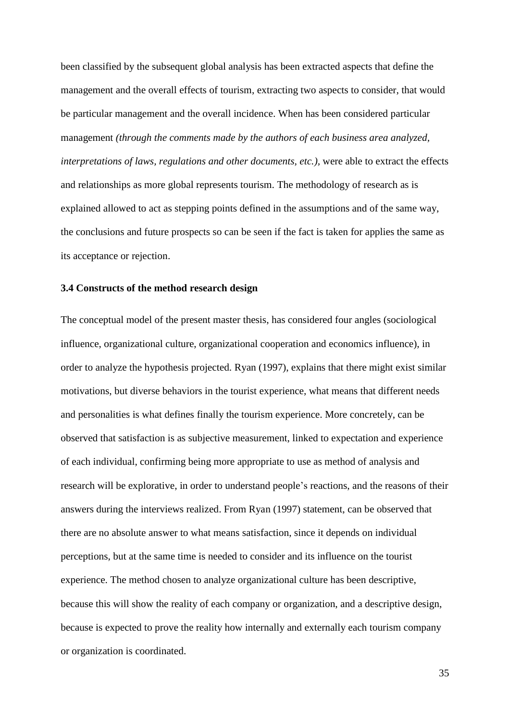been classified by the subsequent global analysis has been extracted aspects that define the management and the overall effects of tourism, extracting two aspects to consider, that would be particular management and the overall incidence. When has been considered particular management *(through the comments made by the authors of each business area analyzed, interpretations of laws, regulations and other documents, etc.),* were able to extract the effects and relationships as more global represents tourism. The methodology of research as is explained allowed to act as stepping points defined in the assumptions and of the same way, the conclusions and future prospects so can be seen if the fact is taken for applies the same as its acceptance or rejection.

## **3.4 Constructs of the method research design**

The conceptual model of the present master thesis, has considered four angles (sociological influence, organizational culture, organizational cooperation and economics influence), in order to analyze the hypothesis projected. Ryan (1997), explains that there might exist similar motivations, but diverse behaviors in the tourist experience, what means that different needs and personalities is what defines finally the tourism experience. More concretely, can be observed that satisfaction is as subjective measurement, linked to expectation and experience of each individual, confirming being more appropriate to use as method of analysis and research will be explorative, in order to understand people's reactions, and the reasons of their answers during the interviews realized. From Ryan (1997) statement, can be observed that there are no absolute answer to what means satisfaction, since it depends on individual perceptions, but at the same time is needed to consider and its influence on the tourist experience. The method chosen to analyze organizational culture has been descriptive, because this will show the reality of each company or organization, and a descriptive design, because is expected to prove the reality how internally and externally each tourism company or organization is coordinated.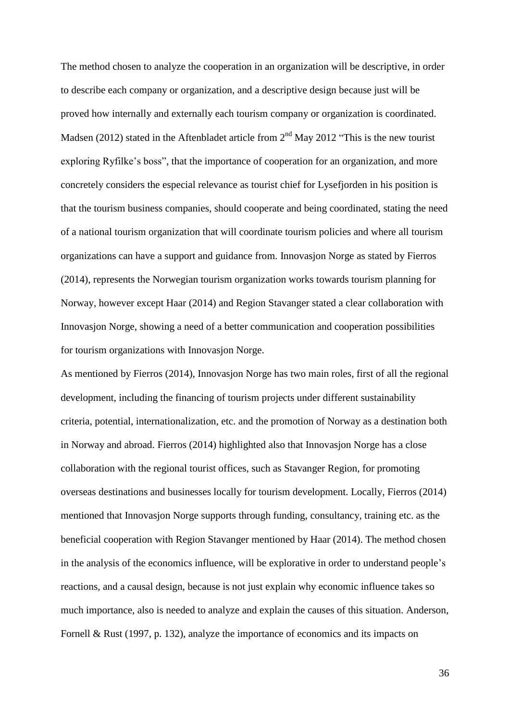The method chosen to analyze the cooperation in an organization will be descriptive, in order to describe each company or organization, and a descriptive design because just will be proved how internally and externally each tourism company or organization is coordinated. Madsen (2012) stated in the Aftenbladet article from  $2<sup>nd</sup>$  May 2012 "This is the new tourist exploring Ryfilke's boss", that the importance of cooperation for an organization, and more concretely considers the especial relevance as tourist chief for Lysefjorden in his position is that the tourism business companies, should cooperate and being coordinated, stating the need of a national tourism organization that will coordinate tourism policies and where all tourism organizations can have a support and guidance from. Innovasjon Norge as stated by Fierros (2014), represents the Norwegian tourism organization works towards tourism planning for Norway, however except Haar (2014) and Region Stavanger stated a clear collaboration with Innovasjon Norge, showing a need of a better communication and cooperation possibilities for tourism organizations with Innovasjon Norge.

As mentioned by Fierros (2014), Innovasjon Norge has two main roles, first of all the regional development, including the financing of tourism projects under different sustainability criteria, potential, internationalization, etc. and the promotion of Norway as a destination both in Norway and abroad. Fierros (2014) highlighted also that Innovasjon Norge has a close collaboration with the regional tourist offices, such as Stavanger Region, for promoting overseas destinations and businesses locally for tourism development. Locally, Fierros (2014) mentioned that Innovasjon Norge supports through funding, consultancy, training etc. as the beneficial cooperation with Region Stavanger mentioned by Haar (2014). The method chosen in the analysis of the economics influence, will be explorative in order to understand people's reactions, and a causal design, because is not just explain why economic influence takes so much importance, also is needed to analyze and explain the causes of this situation. Anderson, Fornell & Rust (1997, p. 132), analyze the importance of economics and its impacts on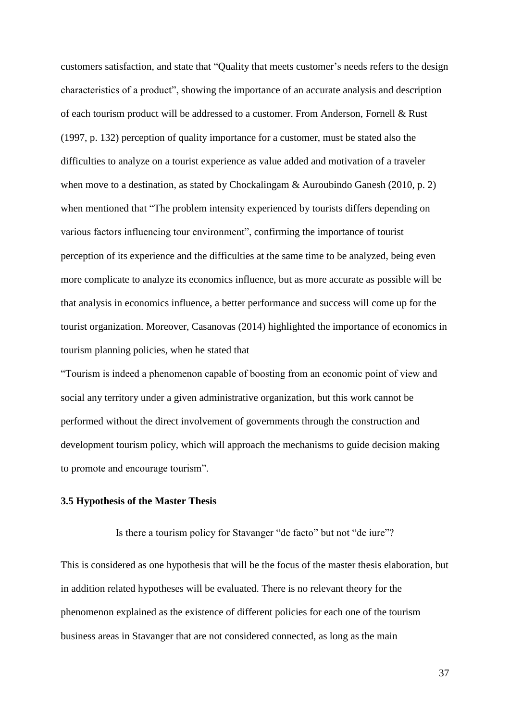customers satisfaction, and state that "Quality that meets customer's needs refers to the design characteristics of a product", showing the importance of an accurate analysis and description of each tourism product will be addressed to a customer. From Anderson, Fornell & Rust (1997, p. 132) perception of quality importance for a customer, must be stated also the difficulties to analyze on a tourist experience as value added and motivation of a traveler when move to a destination, as stated by Chockalingam & Auroubindo Ganesh (2010, p. 2) when mentioned that "The problem intensity experienced by tourists differs depending on various factors influencing tour environment", confirming the importance of tourist perception of its experience and the difficulties at the same time to be analyzed, being even more complicate to analyze its economics influence, but as more accurate as possible will be that analysis in economics influence, a better performance and success will come up for the tourist organization. Moreover, Casanovas (2014) highlighted the importance of economics in tourism planning policies, when he stated that

"Tourism is indeed a phenomenon capable of boosting from an economic point of view and social any territory under a given administrative organization, but this work cannot be performed without the direct involvement of governments through the construction and development tourism policy, which will approach the mechanisms to guide decision making to promote and encourage tourism".

#### **3.5 Hypothesis of the Master Thesis**

Is there a tourism policy for Stavanger "de facto" but not "de iure"?

This is considered as one hypothesis that will be the focus of the master thesis elaboration, but in addition related hypotheses will be evaluated. There is no relevant theory for the phenomenon explained as the existence of different policies for each one of the tourism business areas in Stavanger that are not considered connected, as long as the main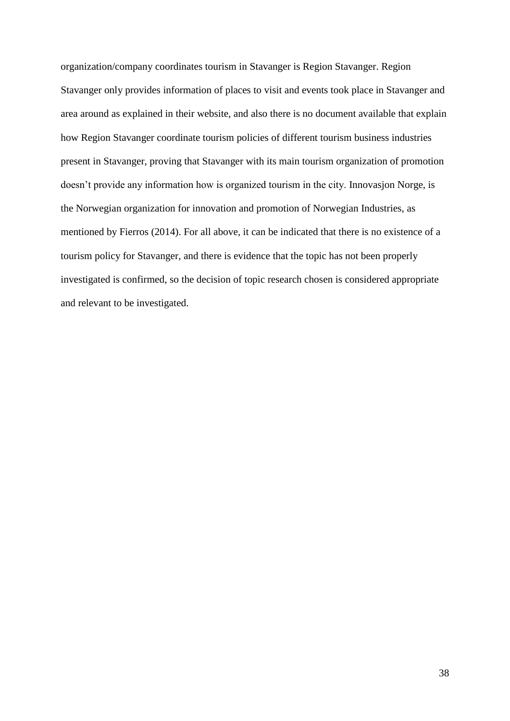organization/company coordinates tourism in Stavanger is Region Stavanger. Region Stavanger only provides information of places to visit and events took place in Stavanger and area around as explained in their website, and also there is no document available that explain how Region Stavanger coordinate tourism policies of different tourism business industries present in Stavanger, proving that Stavanger with its main tourism organization of promotion doesn't provide any information how is organized tourism in the city. Innovasjon Norge, is the Norwegian organization for innovation and promotion of Norwegian Industries, as mentioned by Fierros (2014). For all above, it can be indicated that there is no existence of a tourism policy for Stavanger, and there is evidence that the topic has not been properly investigated is confirmed, so the decision of topic research chosen is considered appropriate and relevant to be investigated.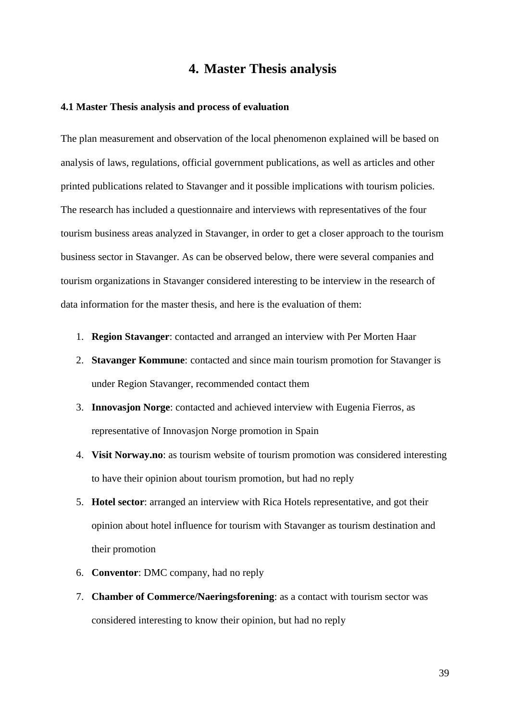# **4. Master Thesis analysis**

#### **4.1 Master Thesis analysis and process of evaluation**

The plan measurement and observation of the local phenomenon explained will be based on analysis of laws, regulations, official government publications, as well as articles and other printed publications related to Stavanger and it possible implications with tourism policies. The research has included a questionnaire and interviews with representatives of the four tourism business areas analyzed in Stavanger, in order to get a closer approach to the tourism business sector in Stavanger. As can be observed below, there were several companies and tourism organizations in Stavanger considered interesting to be interview in the research of data information for the master thesis, and here is the evaluation of them:

- 1. **Region Stavanger**: contacted and arranged an interview with Per Morten Haar
- 2. **Stavanger Kommune**: contacted and since main tourism promotion for Stavanger is under Region Stavanger, recommended contact them
- 3. **Innovasjon Norge**: contacted and achieved interview with Eugenia Fierros, as representative of Innovasjon Norge promotion in Spain
- 4. **Visit Norway.no**: as tourism website of tourism promotion was considered interesting to have their opinion about tourism promotion, but had no reply
- 5. **Hotel sector**: arranged an interview with Rica Hotels representative, and got their opinion about hotel influence for tourism with Stavanger as tourism destination and their promotion
- 6. **Conventor**: DMC company, had no reply
- 7. **Chamber of Commerce/Naeringsforening**: as a contact with tourism sector was considered interesting to know their opinion, but had no reply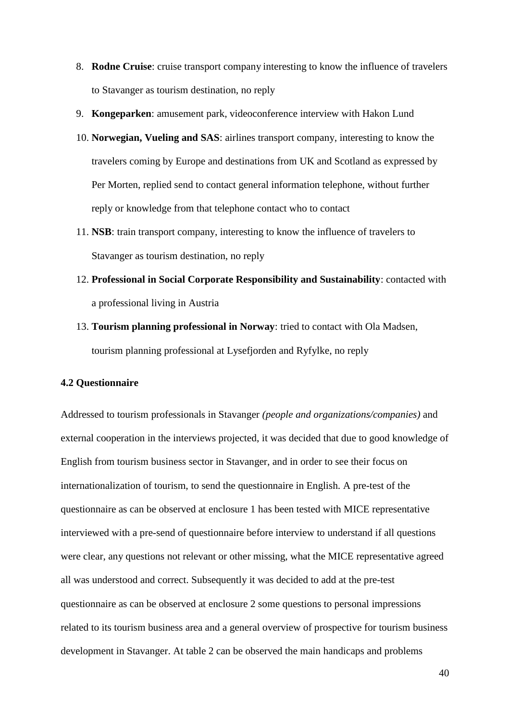- 8. **Rodne Cruise**: cruise transport company interesting to know the influence of travelers to Stavanger as tourism destination, no reply
- 9. **Kongeparken**: amusement park, videoconference interview with Hakon Lund
- 10. **Norwegian, Vueling and SAS**: airlines transport company, interesting to know the travelers coming by Europe and destinations from UK and Scotland as expressed by Per Morten, replied send to contact general information telephone, without further reply or knowledge from that telephone contact who to contact
- 11. **NSB**: train transport company, interesting to know the influence of travelers to Stavanger as tourism destination, no reply
- 12. **Professional in Social Corporate Responsibility and Sustainability**: contacted with a professional living in Austria
- 13. **Tourism planning professional in Norway**: tried to contact with Ola Madsen, tourism planning professional at Lysefjorden and Ryfylke, no reply

### **4.2 Questionnaire**

Addressed to tourism professionals in Stavanger *(people and organizations/companies)* and external cooperation in the interviews projected, it was decided that due to good knowledge of English from tourism business sector in Stavanger, and in order to see their focus on internationalization of tourism, to send the questionnaire in English. A pre-test of the questionnaire as can be observed at enclosure 1 has been tested with MICE representative interviewed with a pre-send of questionnaire before interview to understand if all questions were clear, any questions not relevant or other missing, what the MICE representative agreed all was understood and correct. Subsequently it was decided to add at the pre-test questionnaire as can be observed at enclosure 2 some questions to personal impressions related to its tourism business area and a general overview of prospective for tourism business development in Stavanger. At table 2 can be observed the main handicaps and problems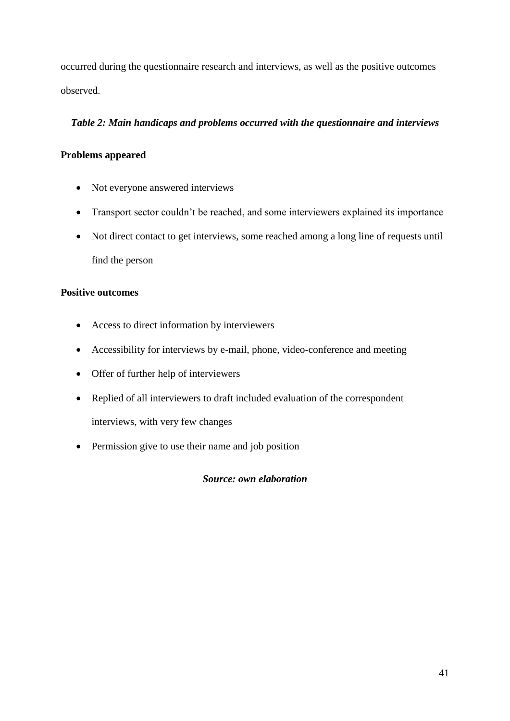occurred during the questionnaire research and interviews, as well as the positive outcomes observed.

## *Table 2: Main handicaps and problems occurred with the questionnaire and interviews*

# **Problems appeared**

- Not everyone answered interviews
- Transport sector couldn't be reached, and some interviewers explained its importance
- Not direct contact to get interviews, some reached among a long line of requests until find the person

### **Positive outcomes**

- Access to direct information by interviewers
- Accessibility for interviews by e-mail, phone, video-conference and meeting
- Offer of further help of interviewers
- Replied of all interviewers to draft included evaluation of the correspondent interviews, with very few changes
- Permission give to use their name and job position

*Source: own elaboration*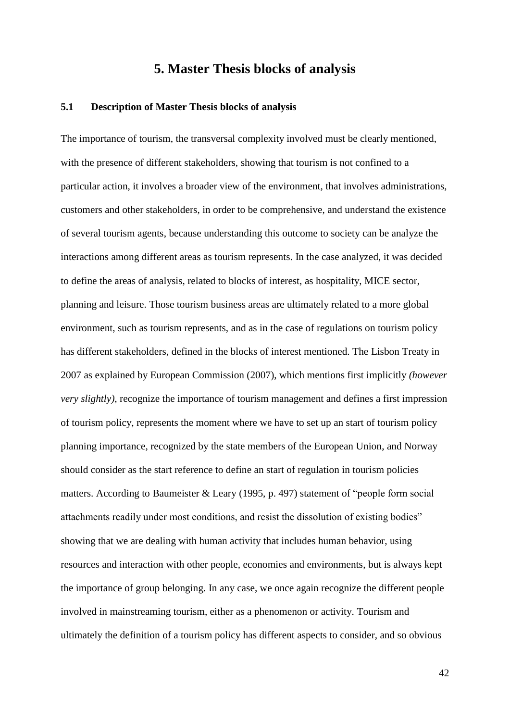# **5. Master Thesis blocks of analysis**

#### **5.1 Description of Master Thesis blocks of analysis**

The importance of tourism, the transversal complexity involved must be clearly mentioned, with the presence of different stakeholders, showing that tourism is not confined to a particular action, it involves a broader view of the environment, that involves administrations, customers and other stakeholders, in order to be comprehensive, and understand the existence of several tourism agents, because understanding this outcome to society can be analyze the interactions among different areas as tourism represents. In the case analyzed, it was decided to define the areas of analysis, related to blocks of interest, as hospitality, MICE sector, planning and leisure. Those tourism business areas are ultimately related to a more global environment, such as tourism represents, and as in the case of regulations on tourism policy has different stakeholders, defined in the blocks of interest mentioned. The Lisbon Treaty in 2007 as explained by European Commission (2007), which mentions first implicitly *(however very slightly)*, recognize the importance of tourism management and defines a first impression of tourism policy, represents the moment where we have to set up an start of tourism policy planning importance, recognized by the state members of the European Union, and Norway should consider as the start reference to define an start of regulation in tourism policies matters. According to Baumeister & Leary (1995, p. 497) statement of "people form social attachments readily under most conditions, and resist the dissolution of existing bodies" showing that we are dealing with human activity that includes human behavior, using resources and interaction with other people, economies and environments, but is always kept the importance of group belonging. In any case, we once again recognize the different people involved in mainstreaming tourism, either as a phenomenon or activity. Tourism and ultimately the definition of a tourism policy has different aspects to consider, and so obvious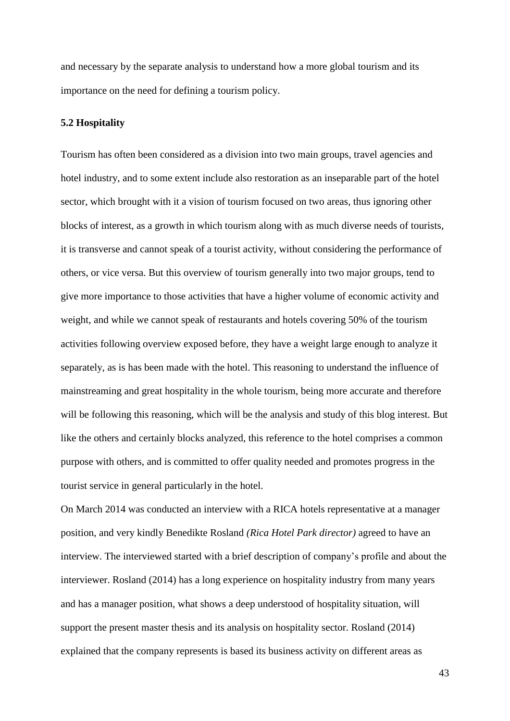and necessary by the separate analysis to understand how a more global tourism and its importance on the need for defining a tourism policy.

#### **5.2 Hospitality**

Tourism has often been considered as a division into two main groups, travel agencies and hotel industry, and to some extent include also restoration as an inseparable part of the hotel sector, which brought with it a vision of tourism focused on two areas, thus ignoring other blocks of interest, as a growth in which tourism along with as much diverse needs of tourists, it is transverse and cannot speak of a tourist activity, without considering the performance of others, or vice versa. But this overview of tourism generally into two major groups, tend to give more importance to those activities that have a higher volume of economic activity and weight, and while we cannot speak of restaurants and hotels covering 50% of the tourism activities following overview exposed before, they have a weight large enough to analyze it separately, as is has been made with the hotel. This reasoning to understand the influence of mainstreaming and great hospitality in the whole tourism, being more accurate and therefore will be following this reasoning, which will be the analysis and study of this blog interest. But like the others and certainly blocks analyzed, this reference to the hotel comprises a common purpose with others, and is committed to offer quality needed and promotes progress in the tourist service in general particularly in the hotel.

On March 2014 was conducted an interview with a RICA hotels representative at a manager position, and very kindly Benedikte Rosland *(Rica Hotel Park director)* agreed to have an interview. The interviewed started with a brief description of company's profile and about the interviewer. Rosland (2014) has a long experience on hospitality industry from many years and has a manager position, what shows a deep understood of hospitality situation, will support the present master thesis and its analysis on hospitality sector. Rosland (2014) explained that the company represents is based its business activity on different areas as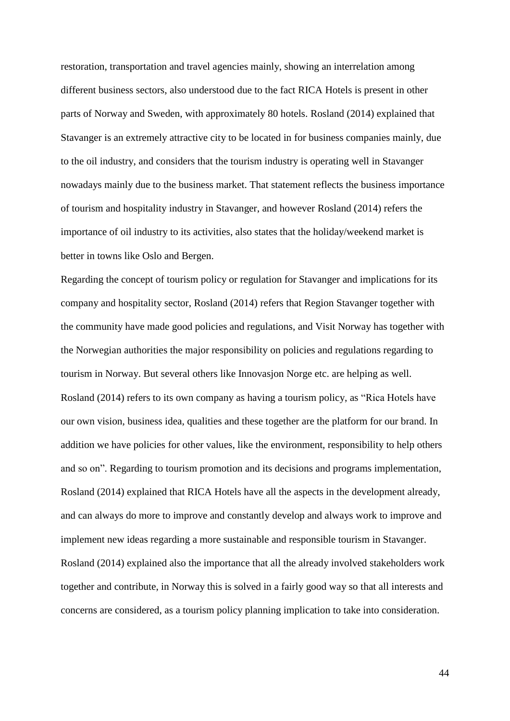restoration, transportation and travel agencies mainly, showing an interrelation among different business sectors, also understood due to the fact RICA Hotels is present in other parts of Norway and Sweden, with approximately 80 hotels. Rosland (2014) explained that Stavanger is an extremely attractive city to be located in for business companies mainly, due to the oil industry, and considers that the tourism industry is operating well in Stavanger nowadays mainly due to the business market. That statement reflects the business importance of tourism and hospitality industry in Stavanger, and however Rosland (2014) refers the importance of oil industry to its activities, also states that the holiday/weekend market is better in towns like Oslo and Bergen.

Regarding the concept of tourism policy or regulation for Stavanger and implications for its company and hospitality sector, Rosland (2014) refers that Region Stavanger together with the community have made good policies and regulations, and Visit Norway has together with the Norwegian authorities the major responsibility on policies and regulations regarding to tourism in Norway. But several others like Innovasjon Norge etc. are helping as well. Rosland (2014) refers to its own company as having a tourism policy, as "Rica Hotels have our own vision, business idea, qualities and these together are the platform for our brand. In addition we have policies for other values, like the environment, responsibility to help others and so on". Regarding to tourism promotion and its decisions and programs implementation, Rosland (2014) explained that RICA Hotels have all the aspects in the development already, and can always do more to improve and constantly develop and always work to improve and implement new ideas regarding a more sustainable and responsible tourism in Stavanger. Rosland (2014) explained also the importance that all the already involved stakeholders work together and contribute, in Norway this is solved in a fairly good way so that all interests and concerns are considered, as a tourism policy planning implication to take into consideration.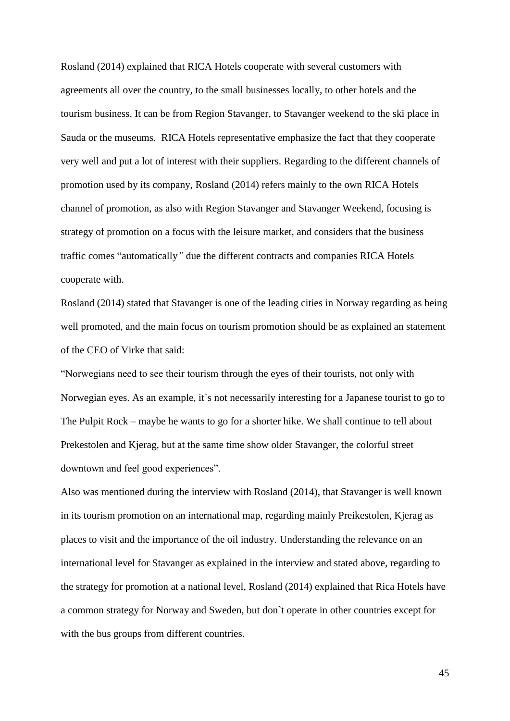Rosland (2014) explained that RICA Hotels cooperate with several customers with agreements all over the country, to the small businesses locally, to other hotels and the tourism business. It can be from Region Stavanger, to Stavanger weekend to the ski place in Sauda or the museums. RICA Hotels representative emphasize the fact that they cooperate very well and put a lot of interest with their suppliers. Regarding to the different channels of promotion used by its company, Rosland (2014) refers mainly to the own RICA Hotels channel of promotion, as also with Region Stavanger and Stavanger Weekend, focusing is strategy of promotion on a focus with the leisure market, and considers that the business traffic comes "automatically*"* due the different contracts and companies RICA Hotels cooperate with.

Rosland (2014) stated that Stavanger is one of the leading cities in Norway regarding as being well promoted, and the main focus on tourism promotion should be as explained an statement of the CEO of Virke that said:

"Norwegians need to see their tourism through the eyes of their tourists, not only with Norwegian eyes. As an example, it`s not necessarily interesting for a Japanese tourist to go to The Pulpit Rock – maybe he wants to go for a shorter hike. We shall continue to tell about Prekestolen and Kjerag, but at the same time show older Stavanger, the colorful street downtown and feel good experiences".

Also was mentioned during the interview with Rosland (2014), that Stavanger is well known in its tourism promotion on an international map, regarding mainly Preikestolen, Kjerag as places to visit and the importance of the oil industry. Understanding the relevance on an international level for Stavanger as explained in the interview and stated above, regarding to the strategy for promotion at a national level, Rosland (2014) explained that Rica Hotels have a common strategy for Norway and Sweden, but don`t operate in other countries except for with the bus groups from different countries.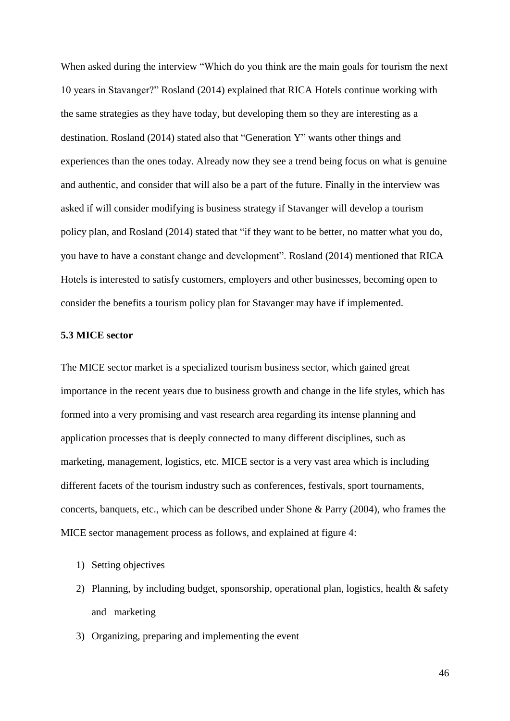When asked during the interview "Which do you think are the main goals for tourism the next 10 years in Stavanger?" Rosland (2014) explained that RICA Hotels continue working with the same strategies as they have today, but developing them so they are interesting as a destination. Rosland (2014) stated also that "Generation Y" wants other things and experiences than the ones today. Already now they see a trend being focus on what is genuine and authentic, and consider that will also be a part of the future. Finally in the interview was asked if will consider modifying is business strategy if Stavanger will develop a tourism policy plan, and Rosland (2014) stated that "if they want to be better, no matter what you do, you have to have a constant change and development". Rosland (2014) mentioned that RICA Hotels is interested to satisfy customers, employers and other businesses, becoming open to consider the benefits a tourism policy plan for Stavanger may have if implemented.

#### **5.3 MICE sector**

The MICE sector market is a specialized tourism business sector, which gained great importance in the recent years due to business growth and change in the life styles, which has formed into a very promising and vast research area regarding its intense planning and application processes that is deeply connected to many different disciplines, such as marketing, management, logistics, etc. MICE sector is a very vast area which is including different facets of the tourism industry such as conferences, festivals, sport tournaments, concerts, banquets, etc., which can be described under Shone & Parry (2004), who frames the MICE sector management process as follows, and explained at figure 4:

- 1) Setting objectives
- 2) Planning, by including budget, sponsorship, operational plan, logistics, health  $\&$  safety and marketing
- 3) Organizing, preparing and implementing the event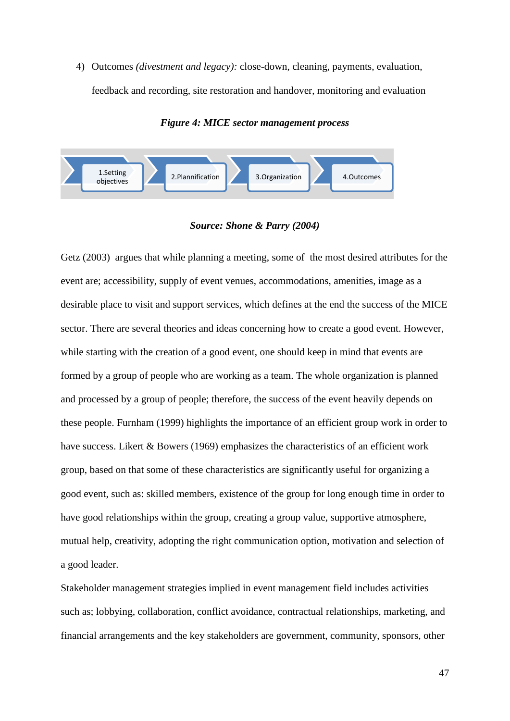4) Outcomes *(divestment and legacy):* close-down, cleaning, payments, evaluation, feedback and recording, site restoration and handover, monitoring and evaluation

*Figure 4: MICE sector management process*



*Source: Shone & Parry (2004)*

Getz (2003) argues that while planning a meeting, some of the most desired attributes for the event are; accessibility, supply of event venues, accommodations, amenities, image as a desirable place to visit and support services, which defines at the end the success of the MICE sector. There are several theories and ideas concerning how to create a good event. However, while starting with the creation of a good event, one should keep in mind that events are formed by a group of people who are working as a team. The whole organization is planned and processed by a group of people; therefore, the success of the event heavily depends on these people. Furnham (1999) highlights the importance of an efficient group work in order to have success. Likert & Bowers (1969) emphasizes the characteristics of an efficient work group, based on that some of these characteristics are significantly useful for organizing a good event, such as: skilled members, existence of the group for long enough time in order to have good relationships within the group, creating a group value, supportive atmosphere, mutual help, creativity, adopting the right communication option, motivation and selection of a good leader.

Stakeholder management strategies implied in event management field includes activities such as; lobbying, collaboration, conflict avoidance, contractual relationships, marketing, and financial arrangements and the key stakeholders are government, community, sponsors, other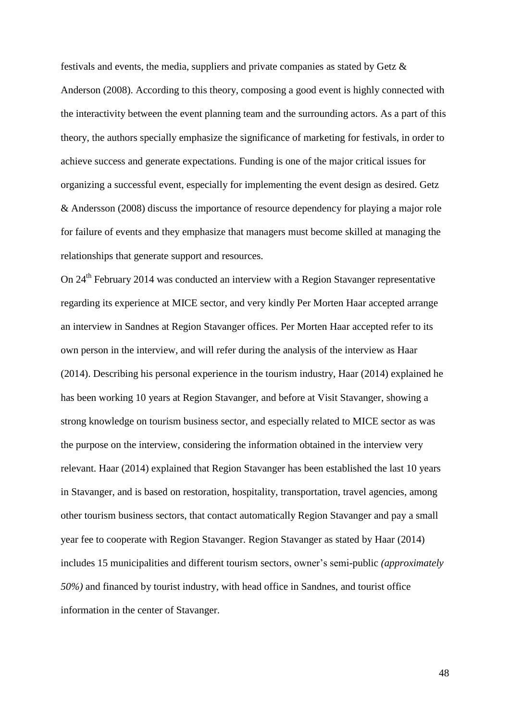festivals and events, the media, suppliers and private companies as stated by Getz & Anderson (2008). According to this theory, composing a good event is highly connected with the interactivity between the event planning team and the surrounding actors. As a part of this theory, the authors specially emphasize the significance of marketing for festivals, in order to achieve success and generate expectations. Funding is one of the major critical issues for organizing a successful event, especially for implementing the event design as desired. Getz & Andersson (2008) discuss the importance of resource dependency for playing a major role for failure of events and they emphasize that managers must become skilled at managing the relationships that generate support and resources.

On 24<sup>th</sup> February 2014 was conducted an interview with a Region Stavanger representative regarding its experience at MICE sector, and very kindly Per Morten Haar accepted arrange an interview in Sandnes at Region Stavanger offices. Per Morten Haar accepted refer to its own person in the interview, and will refer during the analysis of the interview as Haar (2014). Describing his personal experience in the tourism industry, Haar (2014) explained he has been working 10 years at Region Stavanger, and before at Visit Stavanger, showing a strong knowledge on tourism business sector, and especially related to MICE sector as was the purpose on the interview, considering the information obtained in the interview very relevant. Haar (2014) explained that Region Stavanger has been established the last 10 years in Stavanger, and is based on restoration, hospitality, transportation, travel agencies, among other tourism business sectors, that contact automatically Region Stavanger and pay a small year fee to cooperate with Region Stavanger. Region Stavanger as stated by Haar (2014) includes 15 municipalities and different tourism sectors, owner's semi-public *(approximately 50%)* and financed by tourist industry, with head office in Sandnes, and tourist office information in the center of Stavanger.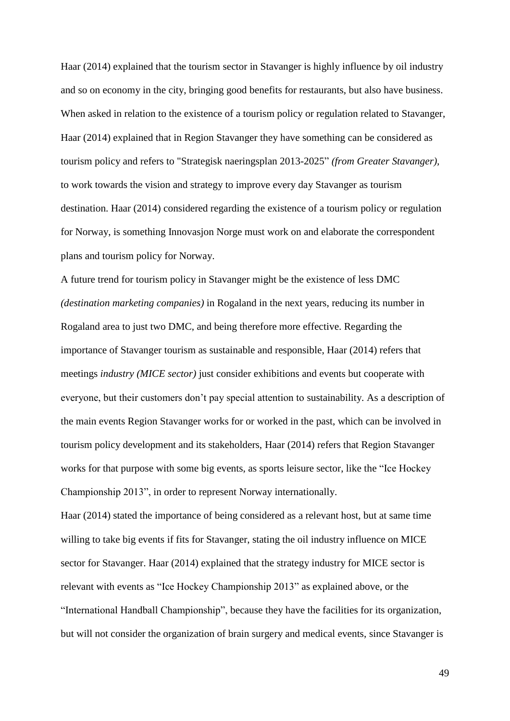Haar (2014) explained that the tourism sector in Stavanger is highly influence by oil industry and so on economy in the city, bringing good benefits for restaurants, but also have business. When asked in relation to the existence of a tourism policy or regulation related to Stavanger, Haar (2014) explained that in Region Stavanger they have something can be considered as tourism policy and refers to "Strategisk naeringsplan 2013-2025" *(from Greater Stavanger),*  to work towards the vision and strategy to improve every day Stavanger as tourism destination. Haar (2014) considered regarding the existence of a tourism policy or regulation for Norway, is something Innovasjon Norge must work on and elaborate the correspondent plans and tourism policy for Norway.

A future trend for tourism policy in Stavanger might be the existence of less DMC *(destination marketing companies)* in Rogaland in the next years, reducing its number in Rogaland area to just two DMC, and being therefore more effective. Regarding the importance of Stavanger tourism as sustainable and responsible, Haar (2014) refers that meetings *industry (MICE sector)* just consider exhibitions and events but cooperate with everyone, but their customers don't pay special attention to sustainability. As a description of the main events Region Stavanger works for or worked in the past, which can be involved in tourism policy development and its stakeholders, Haar (2014) refers that Region Stavanger works for that purpose with some big events, as sports leisure sector, like the "Ice Hockey Championship 2013", in order to represent Norway internationally.

Haar (2014) stated the importance of being considered as a relevant host, but at same time willing to take big events if fits for Stavanger, stating the oil industry influence on MICE sector for Stavanger. Haar (2014) explained that the strategy industry for MICE sector is relevant with events as "Ice Hockey Championship 2013" as explained above, or the "International Handball Championship", because they have the facilities for its organization, but will not consider the organization of brain surgery and medical events, since Stavanger is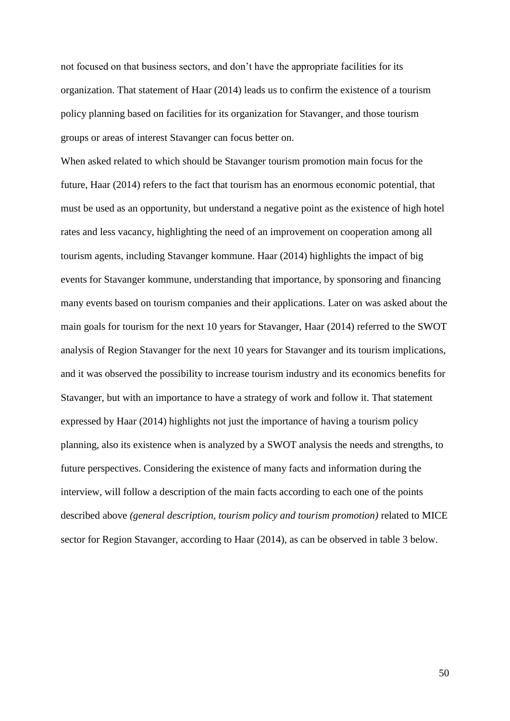not focused on that business sectors, and don't have the appropriate facilities for its organization. That statement of Haar (2014) leads us to confirm the existence of a tourism policy planning based on facilities for its organization for Stavanger, and those tourism groups or areas of interest Stavanger can focus better on.

When asked related to which should be Stavanger tourism promotion main focus for the future, Haar (2014) refers to the fact that tourism has an enormous economic potential, that must be used as an opportunity, but understand a negative point as the existence of high hotel rates and less vacancy, highlighting the need of an improvement on cooperation among all tourism agents, including Stavanger kommune. Haar (2014) highlights the impact of big events for Stavanger kommune, understanding that importance, by sponsoring and financing many events based on tourism companies and their applications. Later on was asked about the main goals for tourism for the next 10 years for Stavanger, Haar (2014) referred to the SWOT analysis of Region Stavanger for the next 10 years for Stavanger and its tourism implications, and it was observed the possibility to increase tourism industry and its economics benefits for Stavanger, but with an importance to have a strategy of work and follow it. That statement expressed by Haar (2014) highlights not just the importance of having a tourism policy planning, also its existence when is analyzed by a SWOT analysis the needs and strengths, to future perspectives. Considering the existence of many facts and information during the interview, will follow a description of the main facts according to each one of the points described above *(general description, tourism policy and tourism promotion)* related to MICE sector for Region Stavanger, according to Haar (2014), as can be observed in table 3 below.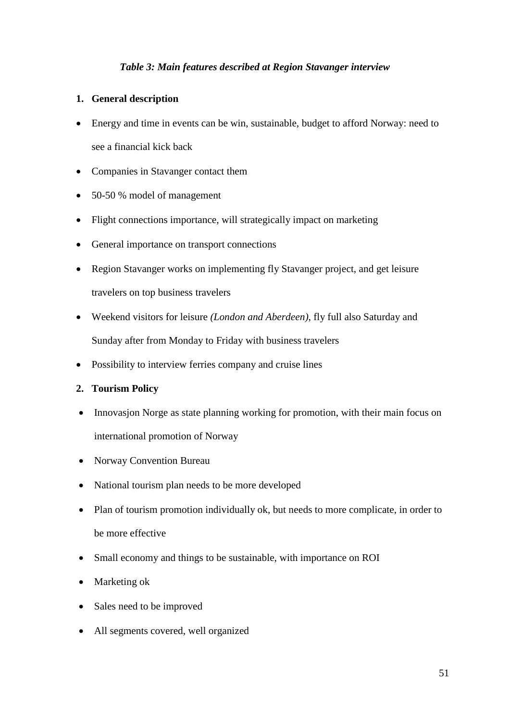## *Table 3: Main features described at Region Stavanger interview*

### **1. General description**

- Energy and time in events can be win, sustainable, budget to afford Norway: need to see a financial kick back
- Companies in Stavanger contact them
- 50-50 % model of management
- Flight connections importance, will strategically impact on marketing
- General importance on transport connections
- Region Stavanger works on implementing fly Stavanger project, and get leisure travelers on top business travelers
- Weekend visitors for leisure *(London and Aberdeen)*, fly full also Saturday and Sunday after from Monday to Friday with business travelers
- Possibility to interview ferries company and cruise lines
- **2. Tourism Policy**
- Innovasjon Norge as state planning working for promotion, with their main focus on international promotion of Norway
- Norway Convention Bureau
- National tourism plan needs to be more developed
- Plan of tourism promotion individually ok, but needs to more complicate, in order to be more effective
- Small economy and things to be sustainable, with importance on ROI
- Marketing ok
- Sales need to be improved
- All segments covered, well organized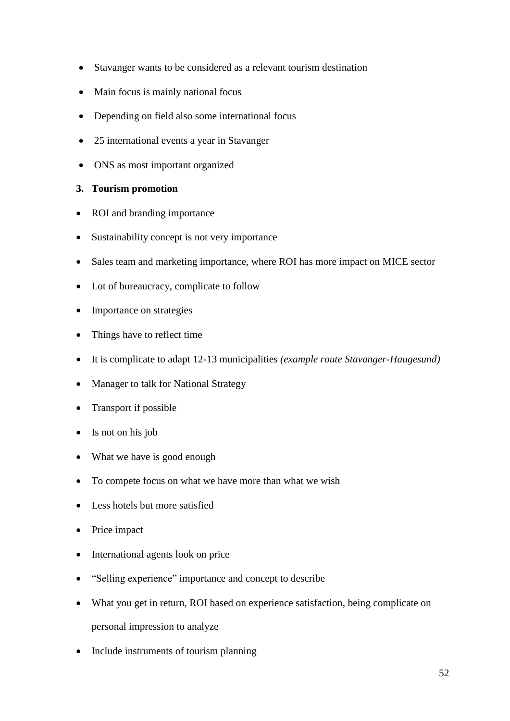- Stavanger wants to be considered as a relevant tourism destination
- Main focus is mainly national focus
- Depending on field also some international focus
- 25 international events a year in Stavanger
- ONS as most important organized

## **3. Tourism promotion**

- ROI and branding importance
- Sustainability concept is not very importance
- Sales team and marketing importance, where ROI has more impact on MICE sector
- Lot of bureaucracy, complicate to follow
- Importance on strategies
- Things have to reflect time
- It is complicate to adapt 12-13 municipalities *(example route Stavanger-Haugesund)*
- Manager to talk for National Strategy
- Transport if possible
- Is not on his job
- What we have is good enough
- To compete focus on what we have more than what we wish
- Less hotels but more satisfied
- Price impact
- International agents look on price
- "Selling experience" importance and concept to describe
- What you get in return, ROI based on experience satisfaction, being complicate on personal impression to analyze
- Include instruments of tourism planning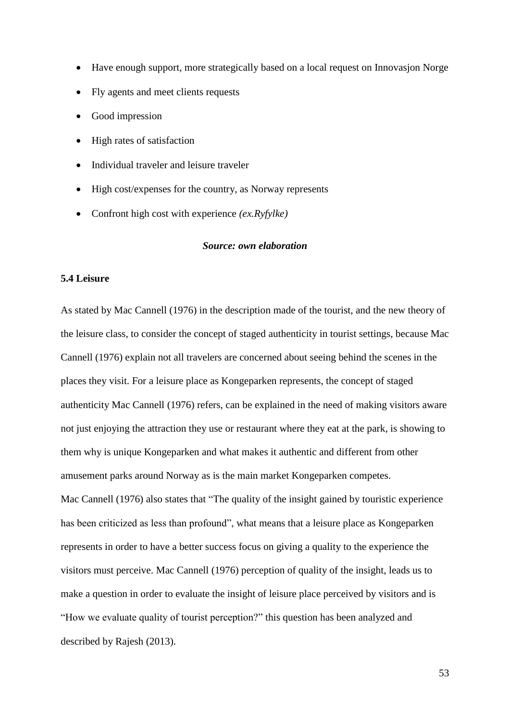- Have enough support, more strategically based on a local request on Innovasjon Norge
- Fly agents and meet clients requests
- Good impression
- High rates of satisfaction
- Individual traveler and leisure traveler
- High cost/expenses for the country, as Norway represents
- Confront high cost with experience *(ex.Ryfylke)*

#### *Source: own elaboration*

### **5.4 Leisure**

As stated by Mac Cannell (1976) in the description made of the tourist, and the new theory of the leisure class, to consider the concept of staged authenticity in tourist settings, because Mac Cannell (1976) explain not all travelers are concerned about seeing behind the scenes in the places they visit. For a leisure place as Kongeparken represents, the concept of staged authenticity Mac Cannell (1976) refers, can be explained in the need of making visitors aware not just enjoying the attraction they use or restaurant where they eat at the park, is showing to them why is unique Kongeparken and what makes it authentic and different from other amusement parks around Norway as is the main market Kongeparken competes. Mac Cannell (1976) also states that "The quality of the insight gained by touristic experience has been criticized as less than profound", what means that a leisure place as Kongeparken represents in order to have a better success focus on giving a quality to the experience the visitors must perceive. Mac Cannell (1976) perception of quality of the insight, leads us to make a question in order to evaluate the insight of leisure place perceived by visitors and is "How we evaluate quality of tourist perception?" this question has been analyzed and described by Rajesh (2013).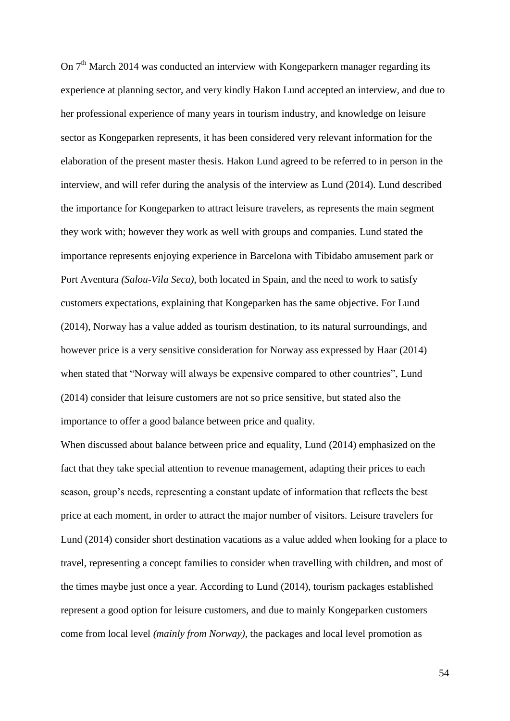On  $7<sup>th</sup>$  March 2014 was conducted an interview with Kongeparkern manager regarding its experience at planning sector, and very kindly Hakon Lund accepted an interview, and due to her professional experience of many years in tourism industry, and knowledge on leisure sector as Kongeparken represents, it has been considered very relevant information for the elaboration of the present master thesis. Hakon Lund agreed to be referred to in person in the interview, and will refer during the analysis of the interview as Lund (2014). Lund described the importance for Kongeparken to attract leisure travelers, as represents the main segment they work with; however they work as well with groups and companies. Lund stated the importance represents enjoying experience in Barcelona with Tibidabo amusement park or Port Aventura *(Salou-Vila Seca)*, both located in Spain, and the need to work to satisfy customers expectations, explaining that Kongeparken has the same objective. For Lund (2014), Norway has a value added as tourism destination, to its natural surroundings, and however price is a very sensitive consideration for Norway ass expressed by Haar (2014) when stated that "Norway will always be expensive compared to other countries", Lund (2014) consider that leisure customers are not so price sensitive, but stated also the importance to offer a good balance between price and quality.

When discussed about balance between price and equality, Lund (2014) emphasized on the fact that they take special attention to revenue management, adapting their prices to each season, group's needs, representing a constant update of information that reflects the best price at each moment, in order to attract the major number of visitors. Leisure travelers for Lund (2014) consider short destination vacations as a value added when looking for a place to travel, representing a concept families to consider when travelling with children, and most of the times maybe just once a year. According to Lund (2014), tourism packages established represent a good option for leisure customers, and due to mainly Kongeparken customers come from local level *(mainly from Norway)*, the packages and local level promotion as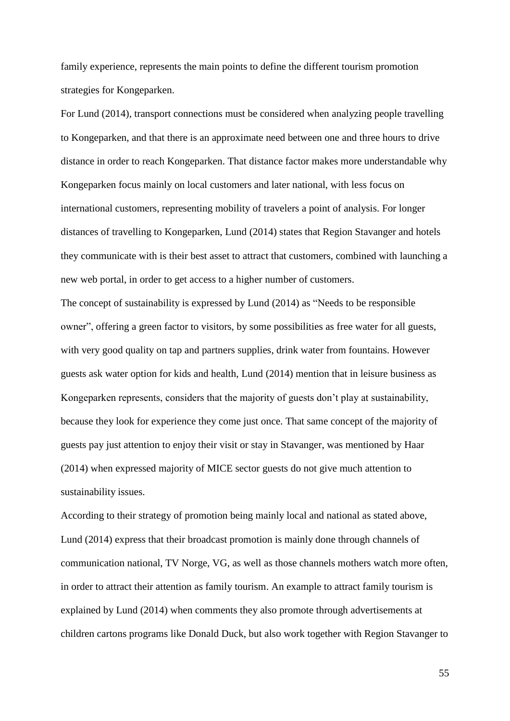family experience, represents the main points to define the different tourism promotion strategies for Kongeparken.

For Lund (2014), transport connections must be considered when analyzing people travelling to Kongeparken, and that there is an approximate need between one and three hours to drive distance in order to reach Kongeparken. That distance factor makes more understandable why Kongeparken focus mainly on local customers and later national, with less focus on international customers, representing mobility of travelers a point of analysis. For longer distances of travelling to Kongeparken, Lund (2014) states that Region Stavanger and hotels they communicate with is their best asset to attract that customers, combined with launching a new web portal, in order to get access to a higher number of customers.

The concept of sustainability is expressed by Lund (2014) as "Needs to be responsible owner", offering a green factor to visitors, by some possibilities as free water for all guests, with very good quality on tap and partners supplies, drink water from fountains. However guests ask water option for kids and health, Lund (2014) mention that in leisure business as Kongeparken represents, considers that the majority of guests don't play at sustainability, because they look for experience they come just once. That same concept of the majority of guests pay just attention to enjoy their visit or stay in Stavanger, was mentioned by Haar (2014) when expressed majority of MICE sector guests do not give much attention to sustainability issues.

According to their strategy of promotion being mainly local and national as stated above, Lund (2014) express that their broadcast promotion is mainly done through channels of communication national, TV Norge, VG, as well as those channels mothers watch more often, in order to attract their attention as family tourism. An example to attract family tourism is explained by Lund (2014) when comments they also promote through advertisements at children cartons programs like Donald Duck, but also work together with Region Stavanger to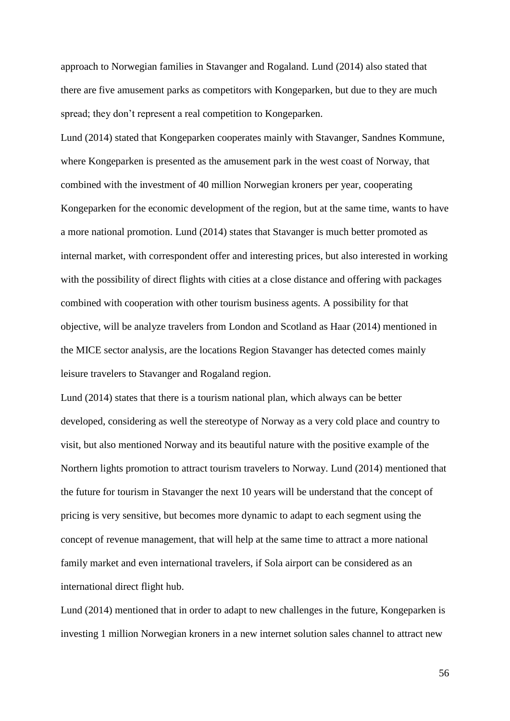approach to Norwegian families in Stavanger and Rogaland. Lund (2014) also stated that there are five amusement parks as competitors with Kongeparken, but due to they are much spread; they don't represent a real competition to Kongeparken.

Lund (2014) stated that Kongeparken cooperates mainly with Stavanger, Sandnes Kommune, where Kongeparken is presented as the amusement park in the west coast of Norway, that combined with the investment of 40 million Norwegian kroners per year, cooperating Kongeparken for the economic development of the region, but at the same time, wants to have a more national promotion. Lund (2014) states that Stavanger is much better promoted as internal market, with correspondent offer and interesting prices, but also interested in working with the possibility of direct flights with cities at a close distance and offering with packages combined with cooperation with other tourism business agents. A possibility for that objective, will be analyze travelers from London and Scotland as Haar (2014) mentioned in the MICE sector analysis, are the locations Region Stavanger has detected comes mainly leisure travelers to Stavanger and Rogaland region.

Lund (2014) states that there is a tourism national plan, which always can be better developed, considering as well the stereotype of Norway as a very cold place and country to visit, but also mentioned Norway and its beautiful nature with the positive example of the Northern lights promotion to attract tourism travelers to Norway. Lund (2014) mentioned that the future for tourism in Stavanger the next 10 years will be understand that the concept of pricing is very sensitive, but becomes more dynamic to adapt to each segment using the concept of revenue management, that will help at the same time to attract a more national family market and even international travelers, if Sola airport can be considered as an international direct flight hub.

Lund (2014) mentioned that in order to adapt to new challenges in the future, Kongeparken is investing 1 million Norwegian kroners in a new internet solution sales channel to attract new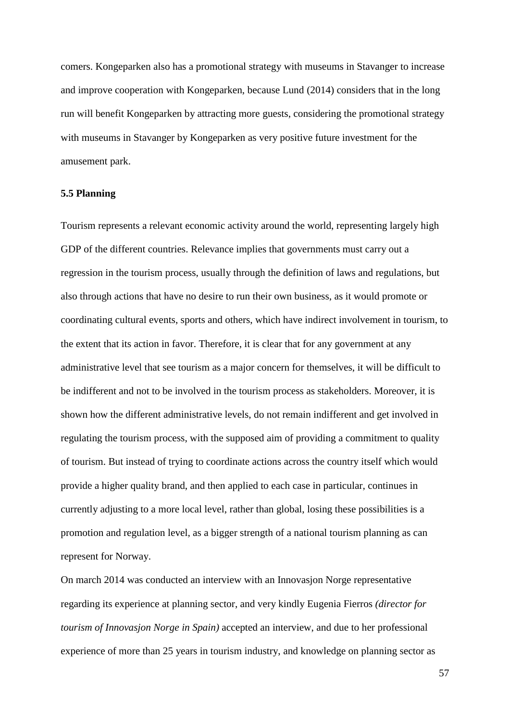comers. Kongeparken also has a promotional strategy with museums in Stavanger to increase and improve cooperation with Kongeparken, because Lund (2014) considers that in the long run will benefit Kongeparken by attracting more guests, considering the promotional strategy with museums in Stavanger by Kongeparken as very positive future investment for the amusement park.

#### **5.5 Planning**

Tourism represents a relevant economic activity around the world, representing largely high GDP of the different countries. Relevance implies that governments must carry out a regression in the tourism process, usually through the definition of laws and regulations, but also through actions that have no desire to run their own business, as it would promote or coordinating cultural events, sports and others, which have indirect involvement in tourism, to the extent that its action in favor. Therefore, it is clear that for any government at any administrative level that see tourism as a major concern for themselves, it will be difficult to be indifferent and not to be involved in the tourism process as stakeholders. Moreover, it is shown how the different administrative levels, do not remain indifferent and get involved in regulating the tourism process, with the supposed aim of providing a commitment to quality of tourism. But instead of trying to coordinate actions across the country itself which would provide a higher quality brand, and then applied to each case in particular, continues in currently adjusting to a more local level, rather than global, losing these possibilities is a promotion and regulation level, as a bigger strength of a national tourism planning as can represent for Norway.

On march 2014 was conducted an interview with an Innovasjon Norge representative regarding its experience at planning sector, and very kindly Eugenia Fierros *(director for tourism of Innovasjon Norge in Spain)* accepted an interview, and due to her professional experience of more than 25 years in tourism industry, and knowledge on planning sector as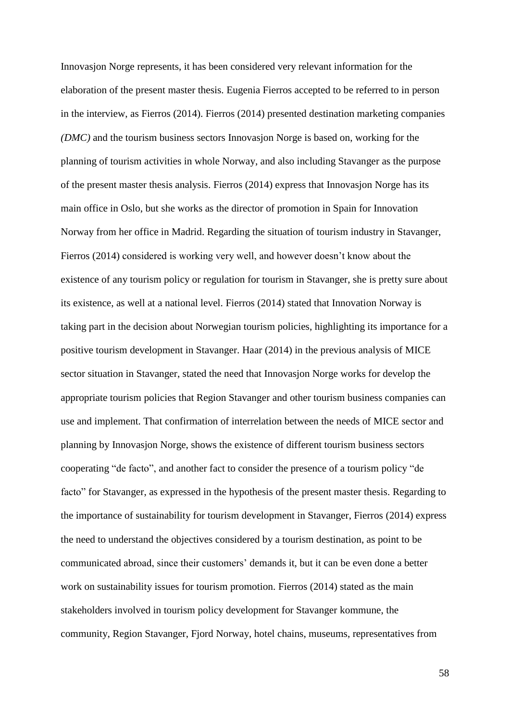Innovasjon Norge represents, it has been considered very relevant information for the elaboration of the present master thesis. Eugenia Fierros accepted to be referred to in person in the interview, as Fierros (2014). Fierros (2014) presented destination marketing companies *(DMC)* and the tourism business sectors Innovasjon Norge is based on, working for the planning of tourism activities in whole Norway, and also including Stavanger as the purpose of the present master thesis analysis. Fierros (2014) express that Innovasjon Norge has its main office in Oslo, but she works as the director of promotion in Spain for Innovation Norway from her office in Madrid. Regarding the situation of tourism industry in Stavanger, Fierros (2014) considered is working very well, and however doesn't know about the existence of any tourism policy or regulation for tourism in Stavanger, she is pretty sure about its existence, as well at a national level. Fierros (2014) stated that Innovation Norway is taking part in the decision about Norwegian tourism policies, highlighting its importance for a positive tourism development in Stavanger. Haar (2014) in the previous analysis of MICE sector situation in Stavanger, stated the need that Innovasjon Norge works for develop the appropriate tourism policies that Region Stavanger and other tourism business companies can use and implement. That confirmation of interrelation between the needs of MICE sector and planning by Innovasjon Norge, shows the existence of different tourism business sectors cooperating "de facto", and another fact to consider the presence of a tourism policy "de facto" for Stavanger, as expressed in the hypothesis of the present master thesis. Regarding to the importance of sustainability for tourism development in Stavanger, Fierros (2014) express the need to understand the objectives considered by a tourism destination, as point to be communicated abroad, since their customers' demands it, but it can be even done a better work on sustainability issues for tourism promotion. Fierros (2014) stated as the main stakeholders involved in tourism policy development for Stavanger kommune, the community, Region Stavanger, Fjord Norway, hotel chains, museums, representatives from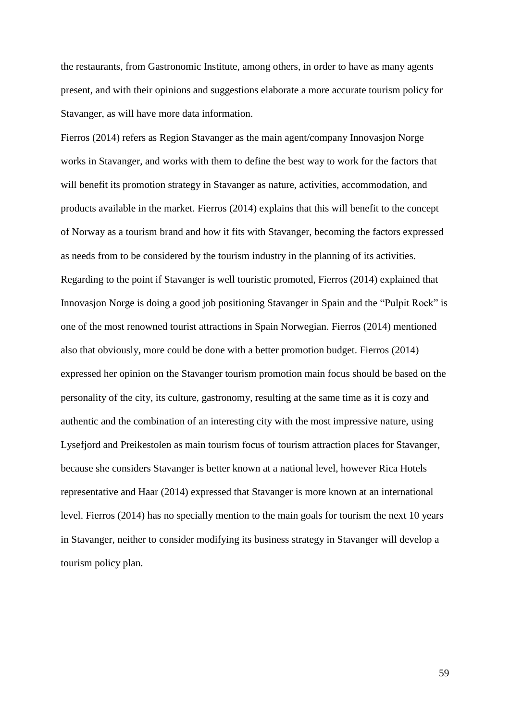the restaurants, from Gastronomic Institute, among others, in order to have as many agents present, and with their opinions and suggestions elaborate a more accurate tourism policy for Stavanger, as will have more data information.

Fierros (2014) refers as Region Stavanger as the main agent/company Innovasjon Norge works in Stavanger, and works with them to define the best way to work for the factors that will benefit its promotion strategy in Stavanger as nature, activities, accommodation, and products available in the market. Fierros (2014) explains that this will benefit to the concept of Norway as a tourism brand and how it fits with Stavanger, becoming the factors expressed as needs from to be considered by the tourism industry in the planning of its activities. Regarding to the point if Stavanger is well touristic promoted, Fierros (2014) explained that Innovasjon Norge is doing a good job positioning Stavanger in Spain and the "Pulpit Rock" is one of the most renowned tourist attractions in Spain Norwegian. Fierros (2014) mentioned also that obviously, more could be done with a better promotion budget. Fierros (2014) expressed her opinion on the Stavanger tourism promotion main focus should be based on the personality of the city, its culture, gastronomy, resulting at the same time as it is cozy and authentic and the combination of an interesting city with the most impressive nature, using Lysefjord and Preikestolen as main tourism focus of tourism attraction places for Stavanger, because she considers Stavanger is better known at a national level, however Rica Hotels representative and Haar (2014) expressed that Stavanger is more known at an international level. Fierros (2014) has no specially mention to the main goals for tourism the next 10 years in Stavanger, neither to consider modifying its business strategy in Stavanger will develop a tourism policy plan.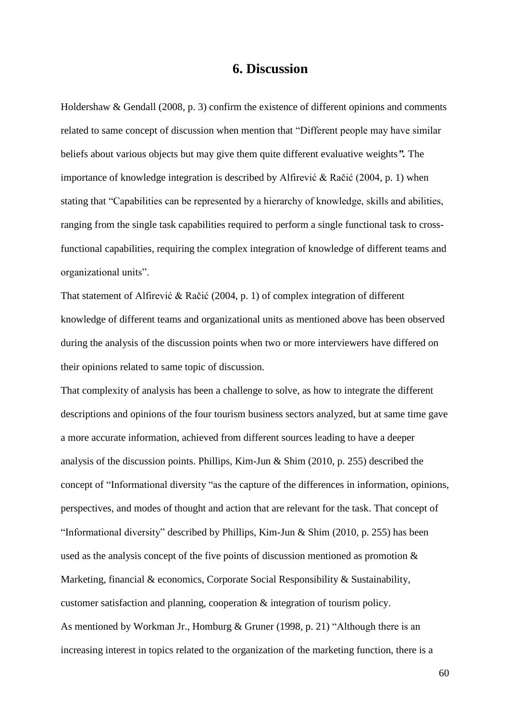# **6. Discussion**

Holdershaw & Gendall (2008, p. 3) confirm the existence of different opinions and comments related to same concept of discussion when mention that "Different people may have similar beliefs about various objects but may give them quite different evaluative weights*".* The importance of knowledge integration is described by Alfirević & Račić (2004, p. 1) when stating that "Capabilities can be represented by a hierarchy of knowledge, skills and abilities, ranging from the single task capabilities required to perform a single functional task to crossfunctional capabilities, requiring the complex integration of knowledge of different teams and organizational units".

That statement of Alfirević & Račić (2004, p. 1) of complex integration of different knowledge of different teams and organizational units as mentioned above has been observed during the analysis of the discussion points when two or more interviewers have differed on their opinions related to same topic of discussion.

That complexity of analysis has been a challenge to solve, as how to integrate the different descriptions and opinions of the four tourism business sectors analyzed, but at same time gave a more accurate information, achieved from different sources leading to have a deeper analysis of the discussion points. Phillips, Kim-Jun & Shim (2010, p. 255) described the concept of "Informational diversity "as the capture of the differences in information, opinions, perspectives, and modes of thought and action that are relevant for the task. That concept of "Informational diversity" described by Phillips, Kim-Jun & Shim (2010, p. 255) has been used as the analysis concept of the five points of discussion mentioned as promotion & Marketing, financial & economics, Corporate Social Responsibility & Sustainability, customer satisfaction and planning, cooperation & integration of tourism policy. As mentioned by Workman Jr., Homburg & Gruner (1998, p. 21) "Although there is an increasing interest in topics related to the organization of the marketing function, there is a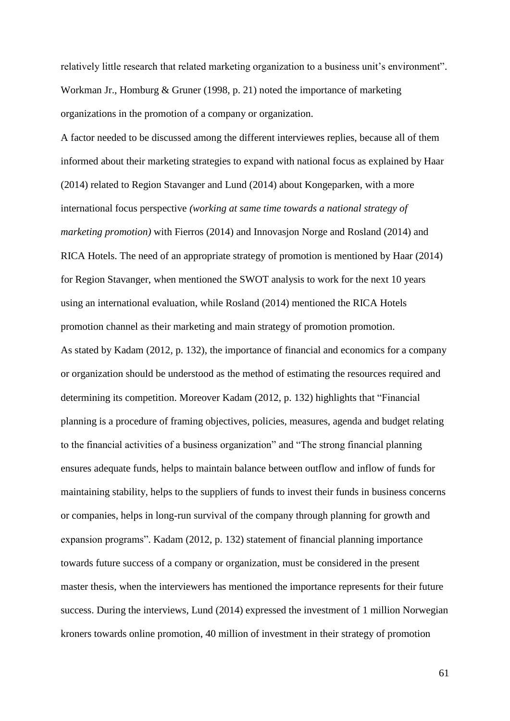relatively little research that related marketing organization to a business unit's environment". Workman Jr., Homburg & Gruner (1998, p. 21) noted the importance of marketing organizations in the promotion of a company or organization.

A factor needed to be discussed among the different interviewes replies, because all of them informed about their marketing strategies to expand with national focus as explained by Haar (2014) related to Region Stavanger and Lund (2014) about Kongeparken, with a more international focus perspective *(working at same time towards a national strategy of marketing promotion)* with Fierros (2014) and Innovasjon Norge and Rosland (2014) and RICA Hotels. The need of an appropriate strategy of promotion is mentioned by Haar (2014) for Region Stavanger, when mentioned the SWOT analysis to work for the next 10 years using an international evaluation, while Rosland (2014) mentioned the RICA Hotels promotion channel as their marketing and main strategy of promotion promotion. As stated by Kadam (2012, p. 132), the importance of financial and economics for a company or organization should be understood as the method of estimating the resources required and determining its competition. Moreover Kadam (2012, p. 132) highlights that "Financial planning is a procedure of framing objectives, policies, measures, agenda and budget relating to the financial activities of a business organization" and "The strong financial planning ensures adequate funds, helps to maintain balance between outflow and inflow of funds for maintaining stability, helps to the suppliers of funds to invest their funds in business concerns or companies, helps in long-run survival of the company through planning for growth and expansion programs". Kadam (2012, p. 132) statement of financial planning importance towards future success of a company or organization, must be considered in the present master thesis, when the interviewers has mentioned the importance represents for their future success. During the interviews, Lund (2014) expressed the investment of 1 million Norwegian kroners towards online promotion, 40 million of investment in their strategy of promotion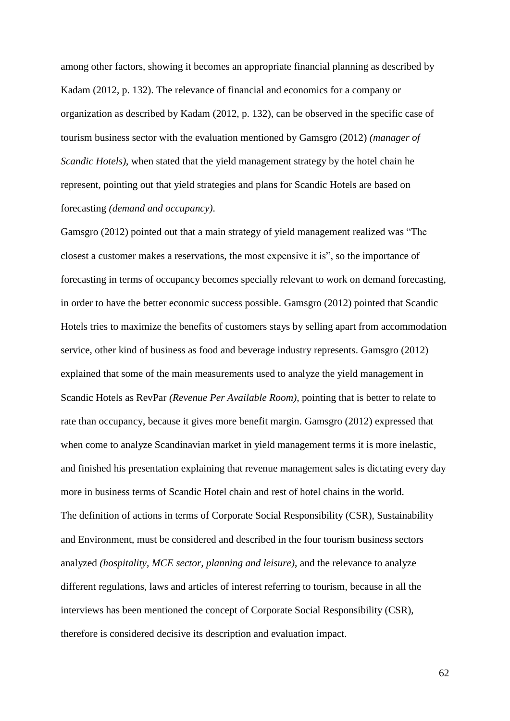among other factors, showing it becomes an appropriate financial planning as described by Kadam (2012, p. 132). The relevance of financial and economics for a company or organization as described by Kadam (2012, p. 132), can be observed in the specific case of tourism business sector with the evaluation mentioned by Gamsgro (2012) *(manager of Scandic Hotels*), when stated that the yield management strategy by the hotel chain he represent, pointing out that yield strategies and plans for Scandic Hotels are based on forecasting *(demand and occupancy)*.

Gamsgro (2012) pointed out that a main strategy of yield management realized was "The closest a customer makes a reservations, the most expensive it is", so the importance of forecasting in terms of occupancy becomes specially relevant to work on demand forecasting, in order to have the better economic success possible. Gamsgro (2012) pointed that Scandic Hotels tries to maximize the benefits of customers stays by selling apart from accommodation service, other kind of business as food and beverage industry represents. Gamsgro (2012) explained that some of the main measurements used to analyze the yield management in Scandic Hotels as RevPar *(Revenue Per Available Room)*, pointing that is better to relate to rate than occupancy, because it gives more benefit margin. Gamsgro (2012) expressed that when come to analyze Scandinavian market in yield management terms it is more inelastic, and finished his presentation explaining that revenue management sales is dictating every day more in business terms of Scandic Hotel chain and rest of hotel chains in the world. The definition of actions in terms of Corporate Social Responsibility (CSR), Sustainability and Environment, must be considered and described in the four tourism business sectors analyzed *(hospitality, MCE sector, planning and leisure)*, and the relevance to analyze different regulations, laws and articles of interest referring to tourism, because in all the interviews has been mentioned the concept of Corporate Social Responsibility (CSR), therefore is considered decisive its description and evaluation impact.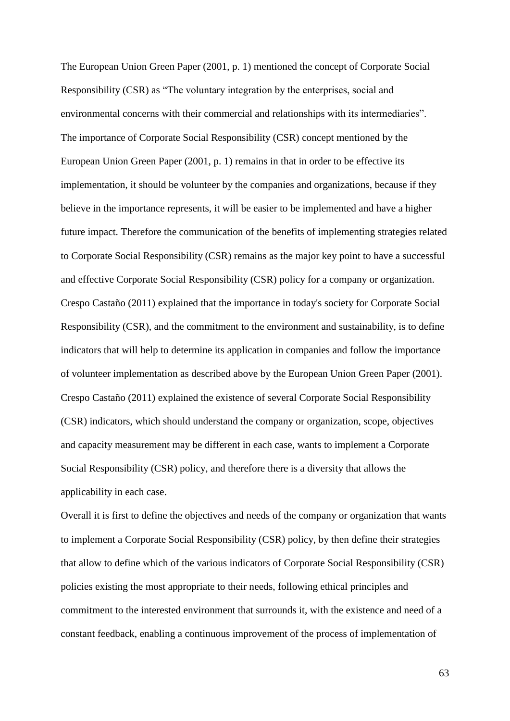The European Union Green Paper (2001, p. 1) mentioned the concept of Corporate Social Responsibility (CSR) as "The voluntary integration by the enterprises, social and environmental concerns with their commercial and relationships with its intermediaries". The importance of Corporate Social Responsibility (CSR) concept mentioned by the European Union Green Paper (2001, p. 1) remains in that in order to be effective its implementation, it should be volunteer by the companies and organizations, because if they believe in the importance represents, it will be easier to be implemented and have a higher future impact. Therefore the communication of the benefits of implementing strategies related to Corporate Social Responsibility (CSR) remains as the major key point to have a successful and effective Corporate Social Responsibility (CSR) policy for a company or organization. Crespo Castaño (2011) explained that the importance in today's society for Corporate Social Responsibility (CSR), and the commitment to the environment and sustainability, is to define indicators that will help to determine its application in companies and follow the importance of volunteer implementation as described above by the European Union Green Paper (2001). Crespo Castaño (2011) explained the existence of several Corporate Social Responsibility (CSR) indicators, which should understand the company or organization, scope, objectives and capacity measurement may be different in each case, wants to implement a Corporate Social Responsibility (CSR) policy, and therefore there is a diversity that allows the applicability in each case.

Overall it is first to define the objectives and needs of the company or organization that wants to implement a Corporate Social Responsibility (CSR) policy, by then define their strategies that allow to define which of the various indicators of Corporate Social Responsibility (CSR) policies existing the most appropriate to their needs, following ethical principles and commitment to the interested environment that surrounds it, with the existence and need of a constant feedback, enabling a continuous improvement of the process of implementation of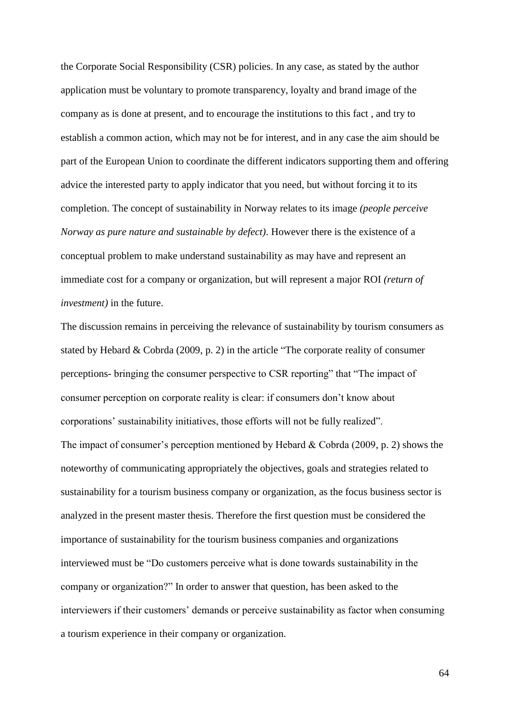the Corporate Social Responsibility (CSR) policies. In any case, as stated by the author application must be voluntary to promote transparency, loyalty and brand image of the company as is done at present, and to encourage the institutions to this fact , and try to establish a common action, which may not be for interest, and in any case the aim should be part of the European Union to coordinate the different indicators supporting them and offering advice the interested party to apply indicator that you need, but without forcing it to its completion. The concept of sustainability in Norway relates to its image *(people perceive Norway as pure nature and sustainable by defect)*. However there is the existence of a conceptual problem to make understand sustainability as may have and represent an immediate cost for a company or organization, but will represent a major ROI *(return of investment)* in the future.

The discussion remains in perceiving the relevance of sustainability by tourism consumers as stated by Hebard & Cobrda (2009, p. 2) in the article "The corporate reality of consumer perceptions- bringing the consumer perspective to CSR reporting" that "The impact of consumer perception on corporate reality is clear: if consumers don't know about corporations' sustainability initiatives, those efforts will not be fully realized". The impact of consumer's perception mentioned by Hebard & Cobrda (2009, p. 2) shows the noteworthy of communicating appropriately the objectives, goals and strategies related to sustainability for a tourism business company or organization, as the focus business sector is analyzed in the present master thesis. Therefore the first question must be considered the importance of sustainability for the tourism business companies and organizations interviewed must be "Do customers perceive what is done towards sustainability in the company or organization?" In order to answer that question, has been asked to the interviewers if their customers' demands or perceive sustainability as factor when consuming a tourism experience in their company or organization.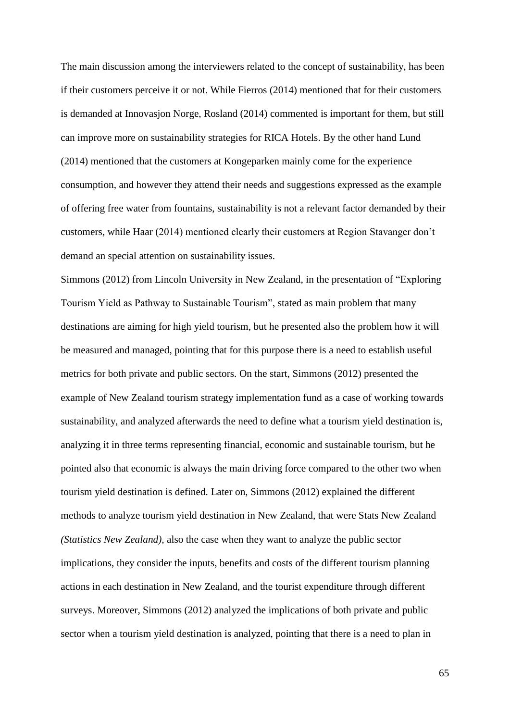The main discussion among the interviewers related to the concept of sustainability, has been if their customers perceive it or not. While Fierros (2014) mentioned that for their customers is demanded at Innovasjon Norge, Rosland (2014) commented is important for them, but still can improve more on sustainability strategies for RICA Hotels. By the other hand Lund (2014) mentioned that the customers at Kongeparken mainly come for the experience consumption, and however they attend their needs and suggestions expressed as the example of offering free water from fountains, sustainability is not a relevant factor demanded by their customers, while Haar (2014) mentioned clearly their customers at Region Stavanger don't demand an special attention on sustainability issues.

Simmons (2012) from Lincoln University in New Zealand, in the presentation of "Exploring Tourism Yield as Pathway to Sustainable Tourism", stated as main problem that many destinations are aiming for high yield tourism, but he presented also the problem how it will be measured and managed, pointing that for this purpose there is a need to establish useful metrics for both private and public sectors. On the start, Simmons (2012) presented the example of New Zealand tourism strategy implementation fund as a case of working towards sustainability, and analyzed afterwards the need to define what a tourism yield destination is, analyzing it in three terms representing financial, economic and sustainable tourism, but he pointed also that economic is always the main driving force compared to the other two when tourism yield destination is defined. Later on, Simmons (2012) explained the different methods to analyze tourism yield destination in New Zealand, that were Stats New Zealand *(Statistics New Zealand)*, also the case when they want to analyze the public sector implications, they consider the inputs, benefits and costs of the different tourism planning actions in each destination in New Zealand, and the tourist expenditure through different surveys. Moreover, Simmons (2012) analyzed the implications of both private and public sector when a tourism yield destination is analyzed, pointing that there is a need to plan in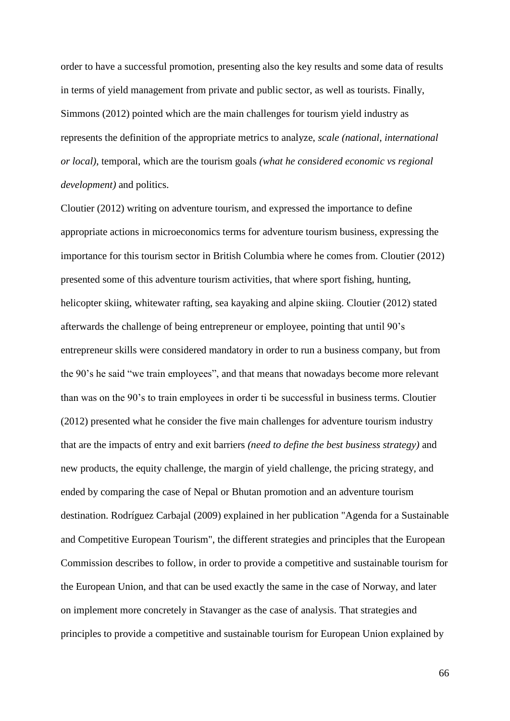order to have a successful promotion, presenting also the key results and some data of results in terms of yield management from private and public sector, as well as tourists. Finally, Simmons (2012) pointed which are the main challenges for tourism yield industry as represents the definition of the appropriate metrics to analyze, *scale (national, international or local)*, temporal, which are the tourism goals *(what he considered economic vs regional development)* and politics.

Cloutier (2012) writing on adventure tourism, and expressed the importance to define appropriate actions in microeconomics terms for adventure tourism business, expressing the importance for this tourism sector in British Columbia where he comes from. Cloutier (2012) presented some of this adventure tourism activities, that where sport fishing, hunting, helicopter skiing, whitewater rafting, sea kayaking and alpine skiing. Cloutier (2012) stated afterwards the challenge of being entrepreneur or employee, pointing that until 90's entrepreneur skills were considered mandatory in order to run a business company, but from the 90's he said "we train employees", and that means that nowadays become more relevant than was on the 90's to train employees in order ti be successful in business terms. Cloutier (2012) presented what he consider the five main challenges for adventure tourism industry that are the impacts of entry and exit barriers *(need to define the best business strategy)* and new products, the equity challenge, the margin of yield challenge, the pricing strategy, and ended by comparing the case of Nepal or Bhutan promotion and an adventure tourism destination. Rodríguez Carbajal (2009) explained in her publication "Agenda for a Sustainable and Competitive European Tourism", the different strategies and principles that the European Commission describes to follow, in order to provide a competitive and sustainable tourism for the European Union, and that can be used exactly the same in the case of Norway, and later on implement more concretely in Stavanger as the case of analysis. That strategies and principles to provide a competitive and sustainable tourism for European Union explained by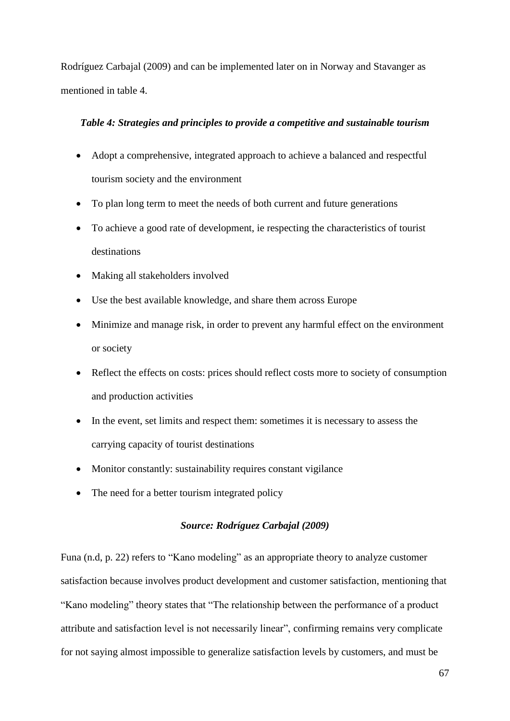Rodríguez Carbajal (2009) and can be implemented later on in Norway and Stavanger as mentioned in table 4.

### *Table 4: Strategies and principles to provide a competitive and sustainable tourism*

- Adopt a comprehensive, integrated approach to achieve a balanced and respectful tourism society and the environment
- To plan long term to meet the needs of both current and future generations
- To achieve a good rate of development, ie respecting the characteristics of tourist destinations
- Making all stakeholders involved
- Use the best available knowledge, and share them across Europe
- Minimize and manage risk, in order to prevent any harmful effect on the environment or society
- Reflect the effects on costs: prices should reflect costs more to society of consumption and production activities
- In the event, set limits and respect them: sometimes it is necessary to assess the carrying capacity of tourist destinations
- Monitor constantly: sustainability requires constant vigilance
- The need for a better tourism integrated policy

## *Source: Rodríguez Carbajal (2009)*

Funa (n.d, p. 22) refers to "Kano modeling" as an appropriate theory to analyze customer satisfaction because involves product development and customer satisfaction, mentioning that "Kano modeling" theory states that "The relationship between the performance of a product attribute and satisfaction level is not necessarily linear", confirming remains very complicate for not saying almost impossible to generalize satisfaction levels by customers, and must be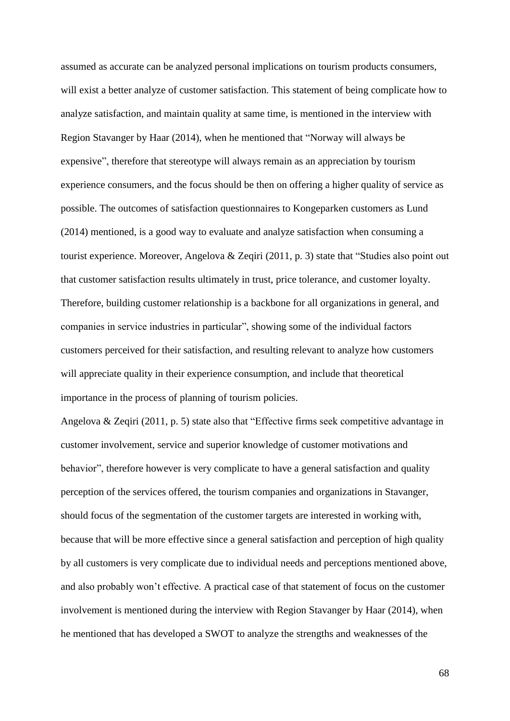assumed as accurate can be analyzed personal implications on tourism products consumers, will exist a better analyze of customer satisfaction. This statement of being complicate how to analyze satisfaction, and maintain quality at same time, is mentioned in the interview with Region Stavanger by Haar (2014), when he mentioned that "Norway will always be expensive", therefore that stereotype will always remain as an appreciation by tourism experience consumers, and the focus should be then on offering a higher quality of service as possible. The outcomes of satisfaction questionnaires to Kongeparken customers as Lund (2014) mentioned, is a good way to evaluate and analyze satisfaction when consuming a tourist experience. Moreover, Angelova & Zeqiri (2011, p. 3) state that "Studies also point out that customer satisfaction results ultimately in trust, price tolerance, and customer loyalty. Therefore, building customer relationship is a backbone for all organizations in general, and companies in service industries in particular", showing some of the individual factors customers perceived for their satisfaction, and resulting relevant to analyze how customers will appreciate quality in their experience consumption, and include that theoretical importance in the process of planning of tourism policies.

Angelova & Zeqiri (2011, p. 5) state also that "Effective firms seek competitive advantage in customer involvement, service and superior knowledge of customer motivations and behavior", therefore however is very complicate to have a general satisfaction and quality perception of the services offered, the tourism companies and organizations in Stavanger, should focus of the segmentation of the customer targets are interested in working with, because that will be more effective since a general satisfaction and perception of high quality by all customers is very complicate due to individual needs and perceptions mentioned above, and also probably won't effective. A practical case of that statement of focus on the customer involvement is mentioned during the interview with Region Stavanger by Haar (2014), when he mentioned that has developed a SWOT to analyze the strengths and weaknesses of the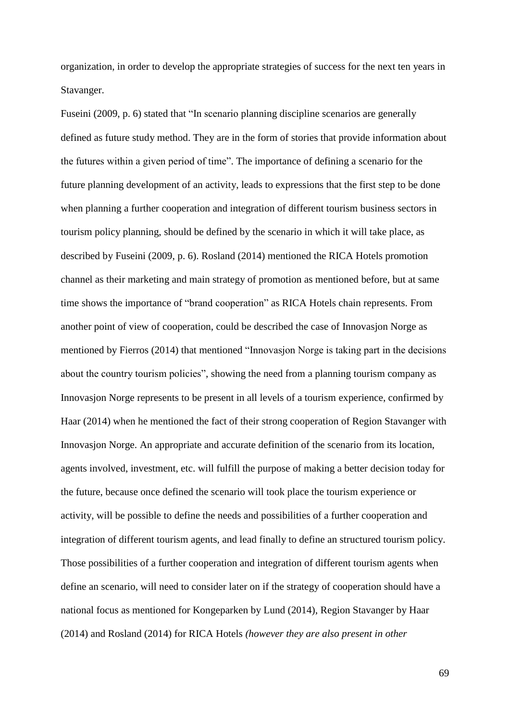organization, in order to develop the appropriate strategies of success for the next ten years in Stavanger.

Fuseini (2009, p. 6) stated that "In scenario planning discipline scenarios are generally defined as future study method. They are in the form of stories that provide information about the futures within a given period of time". The importance of defining a scenario for the future planning development of an activity, leads to expressions that the first step to be done when planning a further cooperation and integration of different tourism business sectors in tourism policy planning, should be defined by the scenario in which it will take place, as described by Fuseini (2009, p. 6). Rosland (2014) mentioned the RICA Hotels promotion channel as their marketing and main strategy of promotion as mentioned before, but at same time shows the importance of "brand cooperation" as RICA Hotels chain represents. From another point of view of cooperation, could be described the case of Innovasjon Norge as mentioned by Fierros (2014) that mentioned "Innovasjon Norge is taking part in the decisions about the country tourism policies", showing the need from a planning tourism company as Innovasjon Norge represents to be present in all levels of a tourism experience, confirmed by Haar (2014) when he mentioned the fact of their strong cooperation of Region Stavanger with Innovasjon Norge. An appropriate and accurate definition of the scenario from its location, agents involved, investment, etc. will fulfill the purpose of making a better decision today for the future, because once defined the scenario will took place the tourism experience or activity, will be possible to define the needs and possibilities of a further cooperation and integration of different tourism agents, and lead finally to define an structured tourism policy. Those possibilities of a further cooperation and integration of different tourism agents when define an scenario, will need to consider later on if the strategy of cooperation should have a national focus as mentioned for Kongeparken by Lund (2014), Region Stavanger by Haar (2014) and Rosland (2014) for RICA Hotels *(however they are also present in other*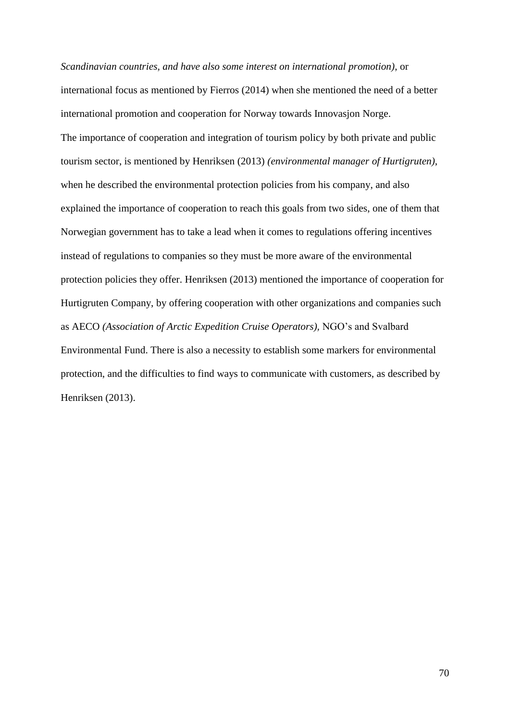*Scandinavian countries, and have also some interest on international promotion)*, or international focus as mentioned by Fierros (2014) when she mentioned the need of a better international promotion and cooperation for Norway towards Innovasjon Norge. The importance of cooperation and integration of tourism policy by both private and public tourism sector, is mentioned by Henriksen (2013) *(environmental manager of Hurtigruten)*, when he described the environmental protection policies from his company, and also explained the importance of cooperation to reach this goals from two sides, one of them that Norwegian government has to take a lead when it comes to regulations offering incentives instead of regulations to companies so they must be more aware of the environmental protection policies they offer. Henriksen (2013) mentioned the importance of cooperation for Hurtigruten Company, by offering cooperation with other organizations and companies such as AECO *(Association of Arctic Expedition Cruise Operators),* NGO's and Svalbard Environmental Fund. There is also a necessity to establish some markers for environmental protection, and the difficulties to find ways to communicate with customers, as described by Henriksen (2013).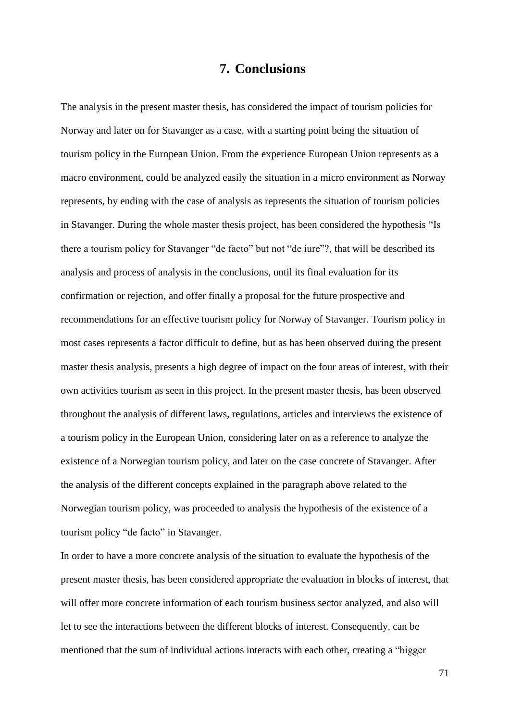# **7. Conclusions**

The analysis in the present master thesis, has considered the impact of tourism policies for Norway and later on for Stavanger as a case, with a starting point being the situation of tourism policy in the European Union. From the experience European Union represents as a macro environment, could be analyzed easily the situation in a micro environment as Norway represents, by ending with the case of analysis as represents the situation of tourism policies in Stavanger. During the whole master thesis project, has been considered the hypothesis "Is there a tourism policy for Stavanger "de facto" but not "de iure"?, that will be described its analysis and process of analysis in the conclusions, until its final evaluation for its confirmation or rejection, and offer finally a proposal for the future prospective and recommendations for an effective tourism policy for Norway of Stavanger. Tourism policy in most cases represents a factor difficult to define, but as has been observed during the present master thesis analysis, presents a high degree of impact on the four areas of interest, with their own activities tourism as seen in this project. In the present master thesis, has been observed throughout the analysis of different laws, regulations, articles and interviews the existence of a tourism policy in the European Union, considering later on as a reference to analyze the existence of a Norwegian tourism policy, and later on the case concrete of Stavanger. After the analysis of the different concepts explained in the paragraph above related to the Norwegian tourism policy, was proceeded to analysis the hypothesis of the existence of a tourism policy "de facto" in Stavanger.

In order to have a more concrete analysis of the situation to evaluate the hypothesis of the present master thesis, has been considered appropriate the evaluation in blocks of interest, that will offer more concrete information of each tourism business sector analyzed, and also will let to see the interactions between the different blocks of interest. Consequently, can be mentioned that the sum of individual actions interacts with each other, creating a "bigger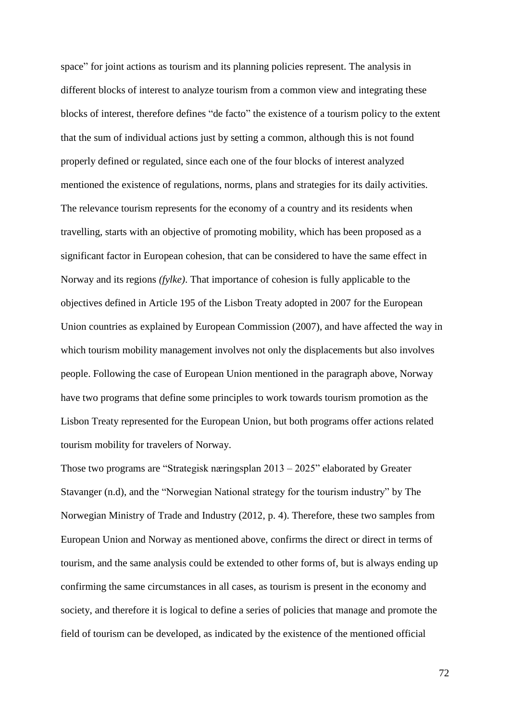space" for joint actions as tourism and its planning policies represent. The analysis in different blocks of interest to analyze tourism from a common view and integrating these blocks of interest, therefore defines "de facto" the existence of a tourism policy to the extent that the sum of individual actions just by setting a common, although this is not found properly defined or regulated, since each one of the four blocks of interest analyzed mentioned the existence of regulations, norms, plans and strategies for its daily activities. The relevance tourism represents for the economy of a country and its residents when travelling, starts with an objective of promoting mobility, which has been proposed as a significant factor in European cohesion, that can be considered to have the same effect in Norway and its regions *(fylke)*. That importance of cohesion is fully applicable to the objectives defined in Article 195 of the Lisbon Treaty adopted in 2007 for the European Union countries as explained by European Commission (2007), and have affected the way in which tourism mobility management involves not only the displacements but also involves people. Following the case of European Union mentioned in the paragraph above, Norway have two programs that define some principles to work towards tourism promotion as the Lisbon Treaty represented for the European Union, but both programs offer actions related tourism mobility for travelers of Norway.

Those two programs are "Strategisk næringsplan 2013 – 2025" elaborated by Greater Stavanger (n.d), and the "Norwegian National strategy for the tourism industry" by The Norwegian Ministry of Trade and Industry (2012, p. 4). Therefore, these two samples from European Union and Norway as mentioned above, confirms the direct or direct in terms of tourism, and the same analysis could be extended to other forms of, but is always ending up confirming the same circumstances in all cases, as tourism is present in the economy and society, and therefore it is logical to define a series of policies that manage and promote the field of tourism can be developed, as indicated by the existence of the mentioned official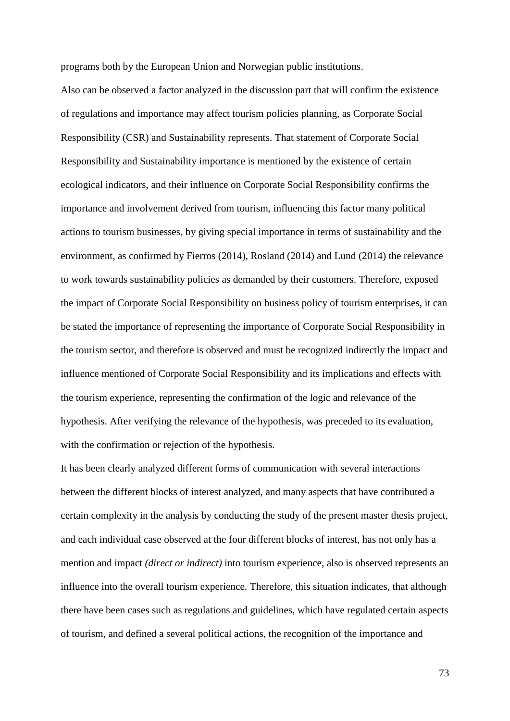programs both by the European Union and Norwegian public institutions.

Also can be observed a factor analyzed in the discussion part that will confirm the existence of regulations and importance may affect tourism policies planning, as Corporate Social Responsibility (CSR) and Sustainability represents. That statement of Corporate Social Responsibility and Sustainability importance is mentioned by the existence of certain ecological indicators, and their influence on Corporate Social Responsibility confirms the importance and involvement derived from tourism, influencing this factor many political actions to tourism businesses, by giving special importance in terms of sustainability and the environment, as confirmed by Fierros (2014), Rosland (2014) and Lund (2014) the relevance to work towards sustainability policies as demanded by their customers. Therefore, exposed the impact of Corporate Social Responsibility on business policy of tourism enterprises, it can be stated the importance of representing the importance of Corporate Social Responsibility in the tourism sector, and therefore is observed and must be recognized indirectly the impact and influence mentioned of Corporate Social Responsibility and its implications and effects with the tourism experience, representing the confirmation of the logic and relevance of the hypothesis. After verifying the relevance of the hypothesis, was preceded to its evaluation, with the confirmation or rejection of the hypothesis.

It has been clearly analyzed different forms of communication with several interactions between the different blocks of interest analyzed, and many aspects that have contributed a certain complexity in the analysis by conducting the study of the present master thesis project, and each individual case observed at the four different blocks of interest, has not only has a mention and impact *(direct or indirect)* into tourism experience, also is observed represents an influence into the overall tourism experience. Therefore, this situation indicates, that although there have been cases such as regulations and guidelines, which have regulated certain aspects of tourism, and defined a several political actions, the recognition of the importance and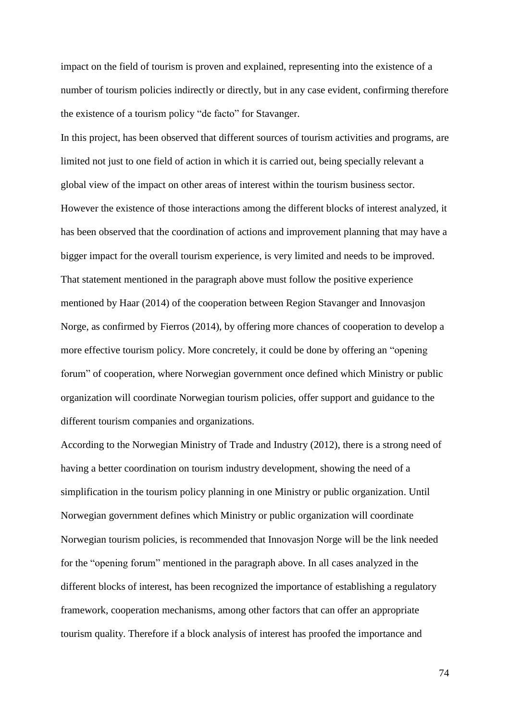impact on the field of tourism is proven and explained, representing into the existence of a number of tourism policies indirectly or directly, but in any case evident, confirming therefore the existence of a tourism policy "de facto" for Stavanger.

In this project, has been observed that different sources of tourism activities and programs, are limited not just to one field of action in which it is carried out, being specially relevant a global view of the impact on other areas of interest within the tourism business sector. However the existence of those interactions among the different blocks of interest analyzed, it has been observed that the coordination of actions and improvement planning that may have a bigger impact for the overall tourism experience, is very limited and needs to be improved. That statement mentioned in the paragraph above must follow the positive experience mentioned by Haar (2014) of the cooperation between Region Stavanger and Innovasjon Norge, as confirmed by Fierros (2014), by offering more chances of cooperation to develop a more effective tourism policy. More concretely, it could be done by offering an "opening forum" of cooperation, where Norwegian government once defined which Ministry or public organization will coordinate Norwegian tourism policies, offer support and guidance to the different tourism companies and organizations.

According to the Norwegian Ministry of Trade and Industry (2012), there is a strong need of having a better coordination on tourism industry development, showing the need of a simplification in the tourism policy planning in one Ministry or public organization. Until Norwegian government defines which Ministry or public organization will coordinate Norwegian tourism policies, is recommended that Innovasjon Norge will be the link needed for the "opening forum" mentioned in the paragraph above. In all cases analyzed in the different blocks of interest, has been recognized the importance of establishing a regulatory framework, cooperation mechanisms, among other factors that can offer an appropriate tourism quality. Therefore if a block analysis of interest has proofed the importance and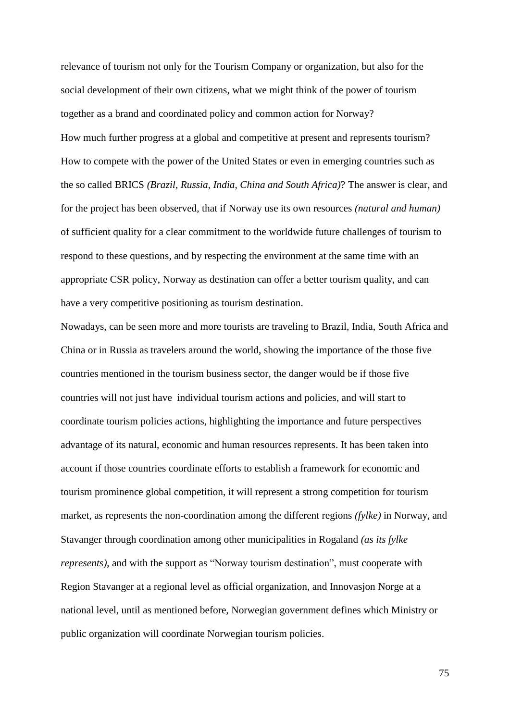relevance of tourism not only for the Tourism Company or organization, but also for the social development of their own citizens, what we might think of the power of tourism together as a brand and coordinated policy and common action for Norway? How much further progress at a global and competitive at present and represents tourism? How to compete with the power of the United States or even in emerging countries such as the so called BRICS *(Brazil, Russia, India, China and South Africa)*? The answer is clear, and for the project has been observed, that if Norway use its own resources *(natural and human)* of sufficient quality for a clear commitment to the worldwide future challenges of tourism to respond to these questions, and by respecting the environment at the same time with an appropriate CSR policy, Norway as destination can offer a better tourism quality, and can have a very competitive positioning as tourism destination.

Nowadays, can be seen more and more tourists are traveling to Brazil, India, South Africa and China or in Russia as travelers around the world, showing the importance of the those five countries mentioned in the tourism business sector, the danger would be if those five countries will not just have individual tourism actions and policies, and will start to coordinate tourism policies actions, highlighting the importance and future perspectives advantage of its natural, economic and human resources represents. It has been taken into account if those countries coordinate efforts to establish a framework for economic and tourism prominence global competition, it will represent a strong competition for tourism market, as represents the non-coordination among the different regions *(fylke)* in Norway, and Stavanger through coordination among other municipalities in Rogaland *(as its fylke represents)*, and with the support as "Norway tourism destination", must cooperate with Region Stavanger at a regional level as official organization, and Innovasjon Norge at a national level, until as mentioned before, Norwegian government defines which Ministry or public organization will coordinate Norwegian tourism policies.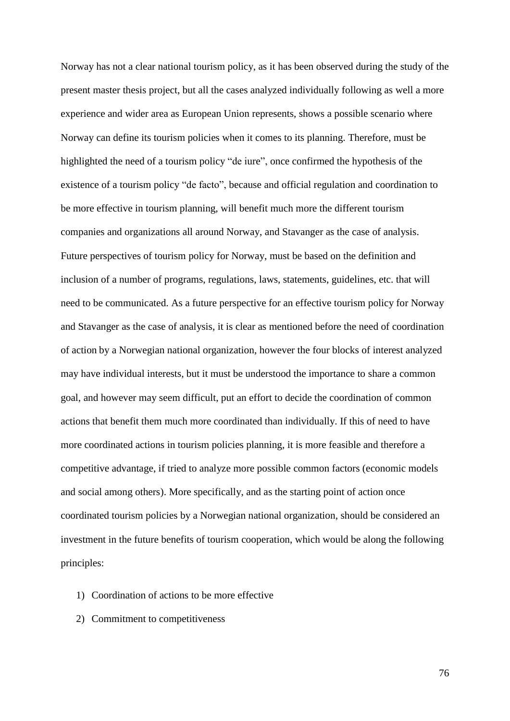Norway has not a clear national tourism policy, as it has been observed during the study of the present master thesis project, but all the cases analyzed individually following as well a more experience and wider area as European Union represents, shows a possible scenario where Norway can define its tourism policies when it comes to its planning. Therefore, must be highlighted the need of a tourism policy "de iure", once confirmed the hypothesis of the existence of a tourism policy "de facto", because and official regulation and coordination to be more effective in tourism planning, will benefit much more the different tourism companies and organizations all around Norway, and Stavanger as the case of analysis. Future perspectives of tourism policy for Norway, must be based on the definition and inclusion of a number of programs, regulations, laws, statements, guidelines, etc. that will need to be communicated. As a future perspective for an effective tourism policy for Norway and Stavanger as the case of analysis, it is clear as mentioned before the need of coordination of action by a Norwegian national organization, however the four blocks of interest analyzed may have individual interests, but it must be understood the importance to share a common goal, and however may seem difficult, put an effort to decide the coordination of common actions that benefit them much more coordinated than individually. If this of need to have more coordinated actions in tourism policies planning, it is more feasible and therefore a competitive advantage, if tried to analyze more possible common factors (economic models and social among others). More specifically, and as the starting point of action once coordinated tourism policies by a Norwegian national organization, should be considered an investment in the future benefits of tourism cooperation, which would be along the following principles:

- 1) Coordination of actions to be more effective
- 2) Commitment to competitiveness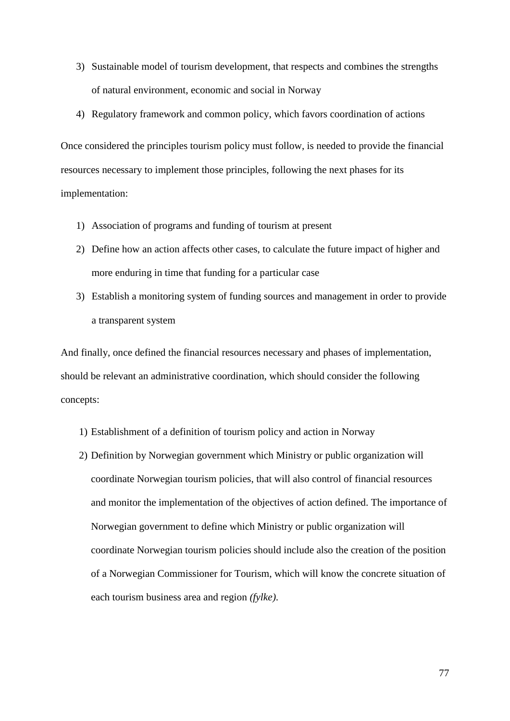- 3) Sustainable model of tourism development, that respects and combines the strengths of natural environment, economic and social in Norway
- 4) Regulatory framework and common policy, which favors coordination of actions

Once considered the principles tourism policy must follow, is needed to provide the financial resources necessary to implement those principles, following the next phases for its implementation:

- 1) Association of programs and funding of tourism at present
- 2) Define how an action affects other cases, to calculate the future impact of higher and more enduring in time that funding for a particular case
- 3) Establish a monitoring system of funding sources and management in order to provide a transparent system

And finally, once defined the financial resources necessary and phases of implementation, should be relevant an administrative coordination, which should consider the following concepts:

- 1) Establishment of a definition of tourism policy and action in Norway
- 2) Definition by Norwegian government which Ministry or public organization will coordinate Norwegian tourism policies, that will also control of financial resources and monitor the implementation of the objectives of action defined. The importance of Norwegian government to define which Ministry or public organization will coordinate Norwegian tourism policies should include also the creation of the position of a Norwegian Commissioner for Tourism, which will know the concrete situation of each tourism business area and region *(fylke)*.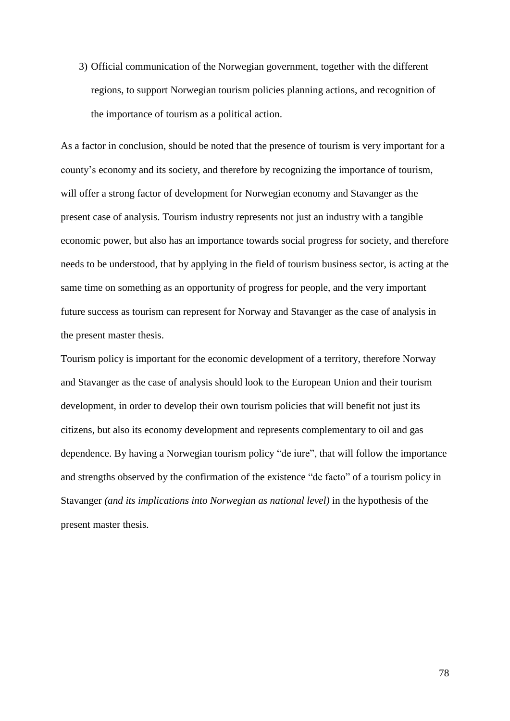3) Official communication of the Norwegian government, together with the different regions, to support Norwegian tourism policies planning actions, and recognition of the importance of tourism as a political action.

As a factor in conclusion, should be noted that the presence of tourism is very important for a county's economy and its society, and therefore by recognizing the importance of tourism, will offer a strong factor of development for Norwegian economy and Stavanger as the present case of analysis. Tourism industry represents not just an industry with a tangible economic power, but also has an importance towards social progress for society, and therefore needs to be understood, that by applying in the field of tourism business sector, is acting at the same time on something as an opportunity of progress for people, and the very important future success as tourism can represent for Norway and Stavanger as the case of analysis in the present master thesis.

Tourism policy is important for the economic development of a territory, therefore Norway and Stavanger as the case of analysis should look to the European Union and their tourism development, in order to develop their own tourism policies that will benefit not just its citizens, but also its economy development and represents complementary to oil and gas dependence. By having a Norwegian tourism policy "de iure", that will follow the importance and strengths observed by the confirmation of the existence "de facto" of a tourism policy in Stavanger *(and its implications into Norwegian as national level)* in the hypothesis of the present master thesis.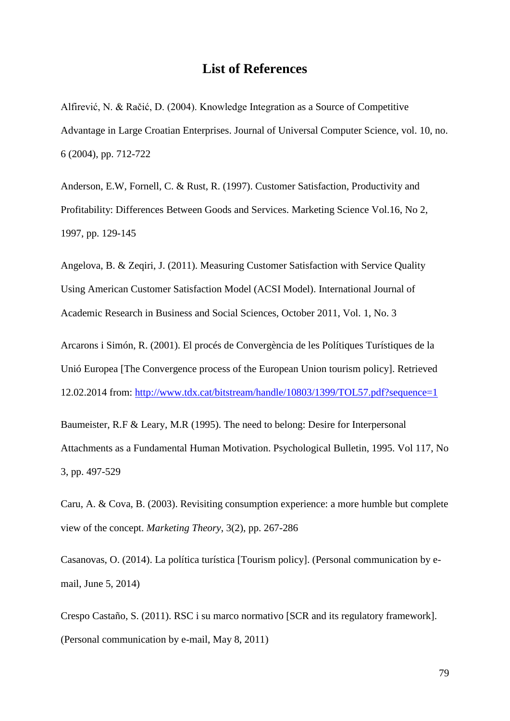# **List of References**

Alfirević, N. & Račić, D. (2004). Knowledge Integration as a Source of Competitive Advantage in Large Croatian Enterprises. Journal of Universal Computer Science, vol. 10, no. 6 (2004), pp. 712-722

Anderson, E.W, Fornell, C. & Rust, R. (1997). Customer Satisfaction, Productivity and Profitability: Differences Between Goods and Services. Marketing Science Vol.16, No 2, 1997, pp. 129-145

Angelova, B. & Zeqiri, J. (2011). Measuring Customer Satisfaction with Service Quality Using American Customer Satisfaction Model (ACSI Model). International Journal of Academic Research in Business and Social Sciences, October 2011, Vol. 1, No. 3

Arcarons i Simón, R. (2001). El procés de Convergència de les Polítiques Turístiques de la Unió Europea [The Convergence process of the European Union tourism policy]. Retrieved 12.02.2014 from:<http://www.tdx.cat/bitstream/handle/10803/1399/TOL57.pdf?sequence=1>

Baumeister, R.F & Leary, M.R (1995). The need to belong: Desire for Interpersonal Attachments as a Fundamental Human Motivation. Psychological Bulletin, 1995. Vol 117, No 3, pp. 497-529

Caru, A. & Cova, B. (2003). Revisiting consumption experience: a more humble but complete view of the concept. *Marketing Theory*, 3(2), pp. 267-286

Casanovas, O. (2014). La política turística [Tourism policy]. (Personal communication by email, June 5, 2014)

Crespo Castaño, S. (2011). RSC i su marco normativo [SCR and its regulatory framework]. (Personal communication by e-mail, May 8, 2011)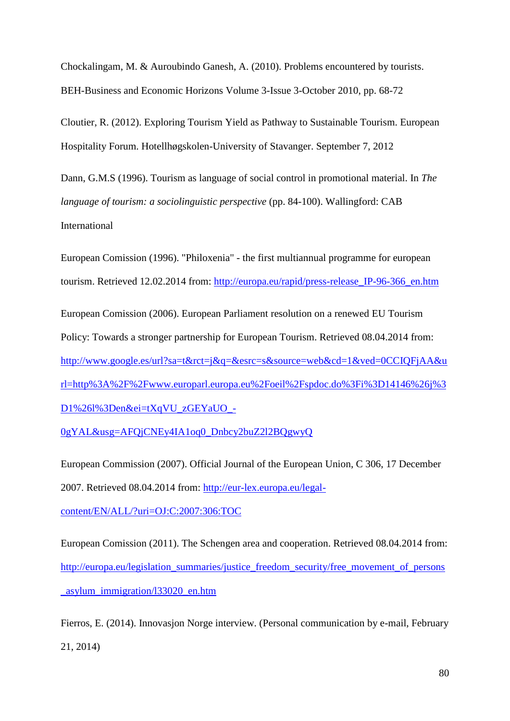Chockalingam, M. & Auroubindo Ganesh, A. (2010). Problems encountered by tourists. BEH-Business and Economic Horizons Volume 3-Issue 3-October 2010, pp. 68-72

Cloutier, R. (2012). Exploring Tourism Yield as Pathway to Sustainable Tourism. European Hospitality Forum. Hotellhøgskolen-University of Stavanger. September 7, 2012

Dann, G.M.S (1996). Tourism as language of social control in promotional material. In *The language of tourism: a sociolinguistic perspective* (pp. 84-100). Wallingford: CAB International

European Comission (1996). "Philoxenia" - the first multiannual programme for european tourism. Retrieved 12.02.2014 from: [http://europa.eu/rapid/press-release\\_IP-96-366\\_en.htm](http://europa.eu/rapid/press-release_IP-96-366_en.htm)

European Comission (2006). European Parliament resolution on a renewed EU Tourism Policy: Towards a stronger partnership for European Tourism. Retrieved 08.04.2014 from: [http://www.google.es/url?sa=t&rct=j&q=&esrc=s&source=web&cd=1&ved=0CCIQFjAA&u](http://www.google.es/url?sa=t&rct=j&q=&esrc=s&source=web&cd=1&ved=0CCIQFjAA&url=http%3A%2F%2Fwww.europarl.europa.eu%2Foeil%2Fspdoc.do%3Fi%3D14146%26j%3D1%26l%3Den&ei=tXqVU_zGEYaUO_-0gYAL&usg=AFQjCNEy4IA1oq0_Dnbcy2buZ2l2BQgwyQ) [rl=http%3A%2F%2Fwww.europarl.europa.eu%2Foeil%2Fspdoc.do%3Fi%3D14146%26j%3](http://www.google.es/url?sa=t&rct=j&q=&esrc=s&source=web&cd=1&ved=0CCIQFjAA&url=http%3A%2F%2Fwww.europarl.europa.eu%2Foeil%2Fspdoc.do%3Fi%3D14146%26j%3D1%26l%3Den&ei=tXqVU_zGEYaUO_-0gYAL&usg=AFQjCNEy4IA1oq0_Dnbcy2buZ2l2BQgwyQ) [D1%26l%3Den&ei=tXqVU\\_zGEYaUO\\_-](http://www.google.es/url?sa=t&rct=j&q=&esrc=s&source=web&cd=1&ved=0CCIQFjAA&url=http%3A%2F%2Fwww.europarl.europa.eu%2Foeil%2Fspdoc.do%3Fi%3D14146%26j%3D1%26l%3Den&ei=tXqVU_zGEYaUO_-0gYAL&usg=AFQjCNEy4IA1oq0_Dnbcy2buZ2l2BQgwyQ)

[0gYAL&usg=AFQjCNEy4IA1oq0\\_Dnbcy2buZ2l2BQgwyQ](http://www.google.es/url?sa=t&rct=j&q=&esrc=s&source=web&cd=1&ved=0CCIQFjAA&url=http%3A%2F%2Fwww.europarl.europa.eu%2Foeil%2Fspdoc.do%3Fi%3D14146%26j%3D1%26l%3Den&ei=tXqVU_zGEYaUO_-0gYAL&usg=AFQjCNEy4IA1oq0_Dnbcy2buZ2l2BQgwyQ)

European Commission (2007). Official Journal of the European Union, C 306, 17 December 2007. Retrieved 08.04.2014 from: [http://eur-lex.europa.eu/legal-](http://eur-lex.europa.eu/legal-content/EN/ALL/?uri=OJ:C:2007:306:TOC)

[content/EN/ALL/?uri=OJ:C:2007:306:TOC](http://eur-lex.europa.eu/legal-content/EN/ALL/?uri=OJ:C:2007:306:TOC)

European Comission (2011). The Schengen area and cooperation. Retrieved 08.04.2014 from: [http://europa.eu/legislation\\_summaries/justice\\_freedom\\_security/free\\_movement\\_of\\_persons](http://europa.eu/legislation_summaries/justice_freedom_security/free_movement_of_persons_asylum_immigration/l33020_en.htm) [\\_asylum\\_immigration/l33020\\_en.htm](http://europa.eu/legislation_summaries/justice_freedom_security/free_movement_of_persons_asylum_immigration/l33020_en.htm)

Fierros, E. (2014). Innovasjon Norge interview. (Personal communication by e-mail, February 21, 2014)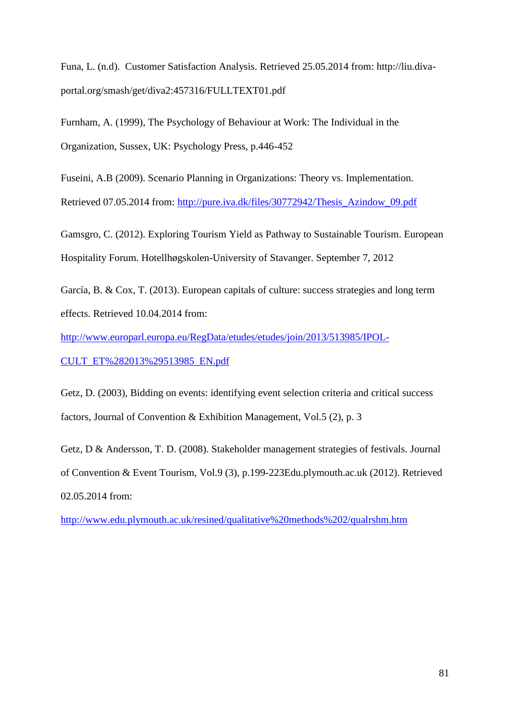Funa, L. (n.d). Customer Satisfaction Analysis. Retrieved 25.05.2014 from: http://liu.divaportal.org/smash/get/diva2:457316/FULLTEXT01.pdf

Furnham, A. (1999), The Psychology of Behaviour at Work: The Individual in the Organization, Sussex, UK: Psychology Press, p.446-452

Fuseini, A.B (2009). Scenario Planning in Organizations: Theory vs. Implementation.

Retrieved 07.05.2014 from: [http://pure.iva.dk/files/30772942/Thesis\\_Azindow\\_09.pdf](http://pure.iva.dk/files/30772942/Thesis_Azindow_09.pdf)

Gamsgro, C. (2012). Exploring Tourism Yield as Pathway to Sustainable Tourism. European Hospitality Forum. Hotellhøgskolen-University of Stavanger. September 7, 2012

García, B. & Cox, T. (2013). European capitals of culture: success strategies and long term effects. Retrieved 10.04.2014 from:

[http://www.europarl.europa.eu/RegData/etudes/etudes/join/2013/513985/IPOL-](http://www.europarl.europa.eu/RegData/etudes/etudes/join/2013/513985/IPOL-CULT_ET%282013%29513985_EN.pdf)

[CULT\\_ET%282013%29513985\\_EN.pdf](http://www.europarl.europa.eu/RegData/etudes/etudes/join/2013/513985/IPOL-CULT_ET%282013%29513985_EN.pdf)

Getz, D. (2003), Bidding on events: identifying event selection criteria and critical success factors, Journal of Convention & Exhibition Management, Vol.5 (2), p. 3

Getz, D & Andersson, T. D. (2008). Stakeholder management strategies of festivals. Journal of Convention & Event Tourism, Vol.9 (3), p.199-223Edu.plymouth.ac.uk (2012). Retrieved 02.05.2014 from:

<http://www.edu.plymouth.ac.uk/resined/qualitative%20methods%202/qualrshm.htm>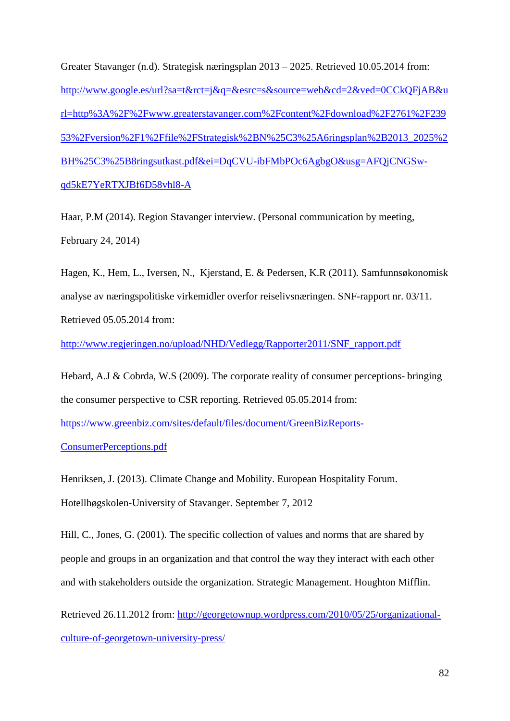Greater Stavanger (n.d). Strategisk næringsplan 2013 – 2025. Retrieved 10.05.2014 from: [http://www.google.es/url?sa=t&rct=j&q=&esrc=s&source=web&cd=2&ved=0CCkQFjAB&u](http://www.google.es/url?sa=t&rct=j&q=&esrc=s&source=web&cd=2&ved=0CCkQFjAB&url=http%3A%2F%2Fwww.greaterstavanger.com%2Fcontent%2Fdownload%2F2761%2F23953%2Fversion%2F1%2Ffile%2FStrategisk%2BN%25C3%25A6ringsplan%2B2013_2025%2BH%25C3%25B8ringsutkast.pdf&ei=DqCVU-ibFMbPOc6AgbgO&usg=AFQjCNGSw-qd5kE7YeRTXJBf6D58vhl8-A) [rl=http%3A%2F%2Fwww.greaterstavanger.com%2Fcontent%2Fdownload%2F2761%2F239](http://www.google.es/url?sa=t&rct=j&q=&esrc=s&source=web&cd=2&ved=0CCkQFjAB&url=http%3A%2F%2Fwww.greaterstavanger.com%2Fcontent%2Fdownload%2F2761%2F23953%2Fversion%2F1%2Ffile%2FStrategisk%2BN%25C3%25A6ringsplan%2B2013_2025%2BH%25C3%25B8ringsutkast.pdf&ei=DqCVU-ibFMbPOc6AgbgO&usg=AFQjCNGSw-qd5kE7YeRTXJBf6D58vhl8-A) [53%2Fversion%2F1%2Ffile%2FStrategisk%2BN%25C3%25A6ringsplan%2B2013\\_2025%2](http://www.google.es/url?sa=t&rct=j&q=&esrc=s&source=web&cd=2&ved=0CCkQFjAB&url=http%3A%2F%2Fwww.greaterstavanger.com%2Fcontent%2Fdownload%2F2761%2F23953%2Fversion%2F1%2Ffile%2FStrategisk%2BN%25C3%25A6ringsplan%2B2013_2025%2BH%25C3%25B8ringsutkast.pdf&ei=DqCVU-ibFMbPOc6AgbgO&usg=AFQjCNGSw-qd5kE7YeRTXJBf6D58vhl8-A) [BH%25C3%25B8ringsutkast.pdf&ei=DqCVU-ibFMbPOc6AgbgO&usg=AFQjCNGSw](http://www.google.es/url?sa=t&rct=j&q=&esrc=s&source=web&cd=2&ved=0CCkQFjAB&url=http%3A%2F%2Fwww.greaterstavanger.com%2Fcontent%2Fdownload%2F2761%2F23953%2Fversion%2F1%2Ffile%2FStrategisk%2BN%25C3%25A6ringsplan%2B2013_2025%2BH%25C3%25B8ringsutkast.pdf&ei=DqCVU-ibFMbPOc6AgbgO&usg=AFQjCNGSw-qd5kE7YeRTXJBf6D58vhl8-A)[qd5kE7YeRTXJBf6D58vhl8-A](http://www.google.es/url?sa=t&rct=j&q=&esrc=s&source=web&cd=2&ved=0CCkQFjAB&url=http%3A%2F%2Fwww.greaterstavanger.com%2Fcontent%2Fdownload%2F2761%2F23953%2Fversion%2F1%2Ffile%2FStrategisk%2BN%25C3%25A6ringsplan%2B2013_2025%2BH%25C3%25B8ringsutkast.pdf&ei=DqCVU-ibFMbPOc6AgbgO&usg=AFQjCNGSw-qd5kE7YeRTXJBf6D58vhl8-A)

Haar, P.M (2014). Region Stavanger interview. (Personal communication by meeting, February 24, 2014)

Hagen, K., Hem, L., Iversen, N., Kjerstand, E. & Pedersen, K.R (2011). Samfunnsøkonomisk analyse av næringspolitiske virkemidler overfor reiselivsnæringen. SNF-rapport nr. 03/11. Retrieved 05.05.2014 from:

[http://www.regjeringen.no/upload/NHD/Vedlegg/Rapporter2011/SNF\\_rapport.pdf](http://www.regjeringen.no/upload/NHD/Vedlegg/Rapporter2011/SNF_rapport.pdf)

Hebard, A.J & Cobrda, W.S (2009). The corporate reality of consumer perceptions- bringing the consumer perspective to CSR reporting. Retrieved 05.05.2014 from:

[https://www.greenbiz.com/sites/default/files/document/GreenBizReports-](https://www.greenbiz.com/sites/default/files/document/GreenBizReports-ConsumerPerceptions.pdf)

[ConsumerPerceptions.pdf](https://www.greenbiz.com/sites/default/files/document/GreenBizReports-ConsumerPerceptions.pdf)

Henriksen, J. (2013). Climate Change and Mobility. European Hospitality Forum. Hotellhøgskolen-University of Stavanger. September 7, 2012

Hill, C., Jones, G. (2001). The specific collection of values and norms that are shared by people and groups in an organization and that control the way they interact with each other and with stakeholders outside the organization. Strategic Management. Houghton Mifflin.

Retrieved 26.11.2012 from: [http://georgetownup.wordpress.com/2010/05/25/organizational](http://georgetownup.wordpress.com/2010/05/25/organizational-culture-of-georgetown-university-press/)[culture-of-georgetown-university-press/](http://georgetownup.wordpress.com/2010/05/25/organizational-culture-of-georgetown-university-press/)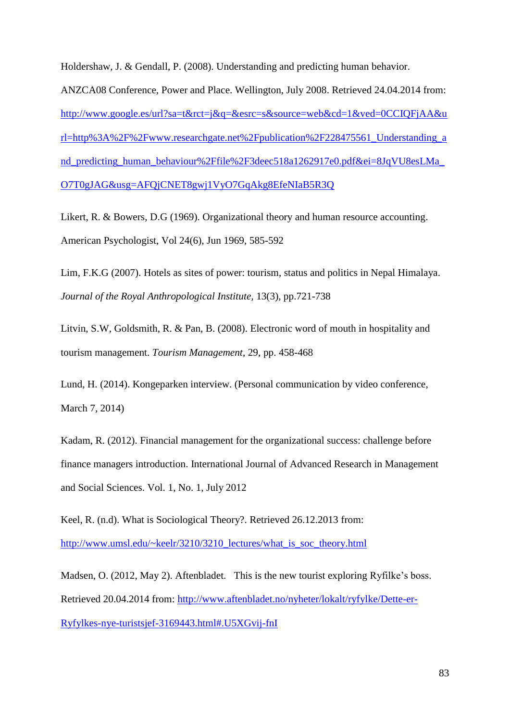Holdershaw, J. & Gendall, P. (2008). Understanding and predicting human behavior. ANZCA08 Conference, Power and Place. Wellington, July 2008. Retrieved 24.04.2014 from: [http://www.google.es/url?sa=t&rct=j&q=&esrc=s&source=web&cd=1&ved=0CCIQFjAA&u](http://www.google.es/url?sa=t&rct=j&q=&esrc=s&source=web&cd=1&ved=0CCIQFjAA&url=http%3A%2F%2Fwww.researchgate.net%2Fpublication%2F228475561_Understanding_and_predicting_human_behaviour%2Ffile%2F3deec518a1262917e0.pdf&ei=8JqVU8esLMa_O7T0gJAG&usg=AFQjCNET8gwj1VyO7GqAkg8EfeNIaB5R3Q)

[rl=http%3A%2F%2Fwww.researchgate.net%2Fpublication%2F228475561\\_Understanding\\_a](http://www.google.es/url?sa=t&rct=j&q=&esrc=s&source=web&cd=1&ved=0CCIQFjAA&url=http%3A%2F%2Fwww.researchgate.net%2Fpublication%2F228475561_Understanding_and_predicting_human_behaviour%2Ffile%2F3deec518a1262917e0.pdf&ei=8JqVU8esLMa_O7T0gJAG&usg=AFQjCNET8gwj1VyO7GqAkg8EfeNIaB5R3Q)

nd predicting human behaviour%2Ffile%2F3deec518a1262917e0.pdf&ei=8JqVU8esLMa

[O7T0gJAG&usg=AFQjCNET8gwj1VyO7GqAkg8EfeNIaB5R3Q](http://www.google.es/url?sa=t&rct=j&q=&esrc=s&source=web&cd=1&ved=0CCIQFjAA&url=http%3A%2F%2Fwww.researchgate.net%2Fpublication%2F228475561_Understanding_and_predicting_human_behaviour%2Ffile%2F3deec518a1262917e0.pdf&ei=8JqVU8esLMa_O7T0gJAG&usg=AFQjCNET8gwj1VyO7GqAkg8EfeNIaB5R3Q)

Likert, R. & Bowers, D.G (1969). Organizational theory and human resource accounting. American Psychologist, Vol 24(6), Jun 1969, 585-592

Lim, F.K.G (2007). Hotels as sites of power: tourism, status and politics in Nepal Himalaya. *Journal of the Royal Anthropological Institute,* 13(3), pp.721-738

Litvin, S.W, Goldsmith, R. & Pan, B. (2008). Electronic word of mouth in hospitality and tourism management. *Tourism Management*, 29, pp. 458-468

Lund, H. (2014). Kongeparken interview. (Personal communication by video conference, March 7, 2014)

Kadam, R. (2012). [Financial management for the organizational success: challenge before](http://www.academia.edu/5450710/FINANCIAL_MANAGEMENT_FOR_THE_ORGANIZATIONAL_SUCCESS_CHALLENGE_BEFORE_FINANCE_MANAGERS_INTRODUCTION)  [finance managers introduction.](http://www.academia.edu/5450710/FINANCIAL_MANAGEMENT_FOR_THE_ORGANIZATIONAL_SUCCESS_CHALLENGE_BEFORE_FINANCE_MANAGERS_INTRODUCTION) International Journal of Advanced Research in Management and Social Sciences. Vol. 1, No. 1, July 2012

Keel, R. (n.d). What is Sociological Theory?. Retrieved 26.12.2013 from: [http://www.umsl.edu/~keelr/3210/3210\\_lectures/what\\_is\\_soc\\_theory.html](http://www.umsl.edu/~keelr/3210/3210_lectures/what_is_soc_theory.html)

Madsen, O. (2012, May 2). Aftenbladet. This is the new tourist exploring Ryfilke's boss. Retrieved 20.04.2014 from: [http://www.aftenbladet.no/nyheter/lokalt/ryfylke/Dette-er-](http://www.aftenbladet.no/nyheter/lokalt/ryfylke/Dette-er-Ryfylkes-nye-turistsjef-3169443.html#.U5XGvij-fnI)[Ryfylkes-nye-turistsjef-3169443.html#.U5XGvij-fnI](http://www.aftenbladet.no/nyheter/lokalt/ryfylke/Dette-er-Ryfylkes-nye-turistsjef-3169443.html#.U5XGvij-fnI)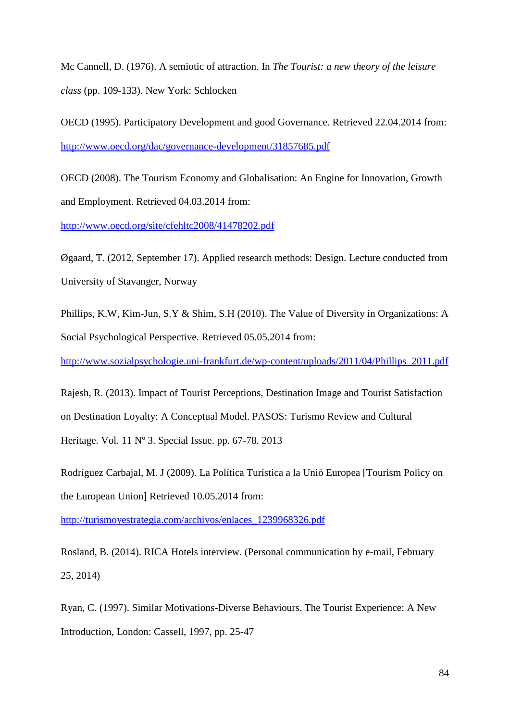Mc Cannell, D. (1976). A semiotic of attraction. In *The Tourist: a new theory of the leisure class* (pp. 109-133). New York: Schlocken

OECD (1995). Participatory Development and good Governance. Retrieved 22.04.2014 from: <http://www.oecd.org/dac/governance-development/31857685.pdf>

OECD (2008). The Tourism Economy and Globalisation: An Engine for Innovation, Growth and Employment. Retrieved 04.03.2014 from:

<http://www.oecd.org/site/cfehltc2008/41478202.pdf>

[Øg](http://en.wikipedia.org/wiki/%C3%98)aard, T. (2012, September 17). Applied research methods: Design. Lecture conducted from University of Stavanger, Norway

Phillips, K.W, Kim-Jun, S.Y & Shim, S.H (2010). The Value of Diversity in Organizations: A Social Psychological Perspective. Retrieved 05.05.2014 from:

[http://www.sozialpsychologie.uni-frankfurt.de/wp-content/uploads/2011/04/Phillips\\_2011.pdf](http://www.sozialpsychologie.uni-frankfurt.de/wp-content/uploads/2011/04/Phillips_2011.pdf)

Rajesh, R. (2013). Impact of Tourist Perceptions, Destination Image and Tourist Satisfaction on Destination Loyalty: A Conceptual Model. PASOS: Turismo Review and Cultural Heritage. Vol. 11 Nº 3. Special Issue. pp. 67-78. 2013

Rodríguez Carbajal, M. J (2009). La Política Turística a la Unió Europea [Tourism Policy on the European Union] Retrieved 10.05.2014 from:

[http://turismoyestrategia.com/archivos/enlaces\\_1239968326.pdf](http://turismoyestrategia.com/archivos/enlaces_1239968326.pdf)

Rosland, B. (2014). RICA Hotels interview. (Personal communication by e-mail, February 25, 2014)

Ryan, C. (1997). Similar Motivations-Diverse Behaviours. The Tourist Experience: A New Introduction, London: Cassell, 1997, pp. 25-47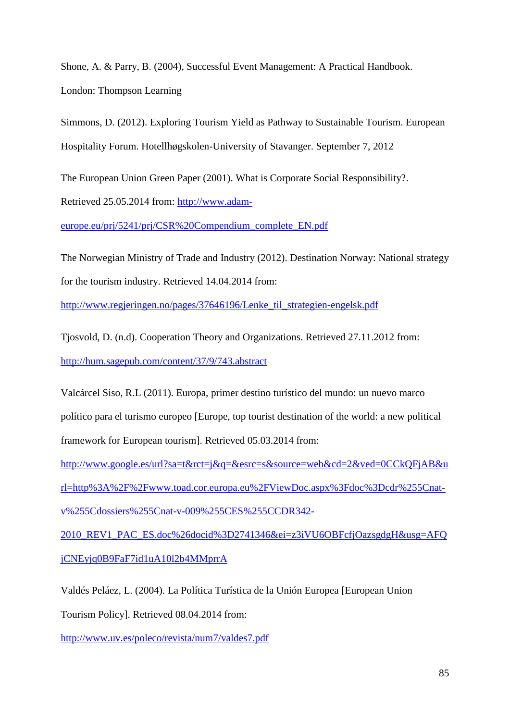Shone, A. & Parry, B. (2004), Successful Event Management: A Practical Handbook. London: Thompson Learning

Simmons, D. (2012). Exploring Tourism Yield as Pathway to Sustainable Tourism. European Hospitality Forum. Hotellhøgskolen-University of Stavanger. September 7, 2012

The European Union Green Paper (2001). What is Corporate Social Responsibility?. Retrieved 25.05.2014 from: [http://www.adam-](http://www.adam-europe.eu/prj/5241/prj/CSR%20Compendium_complete_EN.pdf)

[europe.eu/prj/5241/prj/CSR%20Compendium\\_complete\\_EN.pdf](http://www.adam-europe.eu/prj/5241/prj/CSR%20Compendium_complete_EN.pdf)

The Norwegian Ministry of Trade and Industry (2012). Destination Norway: National strategy for the tourism industry. Retrieved 14.04.2014 from:

http://www.regjeringen.no/pages/37646196/Lenke til strategien-engelsk.pdf

Tjosvold, D. (n.d). Cooperation Theory and Organizations. Retrieved 27.11.2012 from: <http://hum.sagepub.com/content/37/9/743.abstract>

Valcárcel Siso, R.L (2011). Europa, primer destino turístico del mundo: un nuevo marco político para el turismo europeo [Europe, top tourist destination of the world: a new political framework for European tourism]. Retrieved 05.03.2014 from:

[http://www.google.es/url?sa=t&rct=j&q=&esrc=s&source=web&cd=2&ved=0CCkQFjAB&u](http://www.google.es/url?sa=t&rct=j&q=&esrc=s&source=web&cd=2&ved=0CCkQFjAB&url=http%3A%2F%2Fwww.toad.cor.europa.eu%2FViewDoc.aspx%3Fdoc%3Dcdr%255Cnat-v%255Cdossiers%255Cnat-v-009%255CES%255CCDR342-2010_REV1_PAC_ES.doc%26docid%3D2741346&ei=z3iVU6OBFcfjOazsgdgH&usg=AFQjCNEyjq0B9FaF7id1uA10l2b4MMprrA) [rl=http%3A%2F%2Fwww.toad.cor.europa.eu%2FViewDoc.aspx%3Fdoc%3Dcdr%255Cnat](http://www.google.es/url?sa=t&rct=j&q=&esrc=s&source=web&cd=2&ved=0CCkQFjAB&url=http%3A%2F%2Fwww.toad.cor.europa.eu%2FViewDoc.aspx%3Fdoc%3Dcdr%255Cnat-v%255Cdossiers%255Cnat-v-009%255CES%255CCDR342-2010_REV1_PAC_ES.doc%26docid%3D2741346&ei=z3iVU6OBFcfjOazsgdgH&usg=AFQjCNEyjq0B9FaF7id1uA10l2b4MMprrA)[v%255Cdossiers%255Cnat-v-009%255CES%255CCDR342-](http://www.google.es/url?sa=t&rct=j&q=&esrc=s&source=web&cd=2&ved=0CCkQFjAB&url=http%3A%2F%2Fwww.toad.cor.europa.eu%2FViewDoc.aspx%3Fdoc%3Dcdr%255Cnat-v%255Cdossiers%255Cnat-v-009%255CES%255CCDR342-2010_REV1_PAC_ES.doc%26docid%3D2741346&ei=z3iVU6OBFcfjOazsgdgH&usg=AFQjCNEyjq0B9FaF7id1uA10l2b4MMprrA)

[2010\\_REV1\\_PAC\\_ES.doc%26docid%3D2741346&ei=z3iVU6OBFcfjOazsgdgH&usg=AFQ](http://www.google.es/url?sa=t&rct=j&q=&esrc=s&source=web&cd=2&ved=0CCkQFjAB&url=http%3A%2F%2Fwww.toad.cor.europa.eu%2FViewDoc.aspx%3Fdoc%3Dcdr%255Cnat-v%255Cdossiers%255Cnat-v-009%255CES%255CCDR342-2010_REV1_PAC_ES.doc%26docid%3D2741346&ei=z3iVU6OBFcfjOazsgdgH&usg=AFQjCNEyjq0B9FaF7id1uA10l2b4MMprrA) [jCNEyjq0B9FaF7id1uA10l2b4MMprrA](http://www.google.es/url?sa=t&rct=j&q=&esrc=s&source=web&cd=2&ved=0CCkQFjAB&url=http%3A%2F%2Fwww.toad.cor.europa.eu%2FViewDoc.aspx%3Fdoc%3Dcdr%255Cnat-v%255Cdossiers%255Cnat-v-009%255CES%255CCDR342-2010_REV1_PAC_ES.doc%26docid%3D2741346&ei=z3iVU6OBFcfjOazsgdgH&usg=AFQjCNEyjq0B9FaF7id1uA10l2b4MMprrA)

Valdés Peláez, L. (2004). La Política Turística de la Unión Europea [European Union

Tourism Policy]. Retrieved 08.04.2014 from:

<http://www.uv.es/poleco/revista/num7/valdes7.pdf>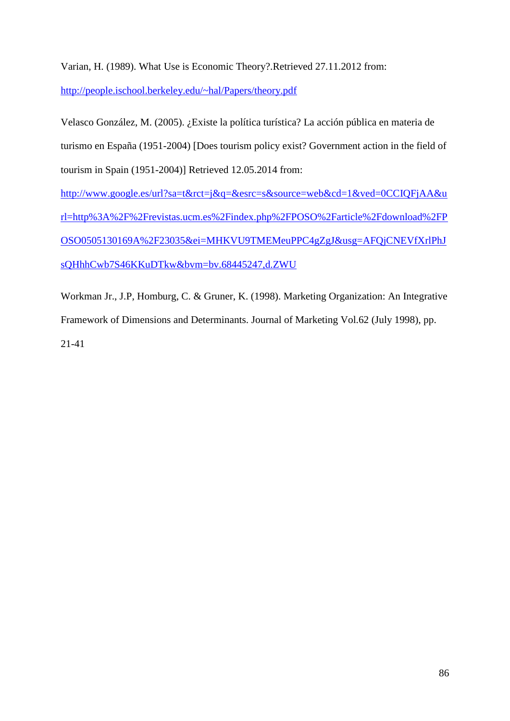Varian, H. (1989). What Use is Economic Theory?.Retrieved 27.11.2012 from:

<http://people.ischool.berkeley.edu/~hal/Papers/theory.pdf>

Velasco González, M. (2005). ¿Existe la política turística? La acción pública en materia de turismo en España (1951-2004) [Does tourism policy exist? Government action in the field of tourism in Spain (1951-2004)] Retrieved 12.05.2014 from: [http://www.google.es/url?sa=t&rct=j&q=&esrc=s&source=web&cd=1&ved=0CCIQFjAA&u](http://www.google.es/url?sa=t&rct=j&q=&esrc=s&source=web&cd=1&ved=0CCIQFjAA&url=http%3A%2F%2Frevistas.ucm.es%2Findex.php%2FPOSO%2Farticle%2Fdownload%2FPOSO0505130169A%2F23035&ei=MHKVU9TMEMeuPPC4gZgJ&usg=AFQjCNEVfXrlPhJsQHhhCwb7S46KKuDTkw&bvm=bv.68445247,d.ZWU) [rl=http%3A%2F%2Frevistas.ucm.es%2Findex.php%2FPOSO%2Farticle%2Fdownload%2FP](http://www.google.es/url?sa=t&rct=j&q=&esrc=s&source=web&cd=1&ved=0CCIQFjAA&url=http%3A%2F%2Frevistas.ucm.es%2Findex.php%2FPOSO%2Farticle%2Fdownload%2FPOSO0505130169A%2F23035&ei=MHKVU9TMEMeuPPC4gZgJ&usg=AFQjCNEVfXrlPhJsQHhhCwb7S46KKuDTkw&bvm=bv.68445247,d.ZWU) [OSO0505130169A%2F23035&ei=MHKVU9TMEMeuPPC4gZgJ&usg=AFQjCNEVfXrlPhJ](http://www.google.es/url?sa=t&rct=j&q=&esrc=s&source=web&cd=1&ved=0CCIQFjAA&url=http%3A%2F%2Frevistas.ucm.es%2Findex.php%2FPOSO%2Farticle%2Fdownload%2FPOSO0505130169A%2F23035&ei=MHKVU9TMEMeuPPC4gZgJ&usg=AFQjCNEVfXrlPhJsQHhhCwb7S46KKuDTkw&bvm=bv.68445247,d.ZWU)

[sQHhhCwb7S46KKuDTkw&bvm=bv.68445247,d.ZWU](http://www.google.es/url?sa=t&rct=j&q=&esrc=s&source=web&cd=1&ved=0CCIQFjAA&url=http%3A%2F%2Frevistas.ucm.es%2Findex.php%2FPOSO%2Farticle%2Fdownload%2FPOSO0505130169A%2F23035&ei=MHKVU9TMEMeuPPC4gZgJ&usg=AFQjCNEVfXrlPhJsQHhhCwb7S46KKuDTkw&bvm=bv.68445247,d.ZWU)

Workman Jr., J.P, Homburg, C. & Gruner, K. (1998). Marketing Organization: An Integrative Framework of Dimensions and Determinants. Journal of Marketing Vol.62 (July 1998), pp. 21-41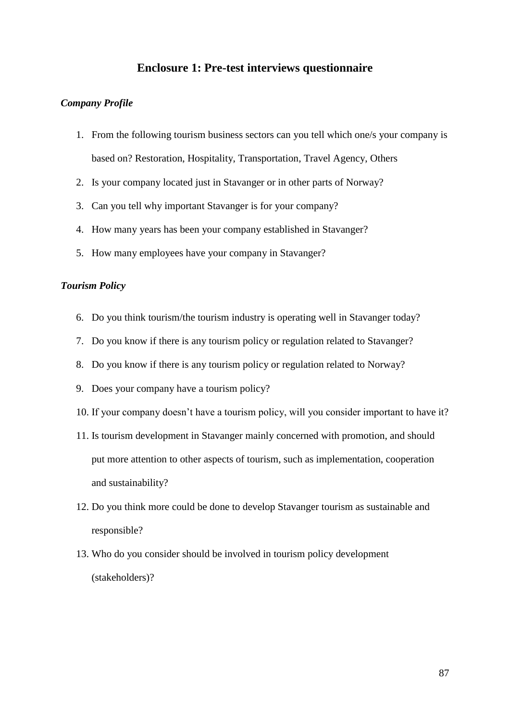# **Enclosure 1: Pre-test interviews questionnaire**

#### *Company Profile*

- 1. From the following tourism business sectors can you tell which one/s your company is based on? Restoration, Hospitality, Transportation, Travel Agency, Others
- 2. Is your company located just in Stavanger or in other parts of Norway?
- 3. Can you tell why important Stavanger is for your company?
- 4. How many years has been your company established in Stavanger?
- 5. How many employees have your company in Stavanger?

## *Tourism Policy*

- 6. Do you think tourism/the tourism industry is operating well in Stavanger today?
- 7. Do you know if there is any tourism policy or regulation related to Stavanger?
- 8. Do you know if there is any tourism policy or regulation related to Norway?
- 9. Does your company have a tourism policy?
- 10. If your company doesn't have a tourism policy, will you consider important to have it?
- 11. Is tourism development in Stavanger mainly concerned with promotion, and should put more attention to other aspects of tourism, such as implementation, cooperation and sustainability?
- 12. Do you think more could be done to develop Stavanger tourism as sustainable and responsible?
- 13. Who do you consider should be involved in tourism policy development (stakeholders)?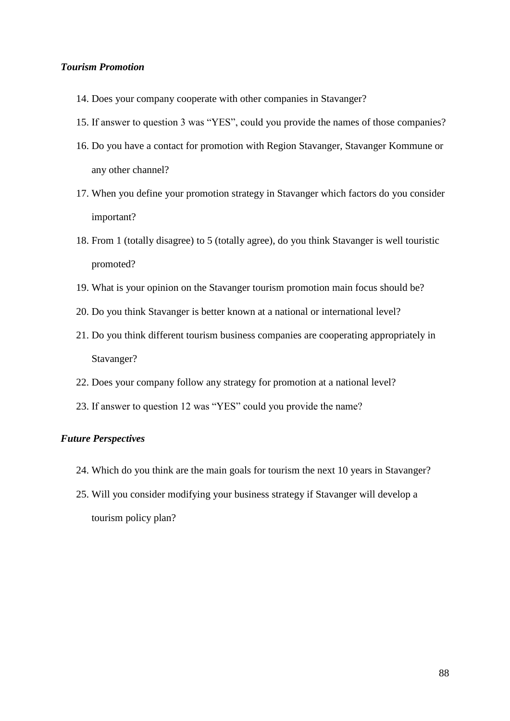## *Tourism Promotion*

- 14. Does your company cooperate with other companies in Stavanger?
- 15. If answer to question 3 was "YES", could you provide the names of those companies?
- 16. Do you have a contact for promotion with Region Stavanger, Stavanger Kommune or any other channel?
- 17. When you define your promotion strategy in Stavanger which factors do you consider important?
- 18. From 1 (totally disagree) to 5 (totally agree), do you think Stavanger is well touristic promoted?
- 19. What is your opinion on the Stavanger tourism promotion main focus should be?
- 20. Do you think Stavanger is better known at a national or international level?
- 21. Do you think different tourism business companies are cooperating appropriately in Stavanger?
- 22. Does your company follow any strategy for promotion at a national level?
- 23. If answer to question 12 was "YES" could you provide the name?

# *Future Perspectives*

- 24. Which do you think are the main goals for tourism the next 10 years in Stavanger?
- 25. Will you consider modifying your business strategy if Stavanger will develop a tourism policy plan?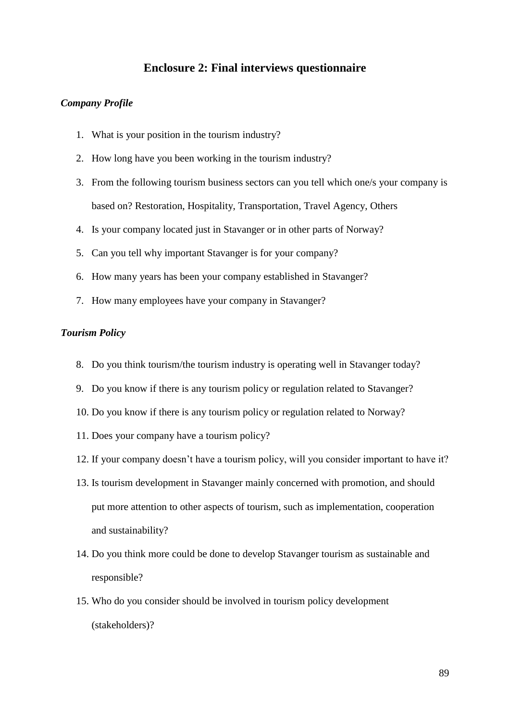# **Enclosure 2: Final interviews questionnaire**

#### *Company Profile*

- 1. What is your position in the tourism industry?
- 2. How long have you been working in the tourism industry?
- 3. From the following tourism business sectors can you tell which one/s your company is based on? Restoration, Hospitality, Transportation, Travel Agency, Others
- 4. Is your company located just in Stavanger or in other parts of Norway?
- 5. Can you tell why important Stavanger is for your company?
- 6. How many years has been your company established in Stavanger?
- 7. How many employees have your company in Stavanger?

## *Tourism Policy*

- 8. Do you think tourism/the tourism industry is operating well in Stavanger today?
- 9. Do you know if there is any tourism policy or regulation related to Stavanger?
- 10. Do you know if there is any tourism policy or regulation related to Norway?
- 11. Does your company have a tourism policy?
- 12. If your company doesn't have a tourism policy, will you consider important to have it?
- 13. Is tourism development in Stavanger mainly concerned with promotion, and should put more attention to other aspects of tourism, such as implementation, cooperation and sustainability?
- 14. Do you think more could be done to develop Stavanger tourism as sustainable and responsible?
- 15. Who do you consider should be involved in tourism policy development (stakeholders)?